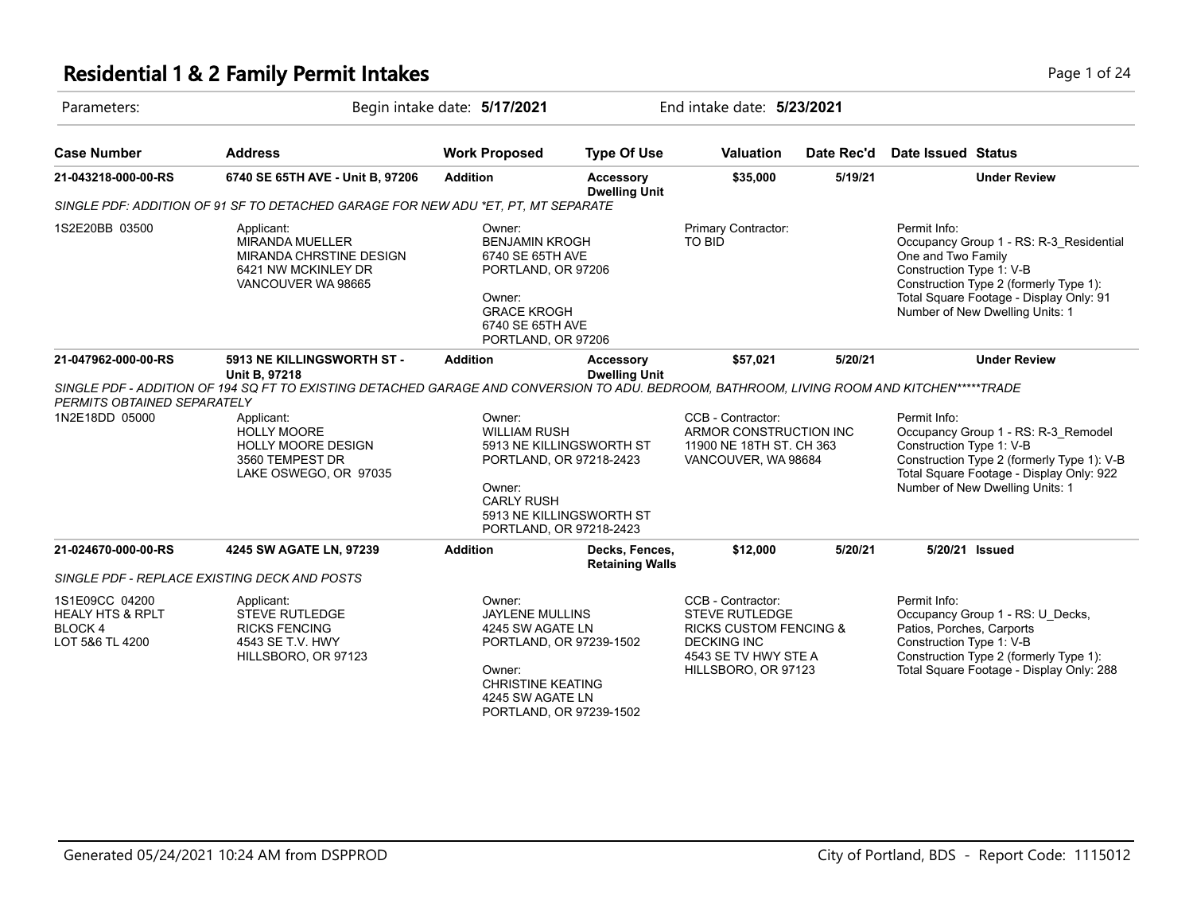# **Residential 1 & 2 Family Permit Intakes Page 1 of 24 Page 1 of 24**

| Parameters:                                                                 |                                                                                                                                            | Begin intake date: 5/17/2021                                                                                                                        |                                                                                                            |                                                                                                                                                      | End intake date: 5/23/2021 |                                                                                                                                                                                                                                   |  |  |
|-----------------------------------------------------------------------------|--------------------------------------------------------------------------------------------------------------------------------------------|-----------------------------------------------------------------------------------------------------------------------------------------------------|------------------------------------------------------------------------------------------------------------|------------------------------------------------------------------------------------------------------------------------------------------------------|----------------------------|-----------------------------------------------------------------------------------------------------------------------------------------------------------------------------------------------------------------------------------|--|--|
| <b>Case Number</b>                                                          | <b>Address</b>                                                                                                                             | <b>Work Proposed</b>                                                                                                                                | <b>Type Of Use</b>                                                                                         | <b>Valuation</b>                                                                                                                                     | Date Rec'd                 | <b>Date Issued Status</b>                                                                                                                                                                                                         |  |  |
| 21-043218-000-00-RS                                                         | 6740 SE 65TH AVE - Unit B, 97206                                                                                                           | <b>Addition</b>                                                                                                                                     | <b>Accessory</b><br><b>Dwelling Unit</b>                                                                   | \$35,000                                                                                                                                             | 5/19/21                    | <b>Under Review</b>                                                                                                                                                                                                               |  |  |
|                                                                             | SINGLE PDF: ADDITION OF 91 SF TO DETACHED GARAGE FOR NEW ADU *ET. PT. MT SEPARATE                                                          |                                                                                                                                                     |                                                                                                            |                                                                                                                                                      |                            |                                                                                                                                                                                                                                   |  |  |
| 1S2E20BB 03500                                                              | Applicant:<br><b>MIRANDA MUELLER</b><br>MIRANDA CHRSTINE DESIGN<br>6421 NW MCKINLEY DR<br>VANCOUVER WA 98665                               | Owner:<br><b>BENJAMIN KROGH</b><br>6740 SE 65TH AVE<br>PORTLAND, OR 97206<br>Owner:<br><b>GRACE KROGH</b><br>6740 SE 65TH AVE<br>PORTLAND, OR 97206 |                                                                                                            | Primary Contractor:<br><b>TO BID</b>                                                                                                                 |                            | Permit Info:<br>Occupancy Group 1 - RS: R-3_Residential<br>One and Two Family<br>Construction Type 1: V-B<br>Construction Type 2 (formerly Type 1):<br>Total Square Footage - Display Only: 91<br>Number of New Dwelling Units: 1 |  |  |
| 21-047962-000-00-RS                                                         | 5913 NE KILLINGSWORTH ST -<br><b>Unit B, 97218</b>                                                                                         | <b>Addition</b>                                                                                                                                     | Accessory<br><b>Dwelling Unit</b>                                                                          | \$57,021                                                                                                                                             | 5/20/21                    | <b>Under Review</b>                                                                                                                                                                                                               |  |  |
| PERMITS OBTAINED SEPARATELY                                                 | SINGLE PDF - ADDITION OF 194 SQ FT TO EXISTING DETACHED GARAGE AND CONVERSION TO ADU. BEDROOM, BATHROOM, LIVING ROOM AND KITCHEN*****TRADE |                                                                                                                                                     |                                                                                                            |                                                                                                                                                      |                            |                                                                                                                                                                                                                                   |  |  |
| 1N2E18DD 05000                                                              | Applicant:<br>HOLLY MOORE<br><b>HOLLY MOORE DESIGN</b><br>3560 TEMPEST DR<br>LAKE OSWEGO, OR 97035                                         | Owner:<br><b>WILLIAM RUSH</b><br>Owner:<br><b>CARLY RUSH</b>                                                                                        | 5913 NE KILLINGSWORTH ST<br>PORTLAND, OR 97218-2423<br>5913 NE KILLINGSWORTH ST<br>PORTLAND, OR 97218-2423 | CCB - Contractor:<br>ARMOR CONSTRUCTION INC<br>11900 NE 18TH ST. CH 363<br>VANCOUVER, WA 98684                                                       |                            | Permit Info:<br>Occupancy Group 1 - RS: R-3_Remodel<br>Construction Type 1: V-B<br>Construction Type 2 (formerly Type 1): V-B<br>Total Square Footage - Display Only: 922<br>Number of New Dwelling Units: 1                      |  |  |
| 21-024670-000-00-RS                                                         | 4245 SW AGATE LN, 97239                                                                                                                    | <b>Addition</b>                                                                                                                                     | Decks, Fences,<br><b>Retaining Walls</b>                                                                   | \$12,000                                                                                                                                             | 5/20/21                    | 5/20/21 Issued                                                                                                                                                                                                                    |  |  |
|                                                                             | SINGLE PDF - REPLACE EXISTING DECK AND POSTS                                                                                               |                                                                                                                                                     |                                                                                                            |                                                                                                                                                      |                            |                                                                                                                                                                                                                                   |  |  |
| 1S1E09CC 04200<br><b>HEALY HTS &amp; RPLT</b><br>BLOCK 4<br>LOT 5&6 TL 4200 | Applicant:<br>STEVE RUTLEDGE<br><b>RICKS FENCING</b><br>4543 SE T.V. HWY<br>HILLSBORO, OR 97123                                            | Owner:<br><b>JAYLENE MULLINS</b><br>4245 SW AGATE LN<br>Owner:<br><b>CHRISTINE KEATING</b><br>4245 SW AGATE LN                                      | PORTLAND, OR 97239-1502<br>PORTLAND, OR 97239-1502                                                         | CCB - Contractor:<br><b>STEVE RUTLEDGE</b><br><b>RICKS CUSTOM FENCING &amp;</b><br><b>DECKING INC</b><br>4543 SE TV HWY STE A<br>HILLSBORO, OR 97123 |                            | Permit Info:<br>Occupancy Group 1 - RS: U_Decks,<br>Patios, Porches, Carports<br>Construction Type 1: V-B<br>Construction Type 2 (formerly Type 1):<br>Total Square Footage - Display Only: 288                                   |  |  |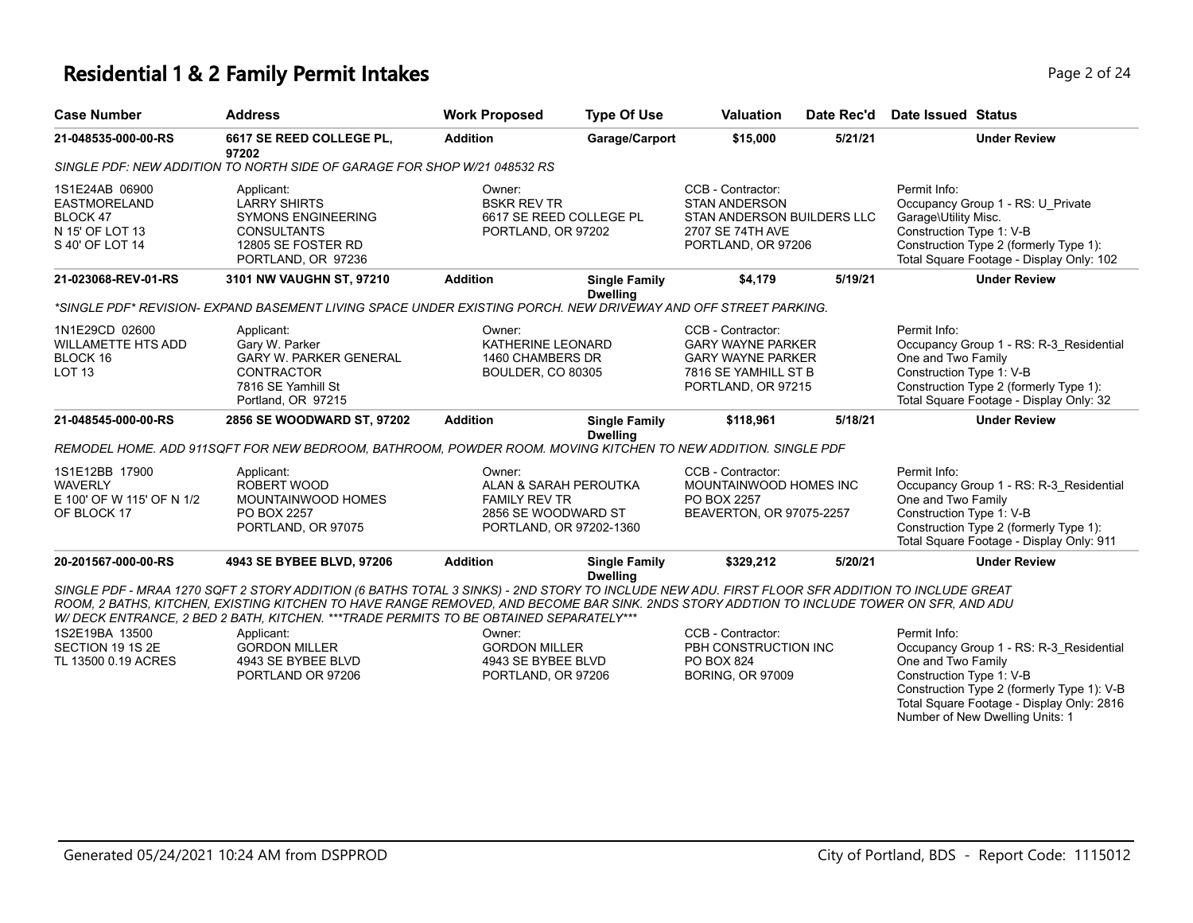#### **Residential 1 & 2 Family Permit Intakes Page 1 and 24 and 24 and 24 and 24 and 24 and 24 and 24 and 24 and 24 and 24 and 24 and 24 and 24 and 24 and 25 and 25 and 25 and 25 and 25 and 25 and 25 and 25 and 25 and 25 and**

**21-048535-000-00-RS 6617 SE REED COLLEGE PL,** 

|                                          |         |                               | . <del>. .</del>    |
|------------------------------------------|---------|-------------------------------|---------------------|
| Valuation                                |         | Date Rec'd Date Issued Status |                     |
| \$15,000                                 | 5/21/21 |                               | <b>Under Review</b> |
|                                          |         |                               |                     |
| $\bigcap$ is a distribution of $\bigcap$ |         | December 15, <i>Levin</i>     |                     |

**97202** *SINGLE PDF: NEW ADDITION TO NORTH SIDE OF GARAGE FOR SHOP W/21 048532 RS*

**Case Number Address Work Proposed Type Of Use** 

| 1S1E24AB 06900<br><b>EASTMORELAND</b><br>BLOCK 47<br>N 15' OF LOT 13<br>S 40' OF LOT 14 | Applicant:<br><b>LARRY SHIRTS</b><br><b>SYMONS ENGINEERING</b><br><b>CONSULTANTS</b><br>12805 SE FOSTER RD<br>PORTLAND, OR 97236                                                                                                                                                                                                                                                                                                                                      | Owner:<br><b>BSKR REV TR</b>   | 6617 SE REED COLLEGE PL<br>PORTLAND, OR 97202                           | CCB - Contractor:<br><b>STAN ANDERSON</b><br>STAN ANDERSON BUILDERS LLC<br>2707 SE 74TH AVE<br>PORTLAND, OR 97206       |         | Permit Info:<br>Occupancy Group 1 - RS: U Private<br>Garage\Utility Misc.<br>Construction Type 1: V-B<br>Construction Type 2 (formerly Type 1):<br>Total Square Footage - Display Only: 102     |
|-----------------------------------------------------------------------------------------|-----------------------------------------------------------------------------------------------------------------------------------------------------------------------------------------------------------------------------------------------------------------------------------------------------------------------------------------------------------------------------------------------------------------------------------------------------------------------|--------------------------------|-------------------------------------------------------------------------|-------------------------------------------------------------------------------------------------------------------------|---------|-------------------------------------------------------------------------------------------------------------------------------------------------------------------------------------------------|
| 21-023068-REV-01-RS                                                                     | 3101 NW VAUGHN ST, 97210                                                                                                                                                                                                                                                                                                                                                                                                                                              | <b>Addition</b>                | <b>Single Family</b><br><b>Dwelling</b>                                 | \$4,179                                                                                                                 | 5/19/21 | <b>Under Review</b>                                                                                                                                                                             |
|                                                                                         | *SINGLE PDF* REVISION- EXPAND BASEMENT LIVING SPACE UNDER EXISTING PORCH. NEW DRIVEWAY AND OFF STREET PARKING.                                                                                                                                                                                                                                                                                                                                                        |                                |                                                                         |                                                                                                                         |         |                                                                                                                                                                                                 |
| 1N1E29CD 02600<br><b>WILLAMETTE HTS ADD</b><br>BLOCK 16<br><b>LOT 13</b>                | Applicant:<br>Gary W. Parker<br><b>GARY W. PARKER GENERAL</b><br><b>CONTRACTOR</b><br>7816 SE Yamhill St<br>Portland, OR 97215                                                                                                                                                                                                                                                                                                                                        | Owner:                         | KATHERINE LEONARD<br>1460 CHAMBERS DR<br><b>BOULDER, CO 80305</b>       | CCB - Contractor:<br><b>GARY WAYNE PARKER</b><br><b>GARY WAYNE PARKER</b><br>7816 SE YAMHILL ST B<br>PORTLAND, OR 97215 |         | Permit Info:<br>Occupancy Group 1 - RS: R-3 Residential<br>One and Two Family<br>Construction Type 1: V-B<br>Construction Type 2 (formerly Type 1):<br>Total Square Footage - Display Only: 32  |
| 21-048545-000-00-RS                                                                     | 2856 SE WOODWARD ST, 97202                                                                                                                                                                                                                                                                                                                                                                                                                                            | <b>Addition</b>                | <b>Single Family</b>                                                    | \$118,961                                                                                                               | 5/18/21 | <b>Under Review</b>                                                                                                                                                                             |
|                                                                                         | REMODEL HOME. ADD 911SQFT FOR NEW BEDROOM, BATHROOM, POWDER ROOM. MOVING KITCHEN TO NEW ADDITION. SINGLE PDF                                                                                                                                                                                                                                                                                                                                                          |                                | <b>Dwelling</b>                                                         |                                                                                                                         |         |                                                                                                                                                                                                 |
| 1S1E12BB 17900<br><b>WAVERLY</b><br>E 100' OF W 115' OF N 1/2<br>OF BLOCK 17            | Applicant:<br>ROBERT WOOD<br>MOUNTAINWOOD HOMES<br>PO BOX 2257<br>PORTLAND, OR 97075                                                                                                                                                                                                                                                                                                                                                                                  | Owner:<br><b>FAMILY REV TR</b> | ALAN & SARAH PEROUTKA<br>2856 SE WOODWARD ST<br>PORTLAND, OR 97202-1360 | CCB - Contractor:<br>MOUNTAINWOOD HOMES INC<br>PO BOX 2257<br>BEAVERTON, OR 97075-2257                                  |         | Permit Info:<br>Occupancy Group 1 - RS: R-3 Residential<br>One and Two Family<br>Construction Type 1: V-B<br>Construction Type 2 (formerly Type 1):<br>Total Square Footage - Display Only: 911 |
| 20-201567-000-00-RS                                                                     | 4943 SE BYBEE BLVD, 97206                                                                                                                                                                                                                                                                                                                                                                                                                                             | <b>Addition</b>                | <b>Single Family</b>                                                    | \$329,212                                                                                                               | 5/20/21 | <b>Under Review</b>                                                                                                                                                                             |
| 1S2E19BA 13500<br>SECTION 19 1S 2E<br>TL 13500 0.19 ACRES                               | SINGLE PDF - MRAA 1270 SQFT 2 STORY ADDITION (6 BATHS TOTAL 3 SINKS) - 2ND STORY TO INCLUDE NEW ADU. FIRST FLOOR SFR ADDITION TO INCLUDE GREAT<br>ROOM. 2 BATHS, KITCHEN, EXISTING KITCHEN TO HAVE RANGE REMOVED. AND BECOME BAR SINK, 2NDS STORY ADDTION TO INCLUDE TOWER ON SFR. AND ADU<br>W/ DECK ENTRANCE, 2 BED 2 BATH, KITCHEN. ***TRADE PERMITS TO BE OBTAINED SEPARATELY***<br>Applicant:<br><b>GORDON MILLER</b><br>4943 SE BYBEE BLVD<br>PORTLAND OR 97206 | Owner:<br><b>GORDON MILLER</b> | <b>Dwelling</b><br>4943 SE BYBEE BLVD<br>PORTLAND, OR 97206             | CCB - Contractor:<br>PBH CONSTRUCTION INC<br>PO BOX 824<br><b>BORING, OR 97009</b>                                      |         | Permit Info:<br>Occupancy Group 1 - RS: R-3 Residential<br>One and Two Family<br>Construction Type 1: V-B<br>Construction Type 2 (formerly Type 1): V-B                                         |
|                                                                                         |                                                                                                                                                                                                                                                                                                                                                                                                                                                                       |                                |                                                                         |                                                                                                                         |         | Total Square Footage - Display Only: 2816<br>Number of New Dwelling Units: 1                                                                                                                    |

**Addition Garage/Carport \$15,000 5/21/21 Under Review**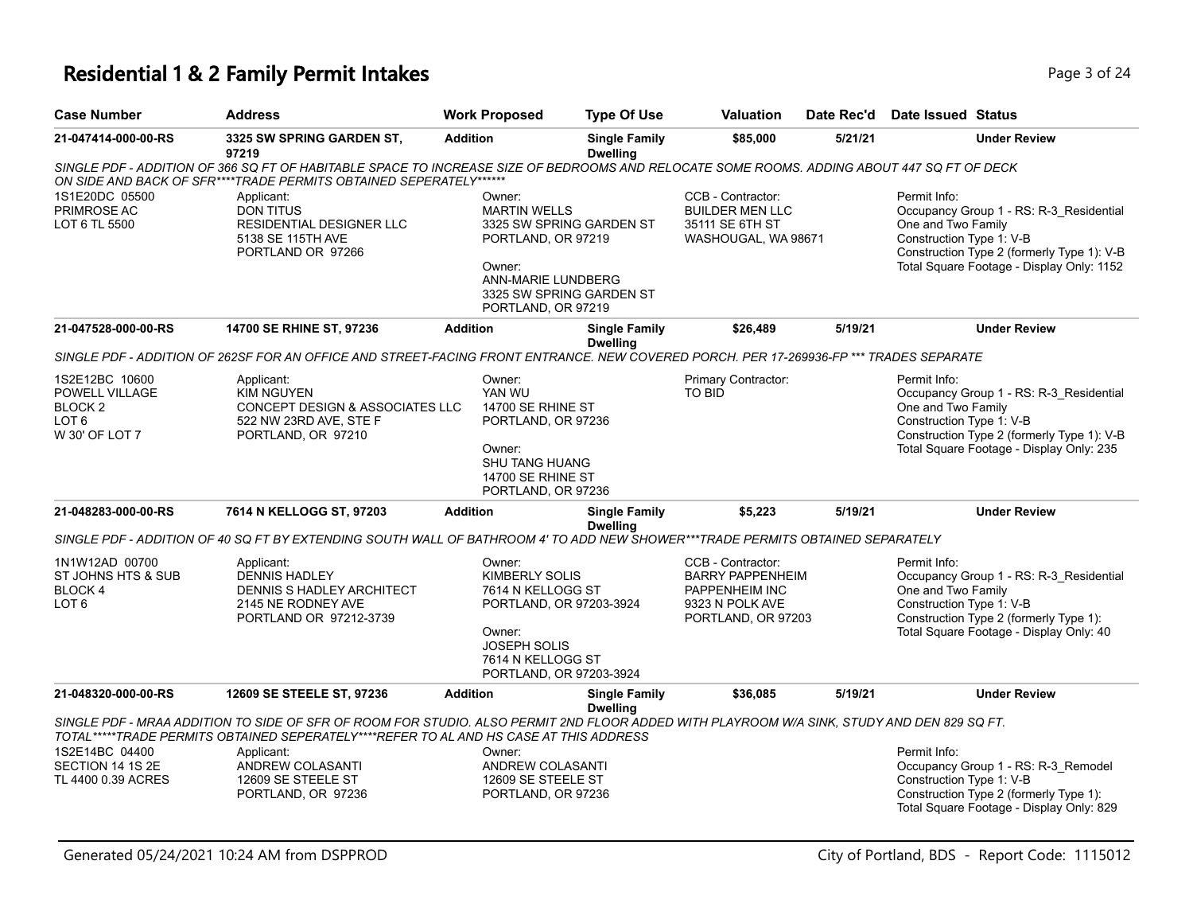#### **Residential 1 & 2 Family Permit Intakes Page 1 and 24 and 24 and 24 and 24 and 24 and 24 and 24 and 24 and 24 and 24**

| <b>Case Number</b>  | <b>Address</b>                                                                                                                             | <b>Work Proposed</b> | <b>Type Of Use</b>               | <b>Valuation</b>  | Date Rec'd | Date Issued Status |                                         |
|---------------------|--------------------------------------------------------------------------------------------------------------------------------------------|----------------------|----------------------------------|-------------------|------------|--------------------|-----------------------------------------|
| 21-047414-000-00-RS | 3325 SW SPRING GARDEN ST.<br>97219                                                                                                         | <b>Addition</b>      | <b>Single Family</b><br>Dwelling | \$85,000          | 5/21/21    |                    | <b>Under Review</b>                     |
|                     | SINGLE PDF - ADDITION OF 366 SQ FT OF HABITABLE SPACE TO INCREASE SIZE OF BEDROOMS AND RELOCATE SOME ROOMS. ADDING ABOUT 447 SQ FT OF DECK |                      |                                  |                   |            |                    |                                         |
|                     | ON SIDE AND BACK OF SFR****TRADE PERMITS OBTAINED SEPERATELY******                                                                         |                      |                                  |                   |            |                    |                                         |
| 1S1E20DC 05500      | Applicant:                                                                                                                                 | Owner:               |                                  | CCB - Contractor: |            | Permit Info:       |                                         |
| PRIMROSE AC         | DON TITUS                                                                                                                                  | <b>MARTIN WELLS</b>  |                                  | BUILDER MEN LLC   |            |                    | Occupancy Group 1 - RS: R-3 Residential |
| LOT 6 TL 5500       | RESIDENTIAL DESIGNER LLC                                                                                                                   |                      | 3325 SW SPRING GARDEN ST         | 35111 SE 6TH ST   |            | One and Two Family |                                         |

|                                                                                              | ON SIDE AND BACK OF SFR****TRADE PERMITS OBTAINED SEPERATELY******                                                                                                                                                                                                                                                 |                                                                                                            |                                                                                                                        |                                                                                                         |         |                                                                                                                                                                                                      |
|----------------------------------------------------------------------------------------------|--------------------------------------------------------------------------------------------------------------------------------------------------------------------------------------------------------------------------------------------------------------------------------------------------------------------|------------------------------------------------------------------------------------------------------------|------------------------------------------------------------------------------------------------------------------------|---------------------------------------------------------------------------------------------------------|---------|------------------------------------------------------------------------------------------------------------------------------------------------------------------------------------------------------|
| 1S1E20DC 05500<br>PRIMROSE AC<br>LOT 6 TL 5500                                               | Applicant:<br><b>DON TITUS</b><br>RESIDENTIAL DESIGNER LLC<br>5138 SE 115TH AVE<br>PORTLAND OR 97266                                                                                                                                                                                                               | Owner:<br><b>MARTIN WELLS</b><br>Owner:                                                                    | 3325 SW SPRING GARDEN ST<br>PORTLAND, OR 97219<br>ANN-MARIE LUNDBERG<br>3325 SW SPRING GARDEN ST<br>PORTLAND, OR 97219 | CCB - Contractor:<br><b>BUILDER MEN LLC</b><br>35111 SE 6TH ST<br>WASHOUGAL, WA 98671                   |         | Permit Info:<br>Occupancy Group 1 - RS: R-3_Residential<br>One and Two Family<br>Construction Type 1: V-B<br>Construction Type 2 (formerly Type 1): V-B<br>Total Square Footage - Display Only: 1152 |
| 21-047528-000-00-RS                                                                          | 14700 SE RHINE ST, 97236                                                                                                                                                                                                                                                                                           | <b>Addition</b>                                                                                            | <b>Single Family</b><br><b>Dwelling</b>                                                                                | \$26,489                                                                                                | 5/19/21 | <b>Under Review</b>                                                                                                                                                                                  |
|                                                                                              | SINGLE PDF - ADDITION OF 262SF FOR AN OFFICE AND STREET-FACING FRONT ENTRANCE. NEW COVERED PORCH. PER 17-269936-FP *** TRADES SEPARATE                                                                                                                                                                             |                                                                                                            |                                                                                                                        |                                                                                                         |         |                                                                                                                                                                                                      |
| 1S2E12BC 10600<br>POWELL VILLAGE<br>BLOCK <sub>2</sub><br>LOT <sub>6</sub><br>W 30' OF LOT 7 | Applicant:<br><b>KIM NGUYEN</b><br>CONCEPT DESIGN & ASSOCIATES LLC<br>522 NW 23RD AVE, STE F<br>PORTLAND, OR 97210                                                                                                                                                                                                 | Owner:<br>YAN WU<br>14700 SE RHINE ST<br>Owner:<br><b>SHU TANG HUANG</b><br>14700 SE RHINE ST              | PORTLAND, OR 97236<br>PORTLAND, OR 97236                                                                               | Primary Contractor:<br>TO BID                                                                           |         | Permit Info:<br>Occupancy Group 1 - RS: R-3_Residential<br>One and Two Family<br>Construction Type 1: V-B<br>Construction Type 2 (formerly Type 1): V-B<br>Total Square Footage - Display Only: 235  |
| 21-048283-000-00-RS                                                                          | 7614 N KELLOGG ST, 97203                                                                                                                                                                                                                                                                                           | <b>Addition</b>                                                                                            | <b>Single Family</b><br><b>Dwelling</b>                                                                                | \$5,223                                                                                                 | 5/19/21 | <b>Under Review</b>                                                                                                                                                                                  |
|                                                                                              | SINGLE PDF - ADDITION OF 40 SQ FT BY EXTENDING SOUTH WALL OF BATHROOM 4' TO ADD NEW SHOWER***TRADE PERMITS OBTAINED SEPARATELY                                                                                                                                                                                     |                                                                                                            |                                                                                                                        |                                                                                                         |         |                                                                                                                                                                                                      |
| 1N1W12AD 00700<br>ST JOHNS HTS & SUB<br>BLOCK 4<br>LOT <sub>6</sub>                          | Applicant:<br><b>DENNIS HADLEY</b><br><b>DENNIS S HADLEY ARCHITECT</b><br>2145 NE RODNEY AVE<br>PORTLAND OR 97212-3739                                                                                                                                                                                             | Owner:<br><b>KIMBERLY SOLIS</b><br>7614 N KELLOGG ST<br>Owner:<br><b>JOSEPH SOLIS</b><br>7614 N KELLOGG ST | PORTLAND, OR 97203-3924<br>PORTLAND, OR 97203-3924                                                                     | CCB - Contractor:<br><b>BARRY PAPPENHEIM</b><br>PAPPENHEIM INC<br>9323 N POLK AVE<br>PORTLAND, OR 97203 |         | Permit Info:<br>Occupancy Group 1 - RS: R-3 Residential<br>One and Two Family<br>Construction Type 1: V-B<br>Construction Type 2 (formerly Type 1):<br>Total Square Footage - Display Only: 40       |
| 21-048320-000-00-RS                                                                          | 12609 SE STEELE ST, 97236                                                                                                                                                                                                                                                                                          | <b>Addition</b>                                                                                            | <b>Single Family</b><br><b>Dwelling</b>                                                                                | \$36,085                                                                                                | 5/19/21 | <b>Under Review</b>                                                                                                                                                                                  |
| 1S2E14BC 04400<br>SECTION 14 1S 2E<br>TL 4400 0.39 ACRES                                     | SINGLE PDF - MRAA ADDITION TO SIDE OF SFR OF ROOM FOR STUDIO. ALSO PERMIT 2ND FLOOR ADDED WITH PLAYROOM W/A SINK, STUDY AND DEN 829 SQ FT.<br>TOTAL*****TRADE PERMITS OBTAINED SEPERATELY****REFER TO AL AND HS CASE AT THIS ADDRESS<br>Applicant:<br>ANDREW COLASANTI<br>12609 SE STEELE ST<br>PORTLAND, OR 97236 | Owner:<br>12609 SE STEELE ST                                                                               | ANDREW COLASANTI<br>PORTLAND, OR 97236                                                                                 |                                                                                                         |         | Permit Info:<br>Occupancy Group 1 - RS: R-3_Remodel<br>Construction Type 1: V-B<br>Construction Type 2 (formerly Type 1):<br>Total Square Footage - Display Only: 829                                |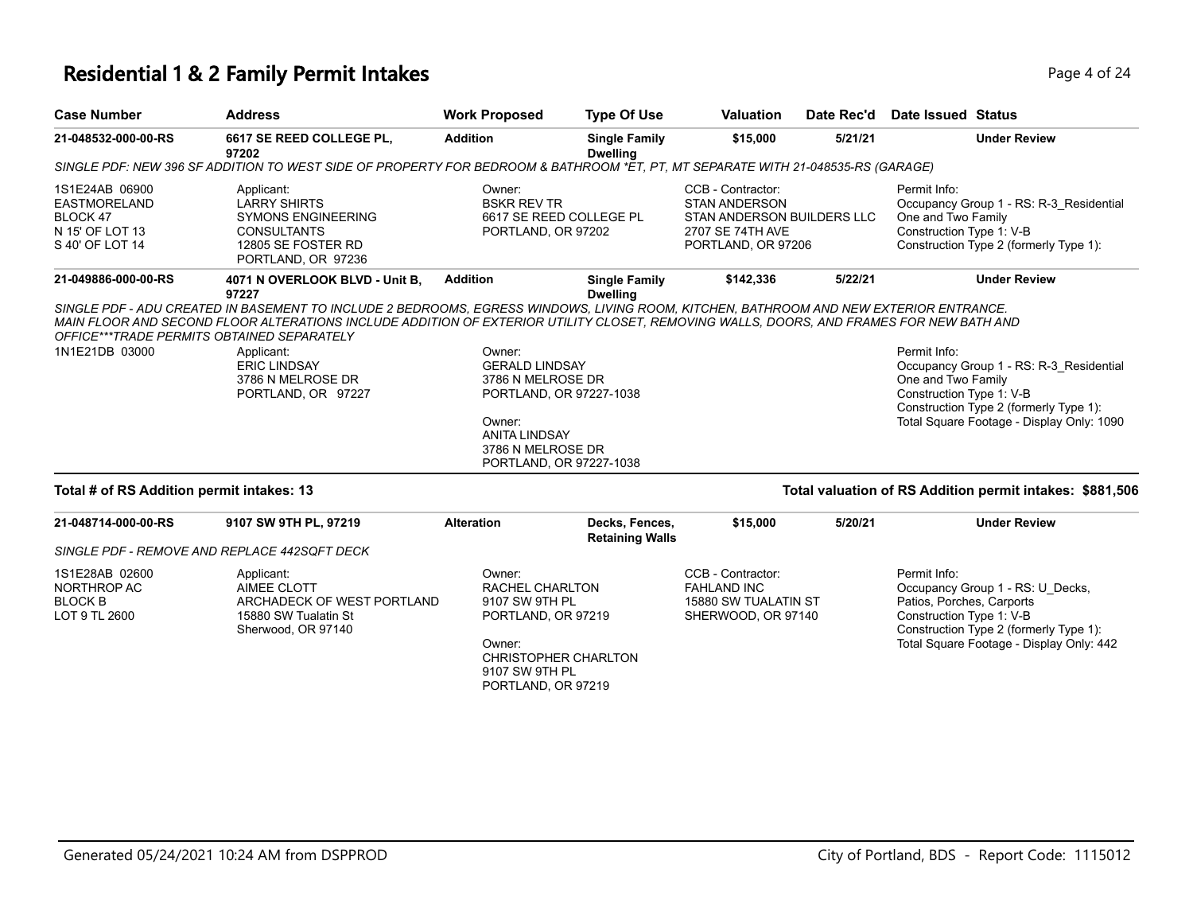#### **Residential 1 & 2 Family Permit Intakes Page 1 of 24 and 24 and 24 and 24 and 24 and 24 and 24 and 24 and 24 and 24 and 24 and 24 and 24 and 24 and 24 and 24 and 24 and 25 and 25 and 25 and 25 and 25 and 25 and 25 and 2**

| <b>Case Number</b>                                                                      | <b>Address</b>                                                                                                                                                                                                                                                                                                                                                                                                 | <b>Work Proposed</b>                                                                                        | <b>Type Of Use</b>                                 | <b>Valuation</b>                                                                                                  | Date Rec'd | Date Issued Status                                                                                                                                                                               |
|-----------------------------------------------------------------------------------------|----------------------------------------------------------------------------------------------------------------------------------------------------------------------------------------------------------------------------------------------------------------------------------------------------------------------------------------------------------------------------------------------------------------|-------------------------------------------------------------------------------------------------------------|----------------------------------------------------|-------------------------------------------------------------------------------------------------------------------|------------|--------------------------------------------------------------------------------------------------------------------------------------------------------------------------------------------------|
| 21-048532-000-00-RS                                                                     | 6617 SE REED COLLEGE PL,<br>97202                                                                                                                                                                                                                                                                                                                                                                              | <b>Addition</b>                                                                                             | <b>Single Family</b><br><b>Dwelling</b>            | \$15,000                                                                                                          | 5/21/21    | <b>Under Review</b>                                                                                                                                                                              |
|                                                                                         | SINGLE PDF: NEW 396 SF ADDITION TO WEST SIDE OF PROPERTY FOR BEDROOM & BATHROOM *ET, PT, MT SEPARATE WITH 21-048535-RS (GARAGE)                                                                                                                                                                                                                                                                                |                                                                                                             |                                                    |                                                                                                                   |            |                                                                                                                                                                                                  |
| 1S1E24AB 06900<br><b>EASTMORELAND</b><br>BLOCK 47<br>N 15' OF LOT 13<br>S 40' OF LOT 14 | Applicant:<br><b>LARRY SHIRTS</b><br><b>SYMONS ENGINEERING</b><br><b>CONSULTANTS</b><br>12805 SE FOSTER RD<br>PORTLAND, OR 97236                                                                                                                                                                                                                                                                               | Owner:<br><b>BSKR REV TR</b><br>PORTLAND, OR 97202                                                          | 6617 SE REED COLLEGE PL                            | CCB - Contractor:<br><b>STAN ANDERSON</b><br>STAN ANDERSON BUILDERS LLC<br>2707 SE 74TH AVE<br>PORTLAND, OR 97206 |            | Permit Info:<br>Occupancy Group 1 - RS: R-3 Residential<br>One and Two Family<br>Construction Type 1: V-B<br>Construction Type 2 (formerly Type 1):                                              |
| 21-049886-000-00-RS                                                                     | 4071 N OVERLOOK BLVD - Unit B.<br>97227                                                                                                                                                                                                                                                                                                                                                                        | <b>Addition</b>                                                                                             | <b>Single Family</b><br><b>Dwelling</b>            | \$142,336                                                                                                         | 5/22/21    | <b>Under Review</b>                                                                                                                                                                              |
| 1N1E21DB 03000                                                                          | SINGLE PDF - ADU CREATED IN BASEMENT TO INCLUDE 2 BEDROOMS, EGRESS WINDOWS, LIVING ROOM, KITCHEN, BATHROOM AND NEW EXTERIOR ENTRANCE.<br>MAIN FLOOR AND SECOND FLOOR ALTERATIONS INCLUDE ADDITION OF EXTERIOR UTILITY CLOSET, REMOVING WALLS, DOORS, AND FRAMES FOR NEW BATH AND<br>OFFICE***TRADE PERMITS OBTAINED SEPARATELY<br>Applicant:<br><b>ERIC LINDSAY</b><br>3786 N MELROSE DR<br>PORTLAND, OR 97227 | Owner:<br><b>GERALD LINDSAY</b><br>3786 N MELROSE DR<br>Owner:<br><b>ANITA LINDSAY</b><br>3786 N MELROSE DR | PORTLAND, OR 97227-1038<br>PORTLAND, OR 97227-1038 |                                                                                                                   |            | Permit Info:<br>Occupancy Group 1 - RS: R-3 Residential<br>One and Two Family<br>Construction Type 1: V-B<br>Construction Type 2 (formerly Type 1):<br>Total Square Footage - Display Only: 1090 |
| Total # of RS Addition permit intakes: 13                                               |                                                                                                                                                                                                                                                                                                                                                                                                                |                                                                                                             |                                                    |                                                                                                                   |            | Total valuation of RS Addition permit intakes: \$881,506                                                                                                                                         |
| 21-048714-000-00-RS                                                                     | 9107 SW 9TH PL, 97219                                                                                                                                                                                                                                                                                                                                                                                          | <b>Alteration</b>                                                                                           | Decks, Fences,<br><b>Retaining Walls</b>           | \$15,000                                                                                                          | 5/20/21    | <b>Under Review</b>                                                                                                                                                                              |
|                                                                                         | SINGLE PDF - REMOVE AND REPLACE 442SQFT DECK                                                                                                                                                                                                                                                                                                                                                                   |                                                                                                             |                                                    |                                                                                                                   |            |                                                                                                                                                                                                  |
| 1S1E28AB 02600<br>NORTHROP AC<br><b>BLOCK B</b><br>LOT 9 TL 2600                        | Applicant:<br><b>AIMEE CLOTT</b><br>ARCHADECK OF WEST PORTLAND<br>15880 SW Tualatin St<br>Sherwood, OR 97140                                                                                                                                                                                                                                                                                                   | Owner:<br><b>RACHEL CHARLTON</b><br>9107 SW 9TH PL<br>PORTLAND, OR 97219                                    |                                                    | CCB - Contractor:<br><b>FAHLAND INC</b><br>15880 SW TUALATIN ST<br>SHERWOOD, OR 97140                             |            | Permit Info:<br>Occupancy Group 1 - RS: U Decks,<br>Patios, Porches, Carports<br>Construction Type 1: V-B<br>Construction Type 2 (formerly Type 1):                                              |

CHRISTOPHER CHARLTON 9107 SW 9TH PL PORTLAND, OR 97219

Owner:

Total Square Footage - Display Only: 442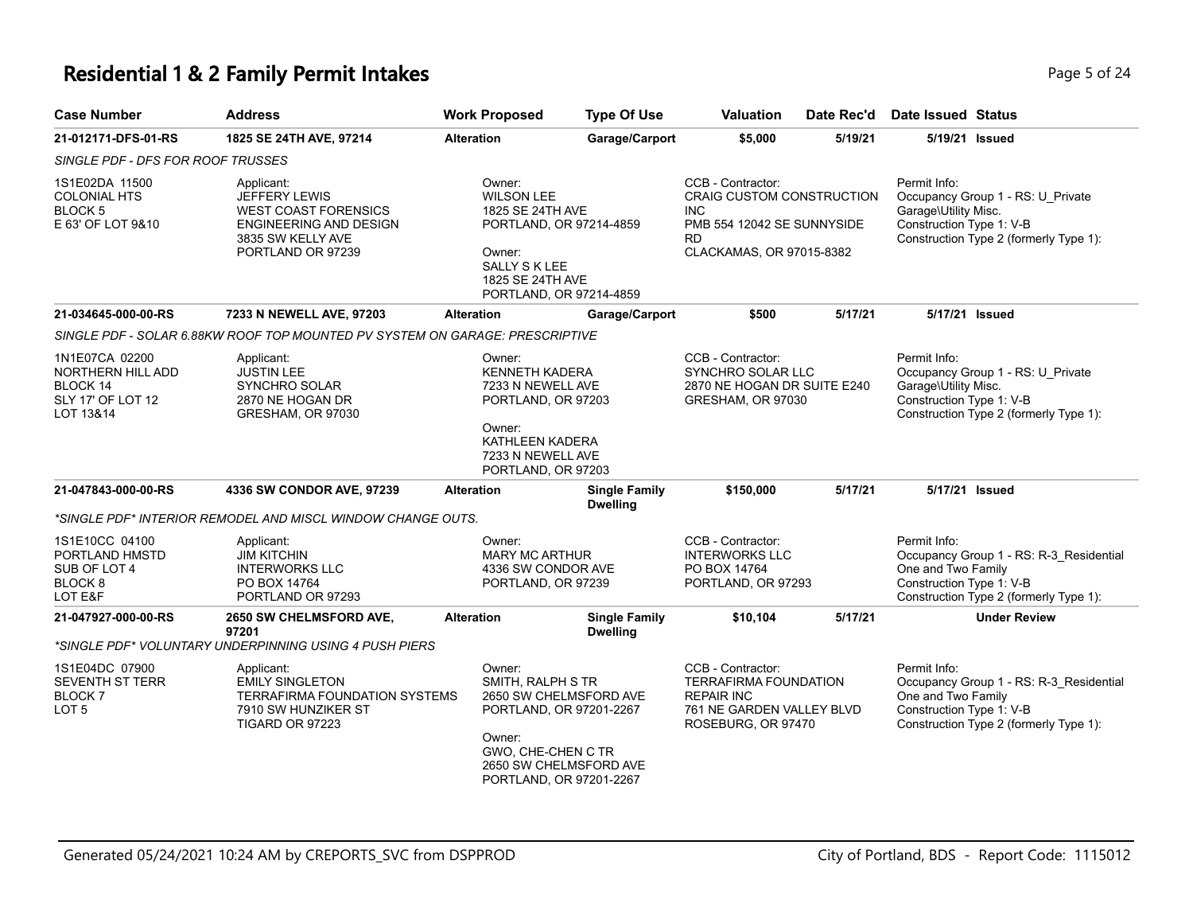# **Residential 1 & 2 Family Permit Intakes Page 1 and 24 and 24 and 24 and 24 and 24 and 24 and 24 and 24 and 24 and 24 and 24 and 24 and 24 and 24 and 24 and 25 of 24 and 25 of 24 and 25 of 24 and 25 of 24 and 25 of 24 an**

| <b>Case Number</b>                                                                 | <b>Address</b>                                                                                                                        | <b>Work Proposed</b>                                                                                                                               | <b>Type Of Use</b>                                                                                     | <b>Valuation</b>                                                                                                                           | Date Rec'd | <b>Date Issued Status</b>                                        |                                                                                   |
|------------------------------------------------------------------------------------|---------------------------------------------------------------------------------------------------------------------------------------|----------------------------------------------------------------------------------------------------------------------------------------------------|--------------------------------------------------------------------------------------------------------|--------------------------------------------------------------------------------------------------------------------------------------------|------------|------------------------------------------------------------------|-----------------------------------------------------------------------------------|
| 21-012171-DFS-01-RS                                                                | 1825 SE 24TH AVE, 97214                                                                                                               | <b>Alteration</b>                                                                                                                                  | Garage/Carport                                                                                         | \$5,000                                                                                                                                    | 5/19/21    |                                                                  | 5/19/21 Issued                                                                    |
| SINGLE PDF - DFS FOR ROOF TRUSSES                                                  |                                                                                                                                       |                                                                                                                                                    |                                                                                                        |                                                                                                                                            |            |                                                                  |                                                                                   |
| 1S1E02DA 11500<br><b>COLONIAL HTS</b><br><b>BLOCK5</b><br>E 63' OF LOT 9&10        | Applicant:<br><b>JEFFERY LEWIS</b><br><b>WEST COAST FORENSICS</b><br>ENGINEERING AND DESIGN<br>3835 SW KELLY AVE<br>PORTLAND OR 97239 | Owner:<br><b>WILSON LEE</b><br>1825 SE 24TH AVE<br>Owner:<br>SALLY S K LEE<br>1825 SE 24TH AVE                                                     | PORTLAND, OR 97214-4859<br>PORTLAND, OR 97214-4859                                                     | CCB - Contractor:<br><b>CRAIG CUSTOM CONSTRUCTION</b><br><b>INC</b><br>PMB 554 12042 SE SUNNYSIDE<br><b>RD</b><br>CLACKAMAS, OR 97015-8382 |            | Permit Info:<br>Garage\Utility Misc.<br>Construction Type 1: V-B | Occupancy Group 1 - RS: U Private<br>Construction Type 2 (formerly Type 1):       |
| 21-034645-000-00-RS                                                                | 7233 N NEWELL AVE, 97203                                                                                                              | <b>Alteration</b>                                                                                                                                  | Garage/Carport                                                                                         | \$500                                                                                                                                      | 5/17/21    | 5/17/21 Issued                                                   |                                                                                   |
|                                                                                    | SINGLE PDF - SOLAR 6.88KW ROOF TOP MOUNTED PV SYSTEM ON GARAGE: PRESCRIPTIVE                                                          |                                                                                                                                                    |                                                                                                        |                                                                                                                                            |            |                                                                  |                                                                                   |
| 1N1E07CA 02200<br>NORTHERN HILL ADD<br>BLOCK 14<br>SLY 17' OF LOT 12<br>LOT 13&14  | Applicant:<br><b>JUSTIN LEE</b><br>SYNCHRO SOLAR<br>2870 NE HOGAN DR<br>GRESHAM, OR 97030                                             | Owner:<br><b>KENNETH KADERA</b><br>7233 N NEWELL AVE<br>PORTLAND, OR 97203<br>Owner:<br>KATHLEEN KADERA<br>7233 N NEWELL AVE<br>PORTLAND, OR 97203 |                                                                                                        | CCB - Contractor:<br>SYNCHRO SOLAR LLC<br>2870 NE HOGAN DR SUITE E240<br>GRESHAM, OR 97030                                                 |            | Permit Info:<br>Garage\Utility Misc.<br>Construction Type 1: V-B | Occupancy Group 1 - RS: U_Private<br>Construction Type 2 (formerly Type 1):       |
| 21-047843-000-00-RS                                                                | 4336 SW CONDOR AVE, 97239                                                                                                             | <b>Alteration</b>                                                                                                                                  | <b>Single Family</b><br><b>Dwelling</b>                                                                | \$150,000                                                                                                                                  | 5/17/21    |                                                                  | 5/17/21 Issued                                                                    |
|                                                                                    | *SINGLE PDF* INTERIOR REMODEL AND MISCL WINDOW CHANGE OUTS.                                                                           |                                                                                                                                                    |                                                                                                        |                                                                                                                                            |            |                                                                  |                                                                                   |
| 1S1E10CC 04100<br>PORTLAND HMSTD<br>SUB OF LOT 4<br>BLOCK <sub>8</sub><br>LOT E&F  | Applicant:<br><b>JIM KITCHIN</b><br><b>INTERWORKS LLC</b><br>PO BOX 14764<br>PORTLAND OR 97293                                        | Owner:<br><b>MARY MC ARTHUR</b><br>4336 SW CONDOR AVE<br>PORTLAND, OR 97239                                                                        |                                                                                                        | CCB - Contractor:<br><b>INTERWORKS LLC</b><br>PO BOX 14764<br>PORTLAND, OR 97293                                                           |            | Permit Info:<br>One and Two Family<br>Construction Type 1: V-B   | Occupancy Group 1 - RS: R-3_Residential<br>Construction Type 2 (formerly Type 1): |
| 21-047927-000-00-RS                                                                | 2650 SW CHELMSFORD AVE,                                                                                                               | <b>Alteration</b>                                                                                                                                  | <b>Single Family</b>                                                                                   | \$10,104                                                                                                                                   | 5/17/21    |                                                                  | <b>Under Review</b>                                                               |
|                                                                                    | 97201<br>*SINGLE PDF* VOLUNTARY UNDERPINNING USING 4 PUSH PIERS                                                                       |                                                                                                                                                    | <b>Dwelling</b>                                                                                        |                                                                                                                                            |            |                                                                  |                                                                                   |
| 1S1E04DC 07900<br><b>SEVENTH ST TERR</b><br>BLOCK <sub>7</sub><br>LOT <sub>5</sub> | Applicant:<br><b>EMILY SINGLETON</b><br><b>TERRAFIRMA FOUNDATION SYSTEMS</b><br>7910 SW HUNZIKER ST<br>TIGARD OR 97223                | Owner:<br>SMITH, RALPH S TR<br>Owner:<br>GWO, CHE-CHEN C TR                                                                                        | 2650 SW CHELMSFORD AVE<br>PORTLAND, OR 97201-2267<br>2650 SW CHELMSFORD AVE<br>PORTLAND, OR 97201-2267 | CCB - Contractor:<br><b>TERRAFIRMA FOUNDATION</b><br><b>REPAIR INC</b><br>761 NE GARDEN VALLEY BLVD<br>ROSEBURG, OR 97470                  |            | Permit Info:<br>One and Two Family<br>Construction Type 1: V-B   | Occupancy Group 1 - RS: R-3_Residential<br>Construction Type 2 (formerly Type 1): |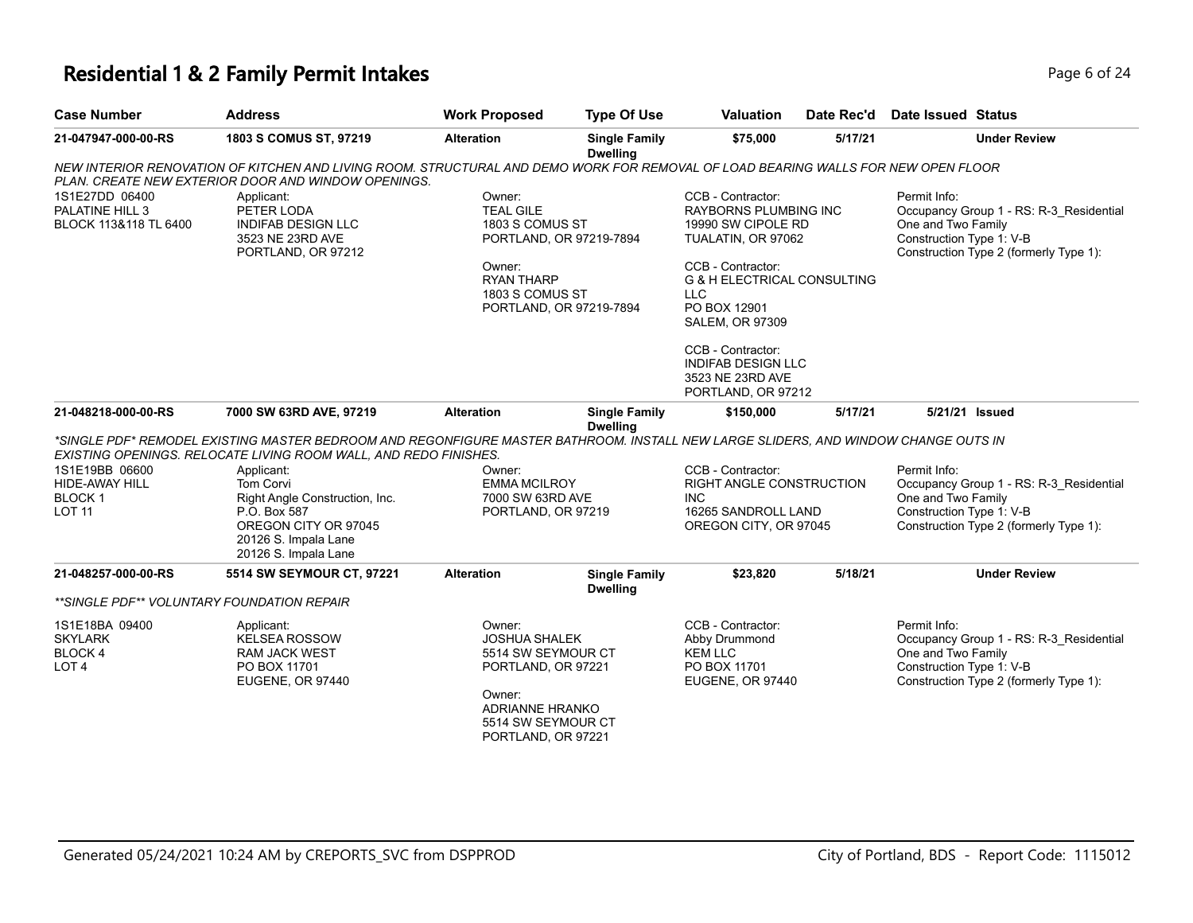# **Residential 1 & 2 Family Permit Intakes** Page 6 of 24 of 24 of 24 of 24 of 24 of 24 of 24 of 24 of 24 of 24 of 24 of 24 of 24 of 24 of 24 of 24 of 24 of 24 of 24 of 24 of 24 of 24 of 24 of 24 of 24 of 24 of 24 of 24 of 24

| Page 6 of 24 |  |  |
|--------------|--|--|

| <b>Case Number</b>                                                 | <b>Address</b>                                                                                                                                                                                         | <b>Work Proposed</b>                                                                                                                                                                          | <b>Type Of Use</b>                      | <b>Valuation</b>                                                                                                                                                                                                                                                                                          | Date Rec'd | Date Issued Status                                                                                                                                  |
|--------------------------------------------------------------------|--------------------------------------------------------------------------------------------------------------------------------------------------------------------------------------------------------|-----------------------------------------------------------------------------------------------------------------------------------------------------------------------------------------------|-----------------------------------------|-----------------------------------------------------------------------------------------------------------------------------------------------------------------------------------------------------------------------------------------------------------------------------------------------------------|------------|-----------------------------------------------------------------------------------------------------------------------------------------------------|
| 21-047947-000-00-RS                                                | 1803 S COMUS ST, 97219                                                                                                                                                                                 | <b>Alteration</b>                                                                                                                                                                             | <b>Single Family</b><br><b>Dwelling</b> | \$75,000                                                                                                                                                                                                                                                                                                  | 5/17/21    | <b>Under Review</b>                                                                                                                                 |
|                                                                    | NEW INTERIOR RENOVATION OF KITCHEN AND LIVING ROOM. STRUCTURAL AND DEMO WORK FOR REMOVAL OF LOAD BEARING WALLS FOR NEW OPEN FLOOR<br>PLAN. CREATE NEW EXTERIOR DOOR AND WINDOW OPENINGS.               |                                                                                                                                                                                               |                                         |                                                                                                                                                                                                                                                                                                           |            |                                                                                                                                                     |
| 1S1E27DD 06400<br>PALATINE HILL 3<br>BLOCK 113&118 TL 6400         | Applicant:<br>PETER LODA<br><b>INDIFAB DESIGN LLC</b><br>3523 NE 23RD AVE<br>PORTLAND, OR 97212                                                                                                        | Owner:<br><b>TEAL GILE</b><br>1803 S COMUS ST<br>PORTLAND, OR 97219-7894<br>Owner:<br><b>RYAN THARP</b><br>1803 S COMUS ST<br>PORTLAND, OR 97219-7894                                         |                                         | CCB - Contractor:<br>RAYBORNS PLUMBING INC<br>19990 SW CIPOLE RD<br>TUALATIN, OR 97062<br>CCB - Contractor:<br><b>G &amp; H ELECTRICAL CONSULTING</b><br><b>LLC</b><br>PO BOX 12901<br><b>SALEM, OR 97309</b><br>CCB - Contractor:<br><b>INDIFAB DESIGN LLC</b><br>3523 NE 23RD AVE<br>PORTLAND, OR 97212 |            | Permit Info:<br>Occupancy Group 1 - RS: R-3_Residential<br>One and Two Family<br>Construction Type 1: V-B<br>Construction Type 2 (formerly Type 1): |
| 21-048218-000-00-RS                                                | 7000 SW 63RD AVE, 97219                                                                                                                                                                                | <b>Alteration</b>                                                                                                                                                                             | <b>Single Family</b>                    | \$150,000                                                                                                                                                                                                                                                                                                 | 5/17/21    | 5/21/21 Issued                                                                                                                                      |
|                                                                    | *SINGLE PDF* REMODEL EXISTING MASTER BEDROOM AND REGONFIGURE MASTER BATHROOM. INSTALL NEW LARGE SLIDERS, AND WINDOW CHANGE OUTS IN<br>EXISTING OPENINGS. RELOCATE LIVING ROOM WALL, AND REDO FINISHES. |                                                                                                                                                                                               | <b>Dwelling</b>                         |                                                                                                                                                                                                                                                                                                           |            |                                                                                                                                                     |
| 1S1E19BB 06600<br>HIDE-AWAY HILL<br><b>BLOCK1</b><br><b>LOT 11</b> | Applicant:<br>Tom Corvi<br>Right Angle Construction, Inc.<br>P.O. Box 587<br>OREGON CITY OR 97045<br>20126 S. Impala Lane<br>20126 S. Impala Lane                                                      | <b>CCB - Contractor:</b><br>Owner:<br><b>EMMA MCILROY</b><br>RIGHT ANGLE CONSTRUCTION<br><b>INC</b><br>7000 SW 63RD AVE<br>16265 SANDROLL LAND<br>PORTLAND, OR 97219<br>OREGON CITY, OR 97045 |                                         | Permit Info:<br>Occupancy Group 1 - RS: R-3 Residential<br>One and Two Family<br>Construction Type 1: V-B<br>Construction Type 2 (formerly Type 1):                                                                                                                                                       |            |                                                                                                                                                     |
| 21-048257-000-00-RS                                                | 5514 SW SEYMOUR CT, 97221                                                                                                                                                                              | <b>Alteration</b>                                                                                                                                                                             | <b>Single Family</b>                    | \$23,820                                                                                                                                                                                                                                                                                                  | 5/18/21    | <b>Under Review</b>                                                                                                                                 |
| **SINGLE PDF** VOLUNTARY FOUNDATION REPAIR                         |                                                                                                                                                                                                        |                                                                                                                                                                                               | <b>Dwelling</b>                         |                                                                                                                                                                                                                                                                                                           |            |                                                                                                                                                     |
| 1S1E18BA 09400<br><b>SKYLARK</b><br>BLOCK 4<br>LOT <sub>4</sub>    | Applicant:<br><b>KELSEA ROSSOW</b><br><b>RAM JACK WEST</b><br>PO BOX 11701<br>EUGENE, OR 97440                                                                                                         | Owner:<br><b>JOSHUA SHALEK</b><br>5514 SW SEYMOUR CT<br>PORTLAND, OR 97221<br>Owner:<br>ADRIANNE HRANKO<br>5514 SW SEYMOUR CT<br>PORTLAND, OR 97221                                           |                                         | CCB - Contractor:<br>Abby Drummond<br><b>KEM LLC</b><br>PO BOX 11701<br>EUGENE, OR 97440                                                                                                                                                                                                                  |            | Permit Info:<br>Occupancy Group 1 - RS: R-3_Residential<br>One and Two Family<br>Construction Type 1: V-B<br>Construction Type 2 (formerly Type 1): |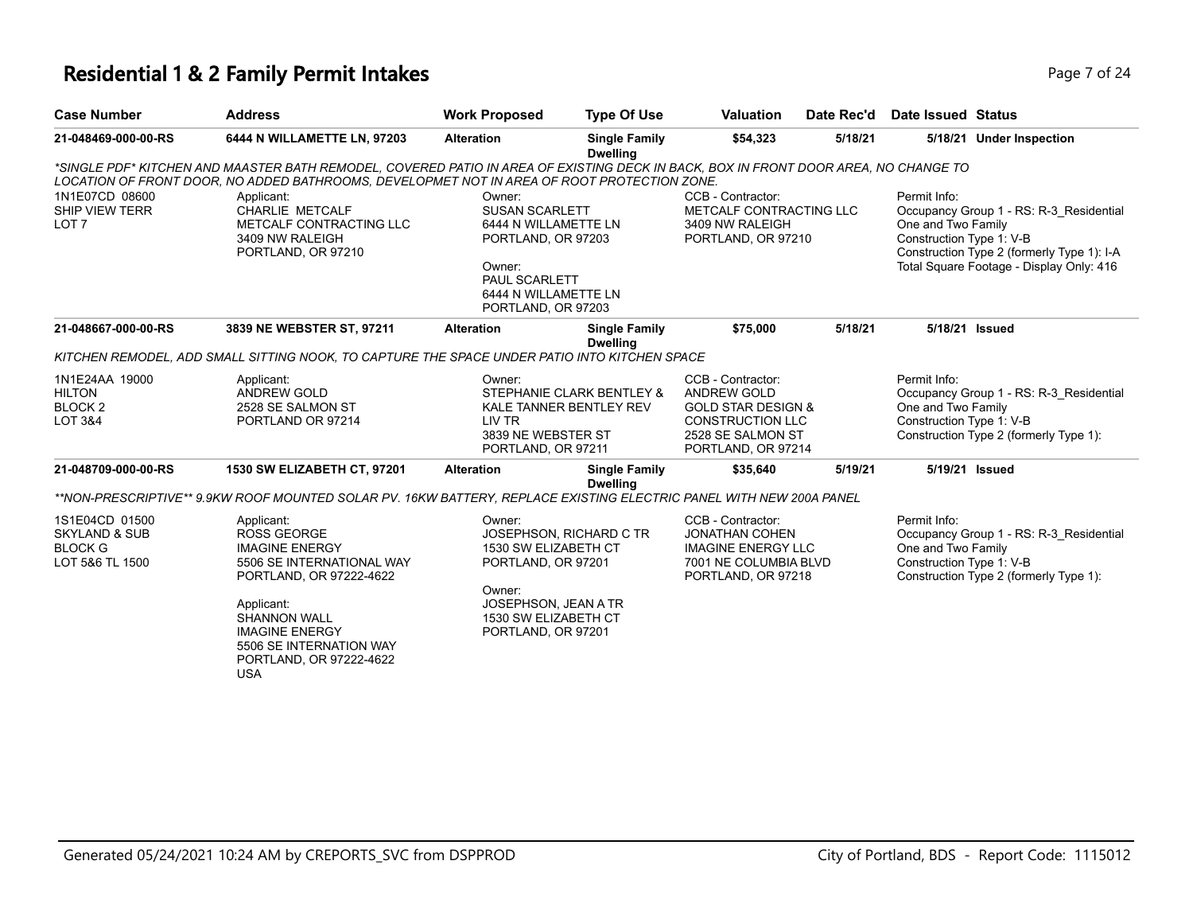#### **Residential 1 & 2 Family Permit Intakes Page 7 of 24 Page 7 of 24**

| <b>Case Number</b>                                                              | <b>Address</b>                                                                                                                                                                                                                     | <b>Work Proposed</b>                                                                                                                                   | <b>Type Of Use</b>                                   | <b>Valuation</b>                                                                                                                               | Date Rec'd | Date Issued Status                                             |                                                                                                                                   |
|---------------------------------------------------------------------------------|------------------------------------------------------------------------------------------------------------------------------------------------------------------------------------------------------------------------------------|--------------------------------------------------------------------------------------------------------------------------------------------------------|------------------------------------------------------|------------------------------------------------------------------------------------------------------------------------------------------------|------------|----------------------------------------------------------------|-----------------------------------------------------------------------------------------------------------------------------------|
| 21-048469-000-00-RS                                                             | 6444 N WILLAMETTE LN, 97203                                                                                                                                                                                                        | <b>Alteration</b>                                                                                                                                      | <b>Single Family</b><br><b>Dwelling</b>              | \$54,323                                                                                                                                       | 5/18/21    |                                                                | 5/18/21 Under Inspection                                                                                                          |
|                                                                                 | *SINGLE PDF* KITCHEN AND MAASTER BATH REMODEL, COVERED PATIO IN AREA OF EXISTING DECK IN BACK, BOX IN FRONT DOOR AREA, NO CHANGE TO<br>LOCATION OF FRONT DOOR, NO ADDED BATHROOMS, DEVELOPMET NOT IN AREA OF ROOT PROTECTION ZONE. |                                                                                                                                                        |                                                      |                                                                                                                                                |            |                                                                |                                                                                                                                   |
| 1N1E07CD 08600<br><b>SHIP VIEW TERR</b><br>LOT <sub>7</sub>                     | Applicant:<br><b>CHARLIE METCALF</b><br>METCALF CONTRACTING LLC<br>3409 NW RALEIGH<br>PORTLAND, OR 97210                                                                                                                           | Owner:<br><b>SUSAN SCARLETT</b><br>6444 N WILLAMETTE LN<br>PORTLAND, OR 97203<br>Owner:<br>PAUL SCARLETT<br>6444 N WILLAMETTE LN<br>PORTLAND, OR 97203 |                                                      | CCB - Contractor:<br>METCALF CONTRACTING LLC<br>3409 NW RALEIGH<br>PORTLAND, OR 97210                                                          |            | Permit Info:<br>One and Two Family<br>Construction Type 1: V-B | Occupancy Group 1 - RS: R-3 Residential<br>Construction Type 2 (formerly Type 1): I-A<br>Total Square Footage - Display Only: 416 |
| 21-048667-000-00-RS                                                             | 3839 NE WEBSTER ST, 97211                                                                                                                                                                                                          | <b>Alteration</b>                                                                                                                                      | <b>Single Family</b><br><b>Dwelling</b>              | \$75,000                                                                                                                                       | 5/18/21    |                                                                | 5/18/21 Issued                                                                                                                    |
|                                                                                 | KITCHEN REMODEL, ADD SMALL SITTING NOOK, TO CAPTURE THE SPACE UNDER PATIO INTO KITCHEN SPACE                                                                                                                                       |                                                                                                                                                        |                                                      |                                                                                                                                                |            |                                                                |                                                                                                                                   |
| 1N1E24AA 19000<br><b>HILTON</b><br>BLOCK <sub>2</sub><br><b>LOT 3&amp;4</b>     | Applicant:<br><b>ANDREW GOLD</b><br>2528 SE SALMON ST<br>PORTLAND OR 97214                                                                                                                                                         | Owner:<br>LIV TR<br>3839 NE WEBSTER ST<br>PORTLAND, OR 97211                                                                                           | STEPHANIE CLARK BENTLEY &<br>KALE TANNER BENTLEY REV | CCB - Contractor:<br><b>ANDREW GOLD</b><br><b>GOLD STAR DESIGN &amp;</b><br><b>CONSTRUCTION LLC</b><br>2528 SE SALMON ST<br>PORTLAND, OR 97214 |            | Permit Info:<br>One and Two Family<br>Construction Type 1: V-B | Occupancy Group 1 - RS: R-3_Residential<br>Construction Type 2 (formerly Type 1):                                                 |
| 21-048709-000-00-RS                                                             | 1530 SW ELIZABETH CT, 97201                                                                                                                                                                                                        | <b>Alteration</b>                                                                                                                                      | <b>Single Family</b><br><b>Dwelling</b>              | \$35,640                                                                                                                                       | 5/19/21    |                                                                | 5/19/21 Issued                                                                                                                    |
|                                                                                 | **NON-PRESCRIPTIVE** 9.9KW ROOF MOUNTED SOLAR PV. 16KW BATTERY, REPLACE EXISTING ELECTRIC PANEL WITH NEW 200A PANEL                                                                                                                |                                                                                                                                                        |                                                      |                                                                                                                                                |            |                                                                |                                                                                                                                   |
| 1S1E04CD 01500<br><b>SKYLAND &amp; SUB</b><br><b>BLOCK G</b><br>LOT 5&6 TL 1500 | Applicant:<br><b>ROSS GEORGE</b><br><b>IMAGINE ENERGY</b><br>5506 SE INTERNATIONAL WAY<br>PORTLAND, OR 97222-4622                                                                                                                  | Owner:<br>1530 SW ELIZABETH CT<br>PORTLAND, OR 97201                                                                                                   | JOSEPHSON, RICHARD C TR                              | CCB - Contractor:<br><b>JONATHAN COHEN</b><br><b>IMAGINE ENERGY LLC</b><br>7001 NE COLUMBIA BLVD<br>PORTLAND, OR 97218                         |            | Permit Info:<br>One and Two Family<br>Construction Type 1: V-B | Occupancy Group 1 - RS: R-3_Residential<br>Construction Type 2 (formerly Type 1):                                                 |
|                                                                                 | Applicant:<br><b>SHANNON WALL</b>                                                                                                                                                                                                  | Owner:<br>JOSEPHSON, JEAN A TR<br>1530 SW ELIZABETH CT                                                                                                 |                                                      |                                                                                                                                                |            |                                                                |                                                                                                                                   |

PORTLAND, OR 97201

IMAGINE ENERGY

USA

5506 SE INTERNATION WAY PORTLAND, OR 97222-4622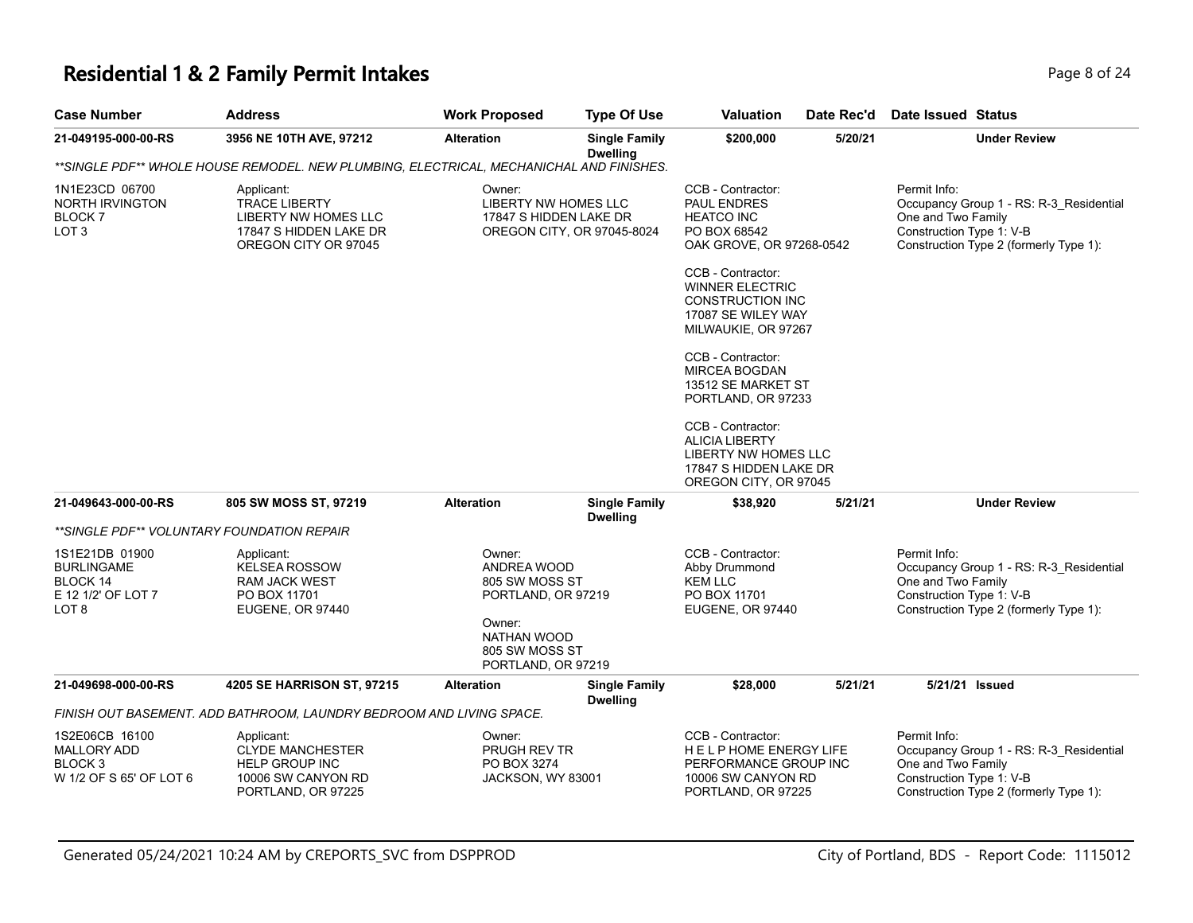# **Residential 1 & 2 Family Permit Intakes Page 1 and 24 and 24 and 24 and 24 and 24 and 24 and 24 and 24 and 24 and 24**

| <b>Case Number</b>                                                      | <b>Address</b>                                                                                               | <b>Work Proposed</b>                                                                   | <b>Type Of Use</b>                      | <b>Valuation</b>                                                                                                      | Date Rec'd | <b>Date Issued Status</b>                                                                                                                           |
|-------------------------------------------------------------------------|--------------------------------------------------------------------------------------------------------------|----------------------------------------------------------------------------------------|-----------------------------------------|-----------------------------------------------------------------------------------------------------------------------|------------|-----------------------------------------------------------------------------------------------------------------------------------------------------|
| 21-049195-000-00-RS                                                     | 3956 NE 10TH AVE, 97212                                                                                      | <b>Alteration</b>                                                                      | <b>Single Family</b><br><b>Dwelling</b> | \$200,000                                                                                                             | 5/20/21    | <b>Under Review</b>                                                                                                                                 |
|                                                                         | **SINGLE PDF** WHOLE HOUSE REMODEL. NEW PLUMBING, ELECTRICAL, MECHANICHAL AND FINISHES.                      |                                                                                        |                                         |                                                                                                                       |            |                                                                                                                                                     |
| 1N1E23CD 06700<br>NORTH IRVINGTON<br>BLOCK 7<br>LOT 3                   | Applicant:<br><b>TRACE LIBERTY</b><br>LIBERTY NW HOMES LLC<br>17847 S HIDDEN LAKE DR<br>OREGON CITY OR 97045 | Owner:<br>LIBERTY NW HOMES LLC<br>17847 S HIDDEN LAKE DR<br>OREGON CITY, OR 97045-8024 |                                         | CCB - Contractor:<br>PAUL ENDRES<br><b>HEATCO INC</b><br>PO BOX 68542<br>OAK GROVE, OR 97268-0542                     |            | Permit Info:<br>Occupancy Group 1 - RS: R-3 Residential<br>One and Two Family<br>Construction Type 1: V-B<br>Construction Type 2 (formerly Type 1): |
|                                                                         |                                                                                                              |                                                                                        |                                         | CCB - Contractor:<br>WINNER ELECTRIC<br><b>CONSTRUCTION INC</b><br>17087 SE WILEY WAY<br>MILWAUKIE, OR 97267          |            |                                                                                                                                                     |
|                                                                         |                                                                                                              |                                                                                        |                                         | CCB - Contractor:<br><b>MIRCEA BOGDAN</b><br>13512 SE MARKET ST<br>PORTLAND, OR 97233                                 |            |                                                                                                                                                     |
|                                                                         |                                                                                                              |                                                                                        |                                         | CCB - Contractor:<br><b>ALICIA LIBERTY</b><br>LIBERTY NW HOMES LLC<br>17847 S HIDDEN LAKE DR<br>OREGON CITY, OR 97045 |            |                                                                                                                                                     |
| 21-049643-000-00-RS                                                     | 805 SW MOSS ST, 97219                                                                                        | <b>Alteration</b>                                                                      | <b>Single Family</b><br><b>Dwelling</b> | \$38,920                                                                                                              | 5/21/21    | <b>Under Review</b>                                                                                                                                 |
| **SINGLE PDF** VOLUNTARY FOUNDATION REPAIR                              |                                                                                                              |                                                                                        |                                         |                                                                                                                       |            |                                                                                                                                                     |
| 1S1E21DB 01900<br>BURLINGAME<br>BLOCK 14<br>E 12 1/2' OF LOT 7<br>LOT 8 | Applicant:<br><b>KELSEA ROSSOW</b><br>RAM JACK WEST<br>PO BOX 11701<br>EUGENE, OR 97440                      | Owner:<br>ANDREA WOOD<br>805 SW MOSS ST<br>PORTLAND, OR 97219<br>Owner:<br>NATHAN WOOD |                                         | CCB - Contractor:<br>Abby Drummond<br><b>KEM LLC</b><br>PO BOX 11701<br>EUGENE, OR 97440                              |            | Permit Info:<br>Occupancy Group 1 - RS: R-3 Residential<br>One and Two Family<br>Construction Type 1: V-B<br>Construction Type 2 (formerly Type 1): |
|                                                                         |                                                                                                              | 805 SW MOSS ST<br>PORTLAND, OR 97219                                                   |                                         |                                                                                                                       |            |                                                                                                                                                     |
| 21-049698-000-00-RS                                                     | 4205 SE HARRISON ST, 97215                                                                                   | <b>Alteration</b>                                                                      | <b>Single Family</b><br><b>Dwelling</b> | \$28,000                                                                                                              | 5/21/21    | 5/21/21 Issued                                                                                                                                      |
|                                                                         | FINISH OUT BASEMENT. ADD BATHROOM, LAUNDRY BEDROOM AND LIVING SPACE.                                         |                                                                                        |                                         |                                                                                                                       |            |                                                                                                                                                     |
| 1S2E06CB 16100<br>MALLORY ADD<br>BLOCK 3<br>W 1/2 OF S 65' OF LOT 6     | Applicant:<br><b>CLYDE MANCHESTER</b><br><b>HELP GROUP INC</b><br>10006 SW CANYON RD<br>PORTLAND, OR 97225   | Owner:<br>PRUGH REV TR<br>PO BOX 3274<br>JACKSON, WY 83001                             |                                         | CCB - Contractor:<br>HELP HOME ENERGY LIFE<br>PERFORMANCE GROUP INC<br>10006 SW CANYON RD<br>PORTLAND, OR 97225       |            | Permit Info:<br>Occupancy Group 1 - RS: R-3_Residential<br>One and Two Family<br>Construction Type 1: V-B<br>Construction Type 2 (formerly Type 1): |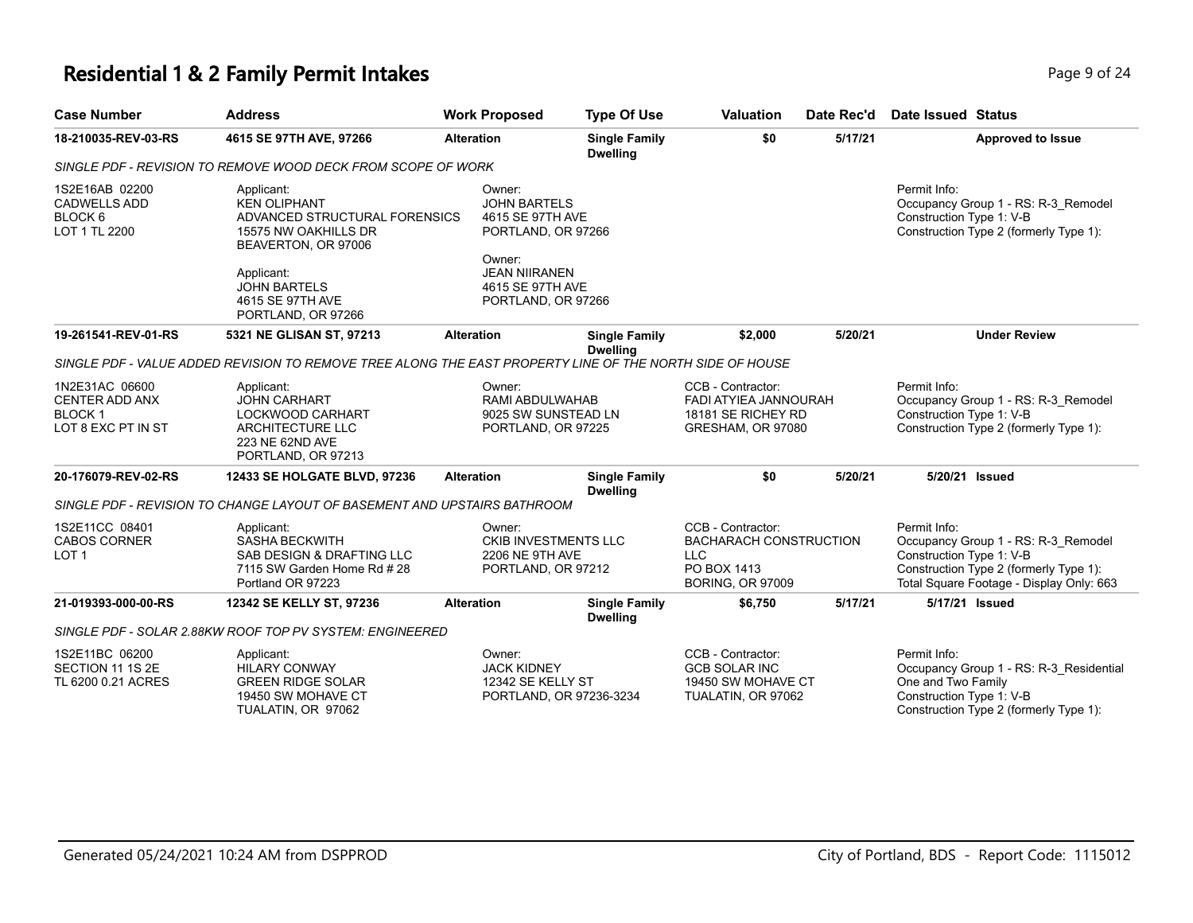# **Residential 1 & 2 Family Permit Intakes Page 1 and Security Page 9 of 24**

| <b>Case Number</b>                                                           | <b>Address</b>                                                                                                                                                                                   | <b>Work Proposed</b>                                                                                    | <b>Type Of Use</b>                                           | <b>Valuation</b>                                                                                           | Date Rec'd | <b>Date Issued Status</b>                                                                                                                                             |
|------------------------------------------------------------------------------|--------------------------------------------------------------------------------------------------------------------------------------------------------------------------------------------------|---------------------------------------------------------------------------------------------------------|--------------------------------------------------------------|------------------------------------------------------------------------------------------------------------|------------|-----------------------------------------------------------------------------------------------------------------------------------------------------------------------|
| 18-210035-REV-03-RS                                                          | 4615 SE 97TH AVE, 97266                                                                                                                                                                          | <b>Alteration</b>                                                                                       | <b>Single Family</b><br><b>Dwelling</b>                      | \$0                                                                                                        | 5/17/21    | <b>Approved to Issue</b>                                                                                                                                              |
|                                                                              | SINGLE PDF - REVISION TO REMOVE WOOD DECK FROM SCOPE OF WORK                                                                                                                                     |                                                                                                         |                                                              |                                                                                                            |            |                                                                                                                                                                       |
| 1S2E16AB 02200<br><b>CADWELLS ADD</b><br>BLOCK 6<br>LOT 1 TL 2200            | Applicant:<br><b>KEN OLIPHANT</b><br>ADVANCED STRUCTURAL FORENSICS<br>15575 NW OAKHILLS DR<br>BEAVERTON, OR 97006<br>Applicant:<br><b>JOHN BARTELS</b><br>4615 SE 97TH AVE<br>PORTLAND, OR 97266 | Owner:<br><b>JOHN BARTELS</b><br>4615 SE 97TH AVE<br>Owner:<br><b>JEAN NIIRANEN</b><br>4615 SE 97TH AVE | PORTLAND, OR 97266<br>PORTLAND, OR 97266                     |                                                                                                            |            | Permit Info:<br>Occupancy Group 1 - RS: R-3_Remodel<br>Construction Type 1: V-B<br>Construction Type 2 (formerly Type 1):                                             |
| 19-261541-REV-01-RS                                                          | 5321 NE GLISAN ST, 97213                                                                                                                                                                         | <b>Alteration</b>                                                                                       | <b>Single Family</b><br><b>Dwelling</b>                      | \$2,000                                                                                                    | 5/20/21    | <b>Under Review</b>                                                                                                                                                   |
|                                                                              | SINGLE PDF - VALUE ADDED REVISION TO REMOVE TREE ALONG THE EAST PROPERTY LINE OF THE NORTH SIDE OF HOUSE                                                                                         |                                                                                                         |                                                              |                                                                                                            |            |                                                                                                                                                                       |
| 1N2E31AC 06600<br>CENTER ADD ANX<br>BLOCK <sub>1</sub><br>LOT 8 EXC PT IN ST | Applicant:<br><b>JOHN CARHART</b><br>LOCKWOOD CARHART<br><b>ARCHITECTURE LLC</b><br>223 NE 62ND AVE<br>PORTLAND, OR 97213                                                                        | Owner:                                                                                                  | RAMI ABDULWAHAB<br>9025 SW SUNSTEAD LN<br>PORTLAND, OR 97225 | CCB - Contractor:<br>FADI ATYIEA JANNOURAH<br>18181 SE RICHEY RD<br>GRESHAM, OR 97080                      |            | Permit Info:<br>Occupancy Group 1 - RS: R-3_Remodel<br>Construction Type 1: V-B<br>Construction Type 2 (formerly Type 1):                                             |
| 20-176079-REV-02-RS                                                          | 12433 SE HOLGATE BLVD, 97236                                                                                                                                                                     | <b>Alteration</b>                                                                                       | <b>Single Family</b><br><b>Dwelling</b>                      | \$0                                                                                                        | 5/20/21    | 5/20/21 Issued                                                                                                                                                        |
|                                                                              | SINGLE PDF - REVISION TO CHANGE LAYOUT OF BASEMENT AND UPSTAIRS BATHROOM                                                                                                                         |                                                                                                         |                                                              |                                                                                                            |            |                                                                                                                                                                       |
| 1S2E11CC 08401<br><b>CABOS CORNER</b><br>LOT <sub>1</sub>                    | Applicant:<br><b>SASHA BECKWITH</b><br>SAB DESIGN & DRAFTING LLC<br>7115 SW Garden Home Rd # 28<br>Portland OR 97223                                                                             | Owner:<br><b>2206 NE 9TH AVE</b>                                                                        | <b>CKIB INVESTMENTS LLC</b><br>PORTLAND, OR 97212            | CCB - Contractor:<br><b>BACHARACH CONSTRUCTION</b><br><b>LLC</b><br>PO BOX 1413<br><b>BORING, OR 97009</b> |            | Permit Info:<br>Occupancy Group 1 - RS: R-3_Remodel<br>Construction Type 1: V-B<br>Construction Type 2 (formerly Type 1):<br>Total Square Footage - Display Only: 663 |
| 21-019393-000-00-RS                                                          | 12342 SE KELLY ST, 97236                                                                                                                                                                         | <b>Alteration</b>                                                                                       | <b>Single Family</b><br><b>Dwelling</b>                      | \$6,750                                                                                                    | 5/17/21    | 5/17/21 Issued                                                                                                                                                        |
|                                                                              | SINGLE PDF - SOLAR 2.88KW ROOF TOP PV SYSTEM: ENGINEERED                                                                                                                                         |                                                                                                         |                                                              |                                                                                                            |            |                                                                                                                                                                       |
| 1S2E11BC 06200<br>SECTION 11 1S 2E<br>TL 6200 0.21 ACRES                     | Applicant:<br><b>HILARY CONWAY</b><br><b>GREEN RIDGE SOLAR</b><br>19450 SW MOHAVE CT<br>TUALATIN, OR 97062                                                                                       | Owner:<br><b>JACK KIDNEY</b><br>12342 SE KELLY ST                                                       | PORTLAND, OR 97236-3234                                      | CCB - Contractor:<br><b>GCB SOLAR INC</b><br>19450 SW MOHAVE CT<br>TUALATIN, OR 97062                      |            | Permit Info:<br>Occupancy Group 1 - RS: R-3_Residential<br>One and Two Family<br>Construction Type 1: V-B<br>Construction Type 2 (formerly Type 1):                   |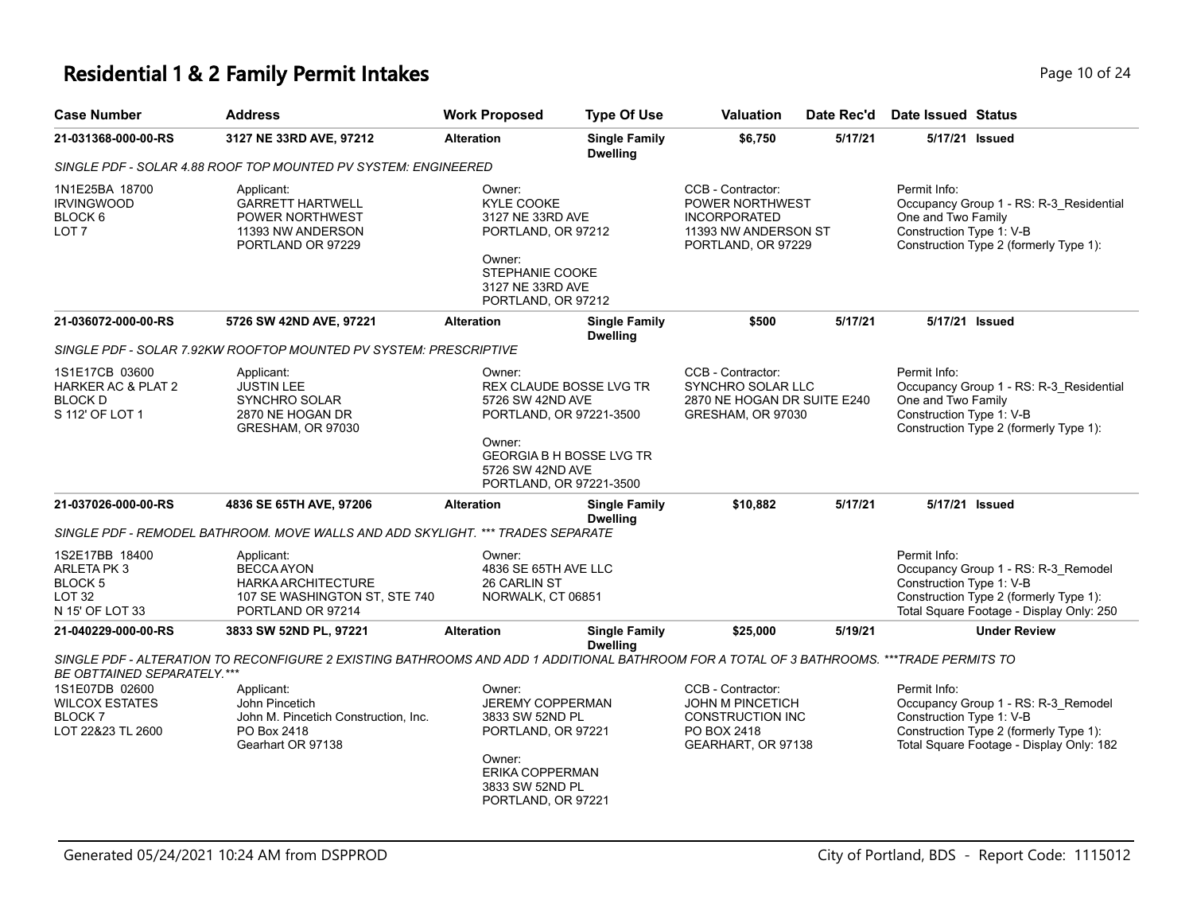# **Residential 1 & 2 Family Permit Intakes Page 10 of 24 Page 10 of 24**

| <b>Case Number</b>                                                               | <b>Address</b>                                                                                                                            | <b>Work Proposed</b>                                                                                                                                                                | <b>Type Of Use</b>                      | <b>Valuation</b>                                                                                             | Date Rec'd | Date Issued Status                                                                                                                                                    |
|----------------------------------------------------------------------------------|-------------------------------------------------------------------------------------------------------------------------------------------|-------------------------------------------------------------------------------------------------------------------------------------------------------------------------------------|-----------------------------------------|--------------------------------------------------------------------------------------------------------------|------------|-----------------------------------------------------------------------------------------------------------------------------------------------------------------------|
| 21-031368-000-00-RS                                                              | 3127 NE 33RD AVE, 97212                                                                                                                   | <b>Alteration</b>                                                                                                                                                                   | <b>Single Family</b><br><b>Dwelling</b> | \$6,750                                                                                                      | 5/17/21    | 5/17/21 Issued                                                                                                                                                        |
|                                                                                  | SINGLE PDF - SOLAR 4.88 ROOF TOP MOUNTED PV SYSTEM: ENGINEERED                                                                            |                                                                                                                                                                                     |                                         |                                                                                                              |            |                                                                                                                                                                       |
| 1N1E25BA 18700<br><b>IRVINGWOOD</b><br>BLOCK 6<br>LOT <sub>7</sub>               | Applicant:<br><b>GARRETT HARTWELL</b><br>POWER NORTHWEST<br>11393 NW ANDERSON<br>PORTLAND OR 97229                                        | Owner:<br>KYLE COOKE<br>3127 NE 33RD AVE<br>PORTLAND, OR 97212<br>Owner:<br>STEPHANIE COOKE<br>3127 NE 33RD AVE<br>PORTLAND, OR 97212                                               |                                         | CCB - Contractor:<br>POWER NORTHWEST<br><b>INCORPORATED</b><br>11393 NW ANDERSON ST<br>PORTLAND, OR 97229    |            | Permit Info:<br>Occupancy Group 1 - RS: R-3_Residential<br>One and Two Family<br>Construction Type 1: V-B<br>Construction Type 2 (formerly Type 1):                   |
| 21-036072-000-00-RS                                                              | 5726 SW 42ND AVE, 97221                                                                                                                   | <b>Alteration</b>                                                                                                                                                                   | <b>Single Family</b><br><b>Dwelling</b> | \$500                                                                                                        | 5/17/21    | 5/17/21 Issued                                                                                                                                                        |
|                                                                                  | SINGLE PDF - SOLAR 7.92KW ROOFTOP MOUNTED PV SYSTEM: PRESCRIPTIVE                                                                         |                                                                                                                                                                                     |                                         |                                                                                                              |            |                                                                                                                                                                       |
| 1S1E17CB 03600<br>HARKER AC & PLAT 2<br><b>BLOCK D</b><br>S 112' OF LOT 1        | Applicant:<br><b>JUSTIN LEE</b><br>SYNCHRO SOLAR<br>2870 NE HOGAN DR<br>GRESHAM, OR 97030                                                 | Owner:<br><b>REX CLAUDE BOSSE LVG TR</b><br>5726 SW 42ND AVE<br>PORTLAND, OR 97221-3500<br>Owner:<br><b>GEORGIA B H BOSSE LVG TR</b><br>5726 SW 42ND AVE<br>PORTLAND, OR 97221-3500 |                                         | CCB - Contractor:<br>SYNCHRO SOLAR LLC<br>2870 NE HOGAN DR SUITE E240<br>GRESHAM, OR 97030                   |            | Permit Info:<br>Occupancy Group 1 - RS: R-3_Residential<br>One and Two Family<br>Construction Type 1: V-B<br>Construction Type 2 (formerly Type 1):                   |
| 21-037026-000-00-RS                                                              | 4836 SE 65TH AVE, 97206                                                                                                                   | <b>Alteration</b>                                                                                                                                                                   | <b>Single Family</b><br><b>Dwelling</b> | \$10,882                                                                                                     | 5/17/21    | 5/17/21 Issued                                                                                                                                                        |
|                                                                                  | SINGLE PDF - REMODEL BATHROOM. MOVE WALLS AND ADD SKYLIGHT. *** TRADES SEPARATE                                                           |                                                                                                                                                                                     |                                         |                                                                                                              |            |                                                                                                                                                                       |
| 1S2E17BB 18400<br>ARLETA PK 3<br>BLOCK 5<br>LOT <sub>32</sub><br>N 15' OF LOT 33 | Applicant:<br><b>BECCA AYON</b><br><b>HARKA ARCHITECTURE</b><br>107 SE WASHINGTON ST, STE 740<br>PORTLAND OR 97214                        | Owner:<br>4836 SE 65TH AVE LLC<br><b>26 CARLIN ST</b><br>NORWALK, CT 06851                                                                                                          |                                         |                                                                                                              |            | Permit Info:<br>Occupancy Group 1 - RS: R-3 Remodel<br>Construction Type 1: V-B<br>Construction Type 2 (formerly Type 1):<br>Total Square Footage - Display Only: 250 |
| 21-040229-000-00-RS                                                              | 3833 SW 52ND PL, 97221                                                                                                                    | <b>Alteration</b>                                                                                                                                                                   | <b>Single Family</b><br><b>Dwelling</b> | \$25,000                                                                                                     | 5/19/21    | <b>Under Review</b>                                                                                                                                                   |
| BE OBTTAINED SEPARATELY.***                                                      | SINGLE PDF - ALTERATION TO RECONFIGURE 2 EXISTING BATHROOMS AND ADD 1 ADDITIONAL BATHROOM FOR A TOTAL OF 3 BATHROOMS. ***TRADE PERMITS TO |                                                                                                                                                                                     |                                         |                                                                                                              |            |                                                                                                                                                                       |
| 1S1E07DB 02600<br><b>WILCOX ESTATES</b><br><b>BLOCK7</b><br>LOT 22&23 TL 2600    | Applicant:<br>John Pincetich<br>John M. Pincetich Construction, Inc.<br>PO Box 2418<br>Gearhart OR 97138                                  | Owner:<br><b>JEREMY COPPERMAN</b><br>3833 SW 52ND PL<br>PORTLAND, OR 97221<br>Owner:<br>ERIKA COPPERMAN<br>3833 SW 52ND PL<br>PORTLAND, OR 97221                                    |                                         | CCB - Contractor:<br><b>JOHN M PINCETICH</b><br><b>CONSTRUCTION INC</b><br>PO BOX 2418<br>GEARHART, OR 97138 |            | Permit Info:<br>Occupancy Group 1 - RS: R-3_Remodel<br>Construction Type 1: V-B<br>Construction Type 2 (formerly Type 1):<br>Total Square Footage - Display Only: 182 |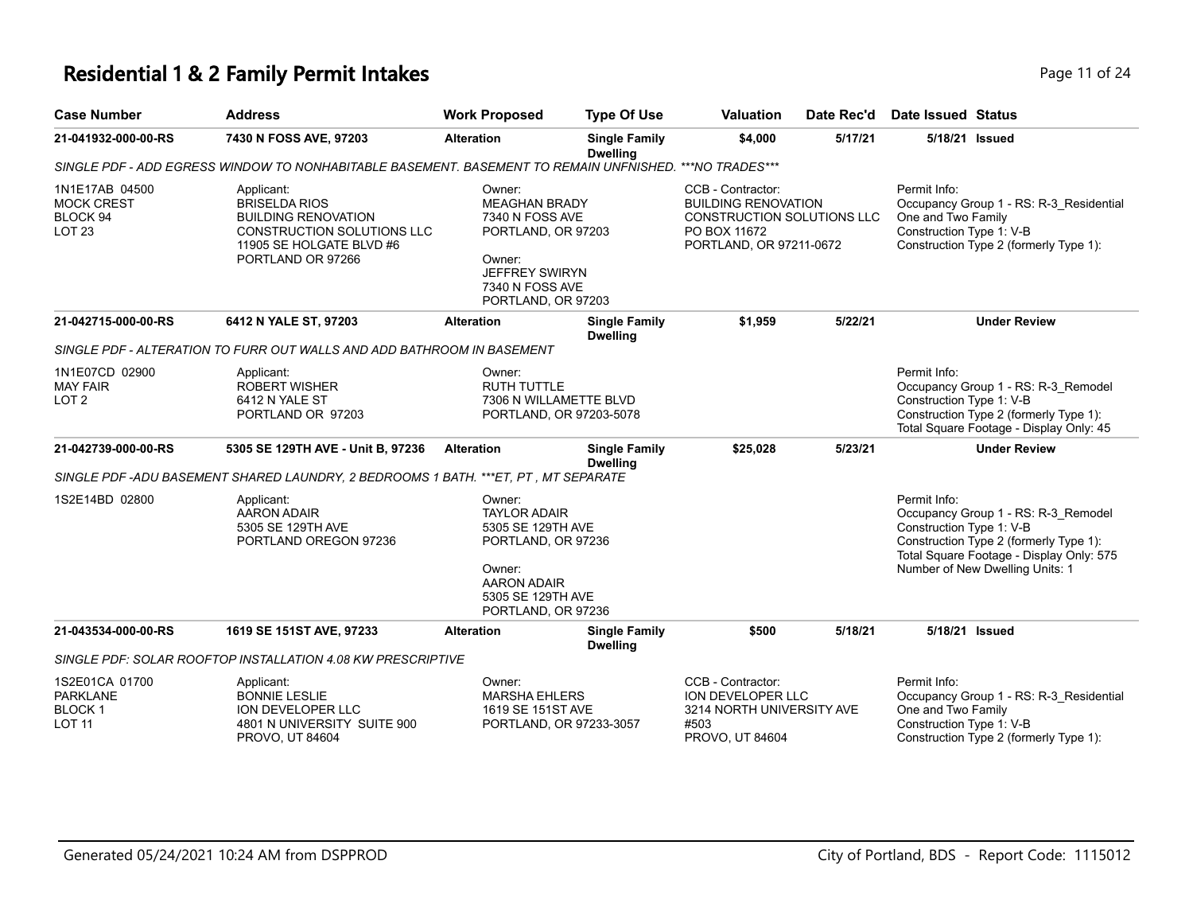# **Residential 1 & 2 Family Permit Intakes Page 11 of 24 Page 11 of 24**

| <b>Case Number</b>                                                  | <b>Address</b>                                                                                                                                  | <b>Work Proposed</b>                                                                                                                                | <b>Type Of Use</b>                      | <b>Valuation</b>                                                                                                                | Date Rec'd | <b>Date Issued Status</b>                                                                                                                                                                                |
|---------------------------------------------------------------------|-------------------------------------------------------------------------------------------------------------------------------------------------|-----------------------------------------------------------------------------------------------------------------------------------------------------|-----------------------------------------|---------------------------------------------------------------------------------------------------------------------------------|------------|----------------------------------------------------------------------------------------------------------------------------------------------------------------------------------------------------------|
| 21-041932-000-00-RS                                                 | 7430 N FOSS AVE, 97203                                                                                                                          | <b>Alteration</b>                                                                                                                                   | <b>Single Family</b><br><b>Dwelling</b> | \$4,000                                                                                                                         | 5/17/21    | 5/18/21 Issued                                                                                                                                                                                           |
|                                                                     | SINGLE PDF - ADD EGRESS WINDOW TO NONHABITABLE BASEMENT. BASEMENT TO REMAIN UNFNISHED. *** NO TRADES***                                         |                                                                                                                                                     |                                         |                                                                                                                                 |            |                                                                                                                                                                                                          |
| 1N1E17AB 04500<br><b>MOCK CREST</b><br>BLOCK 94<br><b>LOT 23</b>    | Applicant:<br><b>BRISELDA RIOS</b><br><b>BUILDING RENOVATION</b><br>CONSTRUCTION SOLUTIONS LLC<br>11905 SE HOLGATE BLVD #6<br>PORTLAND OR 97266 | Owner:<br><b>MEAGHAN BRADY</b><br>7340 N FOSS AVE<br>PORTLAND, OR 97203<br>Owner:<br><b>JEFFREY SWIRYN</b><br>7340 N FOSS AVE<br>PORTLAND, OR 97203 |                                         | CCB - Contractor:<br><b>BUILDING RENOVATION</b><br><b>CONSTRUCTION SOLUTIONS LLC</b><br>PO BOX 11672<br>PORTLAND, OR 97211-0672 |            | Permit Info:<br>Occupancy Group 1 - RS: R-3 Residential<br>One and Two Family<br>Construction Type 1: V-B<br>Construction Type 2 (formerly Type 1):                                                      |
| 21-042715-000-00-RS                                                 | 6412 N YALE ST, 97203                                                                                                                           | <b>Alteration</b>                                                                                                                                   | <b>Single Family</b><br><b>Dwelling</b> | \$1,959                                                                                                                         | 5/22/21    | <b>Under Review</b>                                                                                                                                                                                      |
|                                                                     | SINGLE PDF - ALTERATION TO FURR OUT WALLS AND ADD BATHROOM IN BASEMENT                                                                          |                                                                                                                                                     |                                         |                                                                                                                                 |            |                                                                                                                                                                                                          |
| 1N1E07CD 02900<br><b>MAY FAIR</b><br>LOT <sub>2</sub>               | Applicant:<br><b>ROBERT WISHER</b><br>6412 N YALE ST<br>PORTLAND OR 97203                                                                       | Owner:<br><b>RUTH TUTTLE</b><br>7306 N WILLAMETTE BLVD<br>PORTLAND, OR 97203-5078                                                                   |                                         |                                                                                                                                 |            | Permit Info:<br>Occupancy Group 1 - RS: R-3 Remodel<br>Construction Type 1: V-B<br>Construction Type 2 (formerly Type 1):<br>Total Square Footage - Display Only: 45                                     |
| 21-042739-000-00-RS                                                 | 5305 SE 129TH AVE - Unit B, 97236                                                                                                               | <b>Alteration</b>                                                                                                                                   | <b>Single Family</b><br><b>Dwelling</b> | \$25,028                                                                                                                        | 5/23/21    | <b>Under Review</b>                                                                                                                                                                                      |
|                                                                     | SINGLE PDF -ADU BASEMENT SHARED LAUNDRY, 2 BEDROOMS 1 BATH. ***ET, PT, MT SEPARATE                                                              |                                                                                                                                                     |                                         |                                                                                                                                 |            |                                                                                                                                                                                                          |
| 1S2E14BD 02800                                                      | Applicant:<br><b>AARON ADAIR</b><br>5305 SE 129TH AVE<br>PORTLAND OREGON 97236                                                                  | Owner:<br><b>TAYLOR ADAIR</b><br>5305 SE 129TH AVE<br>PORTLAND, OR 97236<br>Owner:<br><b>AARON ADAIR</b><br>5305 SE 129TH AVE<br>PORTLAND, OR 97236 |                                         |                                                                                                                                 |            | Permit Info:<br>Occupancy Group 1 - RS: R-3_Remodel<br>Construction Type 1: V-B<br>Construction Type 2 (formerly Type 1):<br>Total Square Footage - Display Only: 575<br>Number of New Dwelling Units: 1 |
| 21-043534-000-00-RS                                                 | 1619 SE 151ST AVE, 97233                                                                                                                        | <b>Alteration</b>                                                                                                                                   | <b>Single Family</b><br><b>Dwelling</b> | \$500                                                                                                                           | 5/18/21    | 5/18/21 Issued                                                                                                                                                                                           |
|                                                                     | SINGLE PDF: SOLAR ROOFTOP INSTALLATION 4.08 KW PRESCRIPTIVE                                                                                     |                                                                                                                                                     |                                         |                                                                                                                                 |            |                                                                                                                                                                                                          |
| 1S2E01CA 01700<br><b>PARKLANE</b><br><b>BLOCK1</b><br><b>LOT 11</b> | Applicant:<br><b>BONNIE LESLIE</b><br><b>ION DEVELOPER LLC</b><br>4801 N UNIVERSITY SUITE 900<br>PROVO, UT 84604                                | Owner:<br><b>MARSHA EHLERS</b><br>1619 SE 151ST AVE<br>PORTLAND, OR 97233-3057                                                                      |                                         | CCB - Contractor:<br>ION DEVELOPER LLC<br>3214 NORTH UNIVERSITY AVE<br>#503<br>PROVO, UT 84604                                  |            | Permit Info:<br>Occupancy Group 1 - RS: R-3_Residential<br>One and Two Family<br>Construction Type 1: V-B<br>Construction Type 2 (formerly Type 1):                                                      |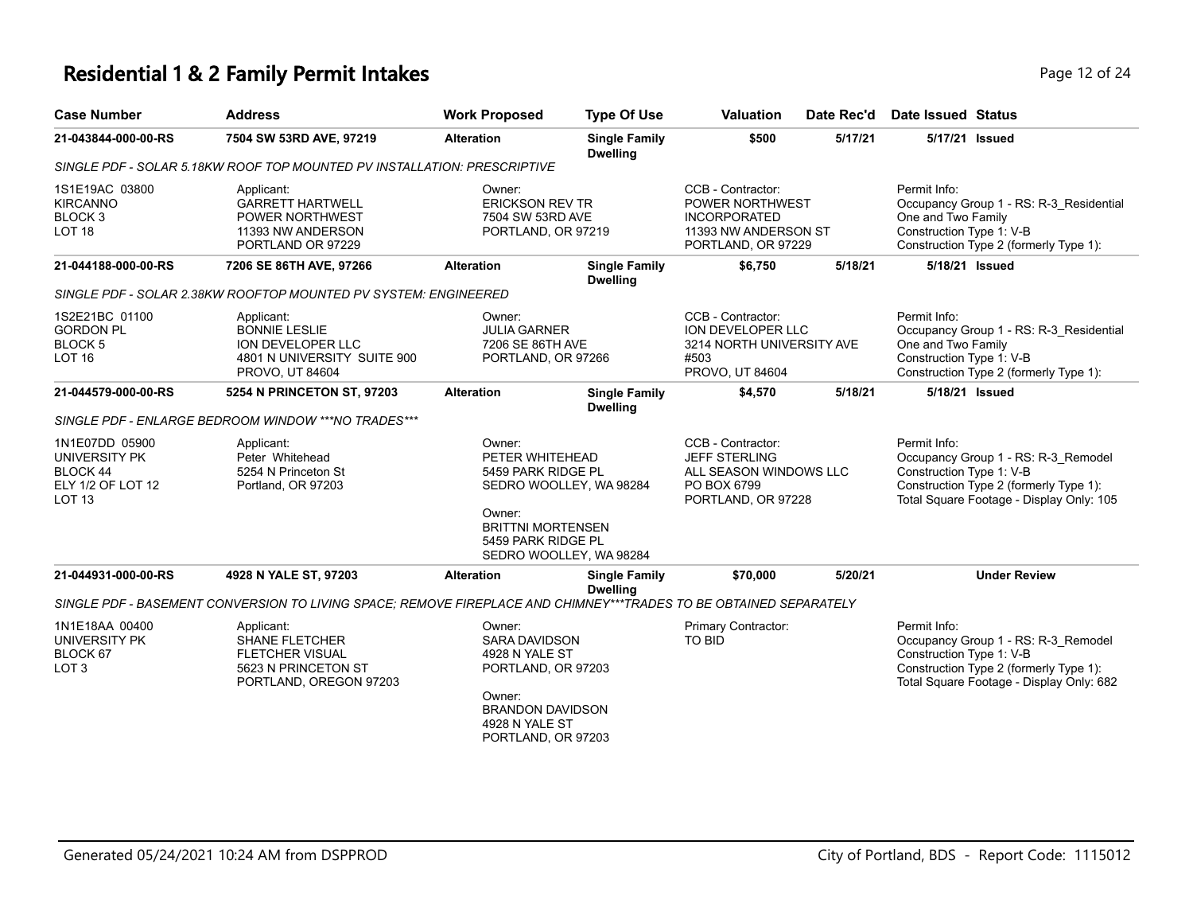# **Residential 1 & 2 Family Permit Intakes Page 12 of 24 Page 12 of 24**

|                         | Page 12 of |
|-------------------------|------------|
| ec'd Date Issued Status |            |

| <b>Case Number</b>                                                                | <b>Address</b>                                                                                                    | <b>Work Proposed</b>                                                                                                                                              | <b>Type Of Use</b>                      | <b>Valuation</b>                                                                                          | Date Rec'd | <b>Date Issued Status</b>                                                                                                                                             |
|-----------------------------------------------------------------------------------|-------------------------------------------------------------------------------------------------------------------|-------------------------------------------------------------------------------------------------------------------------------------------------------------------|-----------------------------------------|-----------------------------------------------------------------------------------------------------------|------------|-----------------------------------------------------------------------------------------------------------------------------------------------------------------------|
| 21-043844-000-00-RS                                                               | 7504 SW 53RD AVE, 97219                                                                                           | <b>Alteration</b>                                                                                                                                                 | <b>Single Family</b><br><b>Dwelling</b> | \$500                                                                                                     | 5/17/21    | 5/17/21 Issued                                                                                                                                                        |
|                                                                                   | SINGLE PDF - SOLAR 5.18KW ROOF TOP MOUNTED PV INSTALLATION: PRESCRIPTIVE                                          |                                                                                                                                                                   |                                         |                                                                                                           |            |                                                                                                                                                                       |
| 1S1E19AC 03800<br><b>KIRCANNO</b><br>BLOCK <sub>3</sub><br>LOT <sub>18</sub>      | Applicant:<br><b>GARRETT HARTWELL</b><br>POWER NORTHWEST<br>11393 NW ANDERSON<br>PORTLAND OR 97229                | Owner:<br><b>ERICKSON REV TR</b><br>7504 SW 53RD AVE<br>PORTLAND, OR 97219                                                                                        |                                         | CCB - Contractor:<br>POWER NORTHWEST<br><b>INCORPORATED</b><br>11393 NW ANDERSON ST<br>PORTLAND, OR 97229 |            | Permit Info:<br>Occupancy Group 1 - RS: R-3_Residential<br>One and Two Family<br>Construction Type 1: V-B<br>Construction Type 2 (formerly Type 1):                   |
| 21-044188-000-00-RS                                                               | 7206 SE 86TH AVE, 97266                                                                                           | <b>Alteration</b>                                                                                                                                                 | <b>Single Family</b><br><b>Dwelling</b> | \$6,750                                                                                                   | 5/18/21    | 5/18/21 Issued                                                                                                                                                        |
|                                                                                   | SINGLE PDF - SOLAR 2.38KW ROOFTOP MOUNTED PV SYSTEM: ENGINEERED                                                   |                                                                                                                                                                   |                                         |                                                                                                           |            |                                                                                                                                                                       |
| 1S2E21BC 01100<br><b>GORDON PL</b><br><b>BLOCK5</b><br><b>LOT 16</b>              | Applicant:<br><b>BONNIE LESLIE</b><br>ION DEVELOPER LLC<br>4801 N UNIVERSITY SUITE 900<br>PROVO, UT 84604         | Owner:<br><b>JULIA GARNER</b><br>7206 SE 86TH AVE<br>PORTLAND, OR 97266                                                                                           |                                         | CCB - Contractor:<br>ION DEVELOPER LLC<br>3214 NORTH UNIVERSITY AVE<br>#503<br>PROVO, UT 84604            |            | Permit Info:<br>Occupancy Group 1 - RS: R-3_Residential<br>One and Two Family<br>Construction Type 1: V-B<br>Construction Type 2 (formerly Type 1):                   |
| 21-044579-000-00-RS                                                               | 5254 N PRINCETON ST, 97203                                                                                        | <b>Alteration</b>                                                                                                                                                 | <b>Single Family</b><br><b>Dwelling</b> | \$4,570                                                                                                   | 5/18/21    | 5/18/21 Issued                                                                                                                                                        |
|                                                                                   | SINGLE PDF - ENLARGE BEDROOM WINDOW *** NO TRADES***                                                              |                                                                                                                                                                   |                                         |                                                                                                           |            |                                                                                                                                                                       |
| 1N1E07DD 05900<br>UNIVERSITY PK<br>BLOCK 44<br>ELY 1/2 OF LOT 12<br><b>LOT 13</b> | Applicant:<br>Peter Whitehead<br>5254 N Princeton St<br>Portland, OR 97203                                        | Owner:<br>PETER WHITEHEAD<br>5459 PARK RIDGE PL<br>SEDRO WOOLLEY, WA 98284<br>Owner:<br><b>BRITTNI MORTENSEN</b><br>5459 PARK RIDGE PL<br>SEDRO WOOLLEY, WA 98284 |                                         | CCB - Contractor:<br><b>JEFF STERLING</b><br>ALL SEASON WINDOWS LLC<br>PO BOX 6799<br>PORTLAND, OR 97228  |            | Permit Info:<br>Occupancy Group 1 - RS: R-3_Remodel<br>Construction Type 1: V-B<br>Construction Type 2 (formerly Type 1):<br>Total Square Footage - Display Only: 105 |
| 21-044931-000-00-RS                                                               | 4928 N YALE ST, 97203                                                                                             | <b>Alteration</b>                                                                                                                                                 | <b>Single Family</b>                    | \$70,000                                                                                                  | 5/20/21    | <b>Under Review</b>                                                                                                                                                   |
|                                                                                   | SINGLE PDF - BASEMENT CONVERSION TO LIVING SPACE: REMOVE FIREPLACE AND CHIMNEY***TRADES TO BE OBTAINED SEPARATELY |                                                                                                                                                                   | <b>Dwelling</b>                         |                                                                                                           |            |                                                                                                                                                                       |
| 1N1E18AA 00400<br>UNIVERSITY PK<br>BLOCK 67<br>LOT <sub>3</sub>                   | Applicant:<br><b>SHANE FLETCHER</b><br><b>FLETCHER VISUAL</b><br>5623 N PRINCETON ST<br>PORTLAND, OREGON 97203    | Owner:<br><b>SARA DAVIDSON</b><br>4928 N YALE ST<br>PORTLAND, OR 97203<br>Owner:<br><b>BRANDON DAVIDSON</b><br>4928 N YALE ST<br>PORTLAND, OR 97203               |                                         | Primary Contractor:<br>TO BID                                                                             |            | Permit Info:<br>Occupancy Group 1 - RS: R-3_Remodel<br>Construction Type 1: V-B<br>Construction Type 2 (formerly Type 1):<br>Total Square Footage - Display Only: 682 |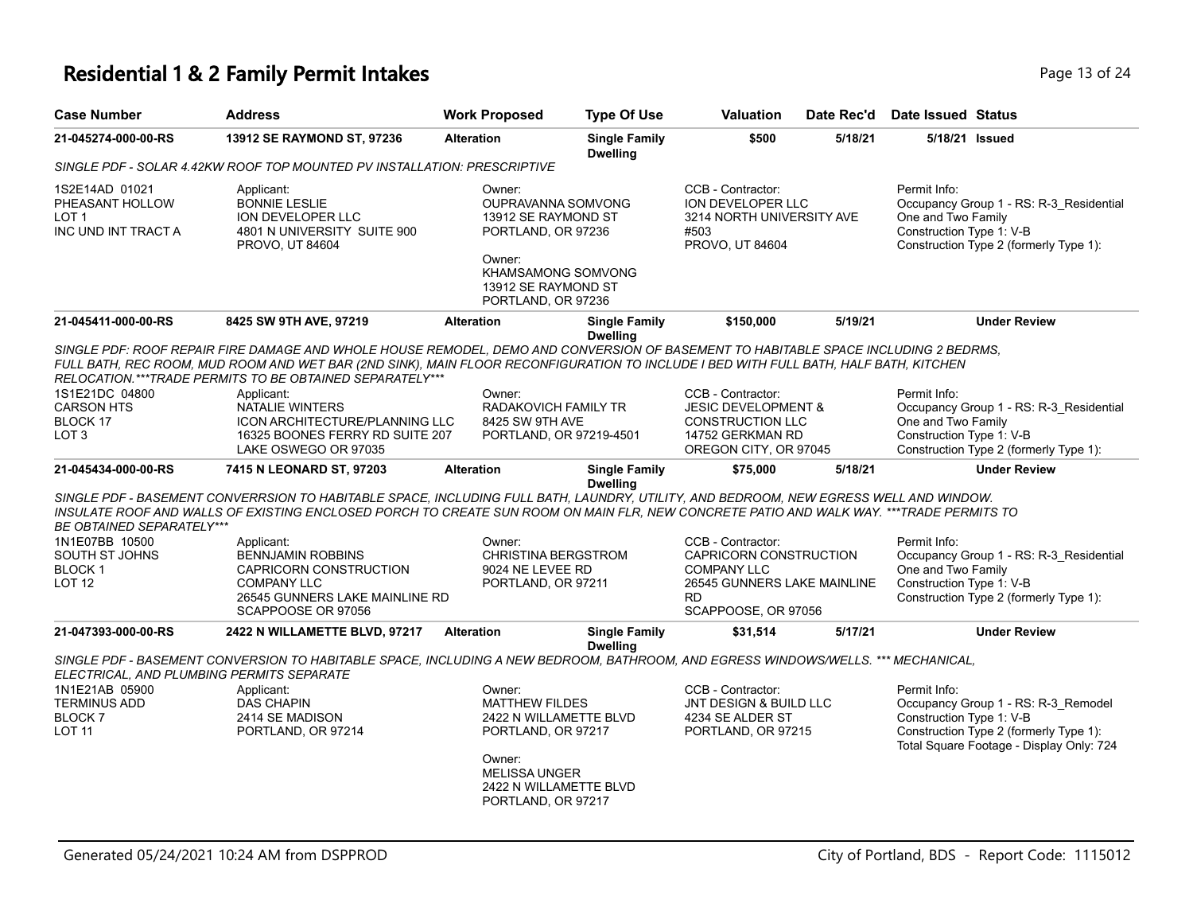# **Residential 1 & 2 Family Permit Intakes Page 13 of 24 Page 13 of 24**

| <b>Case Number</b>                                                      | <b>Address</b>                                                                                                                                                                                                                                                                                                                          | <b>Work Proposed</b>                                                                                                                                              | <b>Type Of Use</b>                      | <b>Valuation</b>                                                                                                                     | Date Rec'd | <b>Date Issued Status</b>                                                                                                                                             |
|-------------------------------------------------------------------------|-----------------------------------------------------------------------------------------------------------------------------------------------------------------------------------------------------------------------------------------------------------------------------------------------------------------------------------------|-------------------------------------------------------------------------------------------------------------------------------------------------------------------|-----------------------------------------|--------------------------------------------------------------------------------------------------------------------------------------|------------|-----------------------------------------------------------------------------------------------------------------------------------------------------------------------|
| 21-045274-000-00-RS                                                     | 13912 SE RAYMOND ST, 97236                                                                                                                                                                                                                                                                                                              | <b>Alteration</b>                                                                                                                                                 | <b>Single Family</b><br><b>Dwelling</b> | \$500                                                                                                                                | 5/18/21    | 5/18/21 Issued                                                                                                                                                        |
|                                                                         | SINGLE PDF - SOLAR 4.42KW ROOF TOP MOUNTED PV INSTALLATION: PRESCRIPTIVE                                                                                                                                                                                                                                                                |                                                                                                                                                                   |                                         |                                                                                                                                      |            |                                                                                                                                                                       |
| 1S2E14AD 01021<br>PHEASANT HOLLOW<br>LOT 1<br>INC UND INT TRACT A       | Applicant:<br><b>BONNIE LESLIE</b><br>ION DEVELOPER LLC<br>4801 N UNIVERSITY SUITE 900<br>PROVO, UT 84604                                                                                                                                                                                                                               | Owner:<br>OUPRAVANNA SOMVONG<br>13912 SE RAYMOND ST<br>PORTLAND, OR 97236<br>Owner:<br><b>KHAMSAMONG SOMVONG</b><br>13912 SE RAYMOND ST<br>PORTLAND, OR 97236     |                                         | CCB - Contractor:<br><b>ION DEVELOPER LLC</b><br>3214 NORTH UNIVERSITY AVE<br>#503<br>PROVO, UT 84604                                |            | Permit Info:<br>Occupancy Group 1 - RS: R-3 Residential<br>One and Two Family<br>Construction Type 1: V-B<br>Construction Type 2 (formerly Type 1):                   |
| 21-045411-000-00-RS                                                     | 8425 SW 9TH AVE, 97219                                                                                                                                                                                                                                                                                                                  | <b>Alteration</b>                                                                                                                                                 | <b>Single Family</b><br><b>Dwelling</b> | \$150,000                                                                                                                            | 5/19/21    | <b>Under Review</b>                                                                                                                                                   |
|                                                                         | SINGLE PDF: ROOF REPAIR FIRE DAMAGE AND WHOLE HOUSE REMODEL, DEMO AND CONVERSION OF BASEMENT TO HABITABLE SPACE INCLUDING 2 BEDRMS,<br>FULL BATH, REC ROOM, MUD ROOM AND WET BAR (2ND SINK), MAIN FLOOR RECONFIGURATION TO INCLUDE I BED WITH FULL BATH, HALF BATH, KITCHEN<br>RELOCATION.***TRADE PERMITS TO BE OBTAINED SEPARATELY*** |                                                                                                                                                                   |                                         |                                                                                                                                      |            |                                                                                                                                                                       |
| 1S1E21DC 04800<br><b>CARSON HTS</b><br>BLOCK 17<br>LOT 3                | Applicant:<br><b>NATALIE WINTERS</b><br>ICON ARCHITECTURE/PLANNING LLC<br>16325 BOONES FERRY RD SUITE 207<br>LAKE OSWEGO OR 97035                                                                                                                                                                                                       | Owner:<br>RADAKOVICH FAMILY TR<br>8425 SW 9TH AVE<br>PORTLAND, OR 97219-4501                                                                                      |                                         | CCB - Contractor:<br><b>JESIC DEVELOPMENT &amp;</b><br><b>CONSTRUCTION LLC</b><br>14752 GERKMAN RD<br>OREGON CITY, OR 97045          |            | Permit Info:<br>Occupancy Group 1 - RS: R-3_Residential<br>One and Two Family<br>Construction Type 1: V-B<br>Construction Type 2 (formerly Type 1):                   |
| 21-045434-000-00-RS                                                     | 7415 N LEONARD ST, 97203                                                                                                                                                                                                                                                                                                                | <b>Alteration</b>                                                                                                                                                 | <b>Single Family</b><br><b>Dwelling</b> | \$75,000                                                                                                                             | 5/18/21    | <b>Under Review</b>                                                                                                                                                   |
| BE OBTAINED SEPARATELY***                                               | SINGLE PDF - BASEMENT CONVERRSION TO HABITABLE SPACE, INCLUDING FULL BATH, LAUNDRY, UTILITY, AND BEDROOM, NEW EGRESS WELL AND WINDOW.<br>INSULATE ROOF AND WALLS OF EXISTING ENCLOSED PORCH TO CREATE SUN ROOM ON MAIN FLR, NEW CONCRETE PATIO AND WALK WAY. ***TRADE PERMITS TO                                                        |                                                                                                                                                                   |                                         |                                                                                                                                      |            |                                                                                                                                                                       |
| 1N1E07BB 10500<br>SOUTH ST JOHNS<br><b>BLOCK1</b><br>LOT 12             | Applicant:<br><b>BENNJAMIN ROBBINS</b><br>CAPRICORN CONSTRUCTION<br><b>COMPANY LLC</b><br>26545 GUNNERS LAKE MAINLINE RD<br>SCAPPOOSE OR 97056                                                                                                                                                                                          | Owner:<br>CHRISTINA BERGSTROM<br>9024 NE LEVEE RD<br>PORTLAND, OR 97211                                                                                           |                                         | CCB - Contractor:<br>CAPRICORN CONSTRUCTION<br><b>COMPANY LLC</b><br>26545 GUNNERS LAKE MAINLINE<br><b>RD</b><br>SCAPPOOSE, OR 97056 |            | Permit Info:<br>Occupancy Group 1 - RS: R-3_Residential<br>One and Two Family<br>Construction Type 1: V-B<br>Construction Type 2 (formerly Type 1):                   |
| 21-047393-000-00-RS                                                     | 2422 N WILLAMETTE BLVD, 97217                                                                                                                                                                                                                                                                                                           | <b>Alteration</b>                                                                                                                                                 | <b>Single Family</b><br><b>Dwelling</b> | \$31,514                                                                                                                             | 5/17/21    | <b>Under Review</b>                                                                                                                                                   |
| ELECTRICAL, AND PLUMBING PERMITS SEPARATE                               | SINGLE PDF - BASEMENT CONVERSION TO HABITABLE SPACE, INCLUDING A NEW BEDROOM, BATHROOM, AND EGRESS WINDOWS/WELLS. *** MECHANICAL,                                                                                                                                                                                                       |                                                                                                                                                                   |                                         |                                                                                                                                      |            |                                                                                                                                                                       |
| 1N1E21AB 05900<br><b>TERMINUS ADD</b><br><b>BLOCK7</b><br><b>LOT 11</b> | Applicant:<br><b>DAS CHAPIN</b><br>2414 SE MADISON<br>PORTLAND, OR 97214                                                                                                                                                                                                                                                                | Owner:<br><b>MATTHEW FILDES</b><br>2422 N WILLAMETTE BLVD<br>PORTLAND, OR 97217<br>Owner:<br><b>MELISSA UNGER</b><br>2422 N WILLAMETTE BLVD<br>PORTLAND, OR 97217 |                                         | CCB - Contractor:<br>JNT DESIGN & BUILD LLC<br>4234 SE ALDER ST<br>PORTLAND, OR 97215                                                |            | Permit Info:<br>Occupancy Group 1 - RS: R-3_Remodel<br>Construction Type 1: V-B<br>Construction Type 2 (formerly Type 1):<br>Total Square Footage - Display Only: 724 |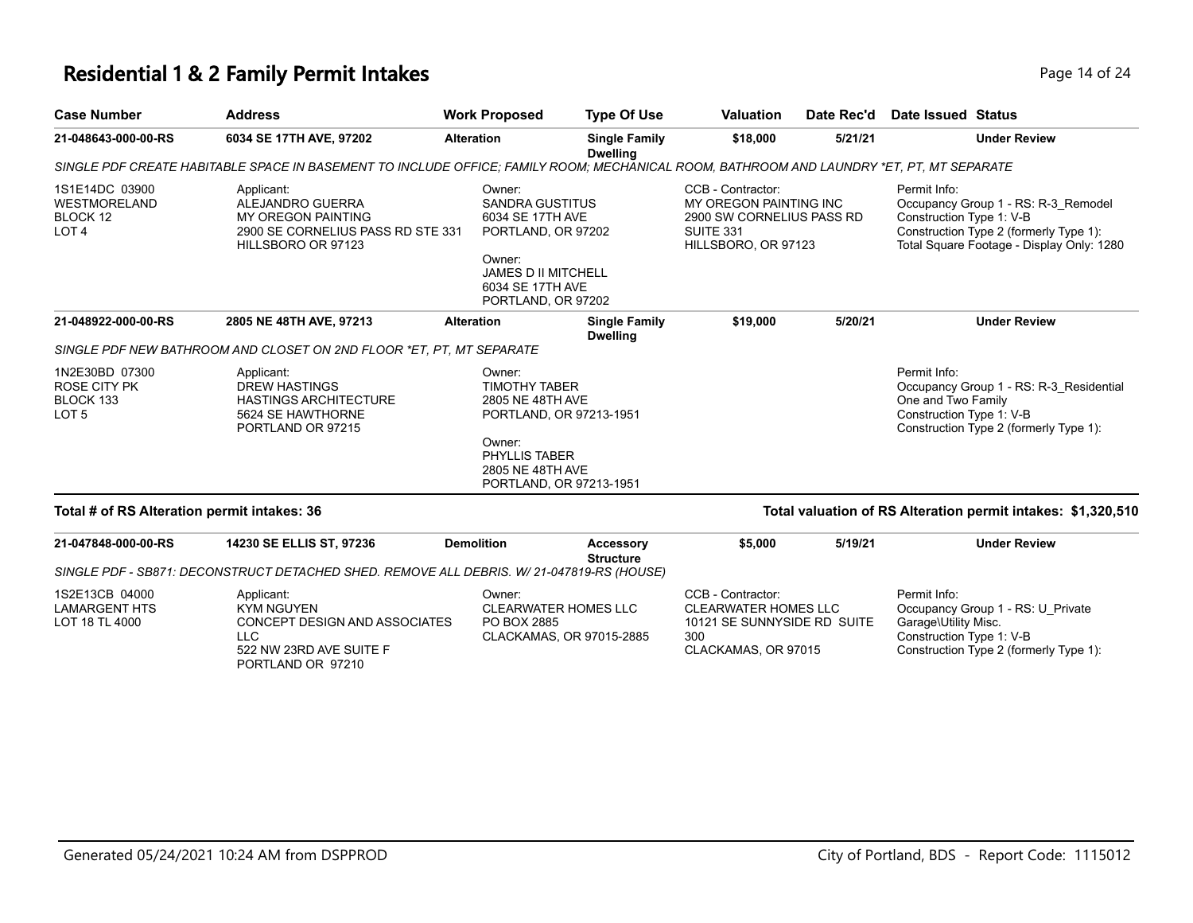# **Residential 1 & 2 Family Permit Intakes Page 14 of 24 and 24 and 24 and 24 and 24 and 24 and 24 and 24 and 24 and 24 and 24 and 24 and 24 and 24 and 24 and 24 and 24 and 25 and 25 and 25 and 25 and 25 and 25 and 25 and**

| <b>Case Number</b>                                                     | <b>Address</b>                                                                                                                           | <b>Work Proposed</b>                                                                                                                                         | <b>Type Of Use</b>                                                                                                                  | <b>Valuation</b>                                                                                                    | Date Rec'd | <b>Date Issued Status</b>                                        |                                                                                                                            |
|------------------------------------------------------------------------|------------------------------------------------------------------------------------------------------------------------------------------|--------------------------------------------------------------------------------------------------------------------------------------------------------------|-------------------------------------------------------------------------------------------------------------------------------------|---------------------------------------------------------------------------------------------------------------------|------------|------------------------------------------------------------------|----------------------------------------------------------------------------------------------------------------------------|
| 21-048643-000-00-RS                                                    | 6034 SE 17TH AVE, 97202                                                                                                                  | <b>Alteration</b>                                                                                                                                            | <b>Single Family</b><br><b>Dwelling</b>                                                                                             | \$18,000                                                                                                            | 5/21/21    |                                                                  | <b>Under Review</b>                                                                                                        |
|                                                                        | SINGLE PDF CREATE HABITABLE SPACE IN BASEMENT TO INCLUDE OFFICE; FAMILY ROOM; MECHANICAL ROOM, BATHROOM AND LAUNDRY *ET, PT, MT SEPARATE |                                                                                                                                                              |                                                                                                                                     |                                                                                                                     |            |                                                                  |                                                                                                                            |
| 1S1E14DC 03900<br><b>WESTMORELAND</b><br>BLOCK 12<br>LOT <sub>4</sub>  | Applicant:<br>ALEJANDRO GUERRA<br>MY OREGON PAINTING<br>2900 SE CORNELIUS PASS RD STE 331<br>HILLSBORO OR 97123                          | Owner:<br><b>SANDRA GUSTITUS</b><br>6034 SE 17TH AVE<br>PORTLAND, OR 97202<br>Owner:<br><b>JAMES D II MITCHELL</b><br>6034 SE 17TH AVE<br>PORTLAND, OR 97202 |                                                                                                                                     | CCB - Contractor:<br>MY OREGON PAINTING INC<br>2900 SW CORNELIUS PASS RD<br><b>SUITE 331</b><br>HILLSBORO, OR 97123 |            | Permit Info:<br>Construction Type 1: V-B                         | Occupancy Group 1 - RS: R-3_Remodel<br>Construction Type 2 (formerly Type 1):<br>Total Square Footage - Display Only: 1280 |
| 21-048922-000-00-RS                                                    | 2805 NE 48TH AVE, 97213                                                                                                                  | <b>Alteration</b>                                                                                                                                            | <b>Single Family</b><br><b>Dwelling</b>                                                                                             | \$19,000                                                                                                            | 5/20/21    |                                                                  | <b>Under Review</b>                                                                                                        |
|                                                                        | SINGLE PDF NEW BATHROOM AND CLOSET ON 2ND FLOOR *ET. PT. MT SEPARATE                                                                     |                                                                                                                                                              |                                                                                                                                     |                                                                                                                     |            |                                                                  |                                                                                                                            |
| 1N2E30BD 07300<br><b>ROSE CITY PK</b><br>BLOCK 133<br>LOT <sub>5</sub> | Applicant:<br><b>DREW HASTINGS</b><br><b>HASTINGS ARCHITECTURE</b><br>5624 SE HAWTHORNE<br>PORTLAND OR 97215                             | Owner:<br>Owner:                                                                                                                                             | <b>TIMOTHY TABER</b><br>2805 NE 48TH AVE<br>PORTLAND, OR 97213-1951<br>PHYLLIS TABER<br>2805 NE 48TH AVE<br>PORTLAND, OR 97213-1951 |                                                                                                                     |            | Permit Info:<br>One and Two Family<br>Construction Type 1: V-B   | Occupancy Group 1 - RS: R-3 Residential<br>Construction Type 2 (formerly Type 1):                                          |
| Total # of RS Alteration permit intakes: 36                            |                                                                                                                                          |                                                                                                                                                              |                                                                                                                                     |                                                                                                                     |            |                                                                  | Total valuation of RS Alteration permit intakes: \$1,320,510                                                               |
| 21-047848-000-00-RS                                                    | 14230 SE ELLIS ST, 97236                                                                                                                 | <b>Demolition</b>                                                                                                                                            | Accessory<br><b>Structure</b>                                                                                                       | \$5,000                                                                                                             | 5/19/21    |                                                                  | <b>Under Review</b>                                                                                                        |
|                                                                        | SINGLE PDF - SB871: DECONSTRUCT DETACHED SHED. REMOVE ALL DEBRIS. W/ 21-047819-RS (HOUSE)                                                |                                                                                                                                                              |                                                                                                                                     |                                                                                                                     |            |                                                                  |                                                                                                                            |
| 1S2E13CB 04000<br><b>LAMARGENT HTS</b><br>LOT 18 TL 4000               | Applicant:<br><b>KYM NGUYEN</b><br><b>CONCEPT DESIGN AND ASSOCIATES</b><br><b>LLC</b><br>522 NW 23RD AVE SUITE F<br>PORTLAND OR 97210    | Owner:<br>PO BOX 2885                                                                                                                                        | <b>CLEARWATER HOMES LLC</b><br>CLACKAMAS, OR 97015-2885                                                                             | CCB - Contractor:<br><b>CLEARWATER HOMES LLC</b><br>10121 SE SUNNYSIDE RD SUITE<br>300<br>CLACKAMAS, OR 97015       |            | Permit Info:<br>Garage\Utility Misc.<br>Construction Type 1: V-B | Occupancy Group 1 - RS: U_Private<br>Construction Type 2 (formerly Type 1):                                                |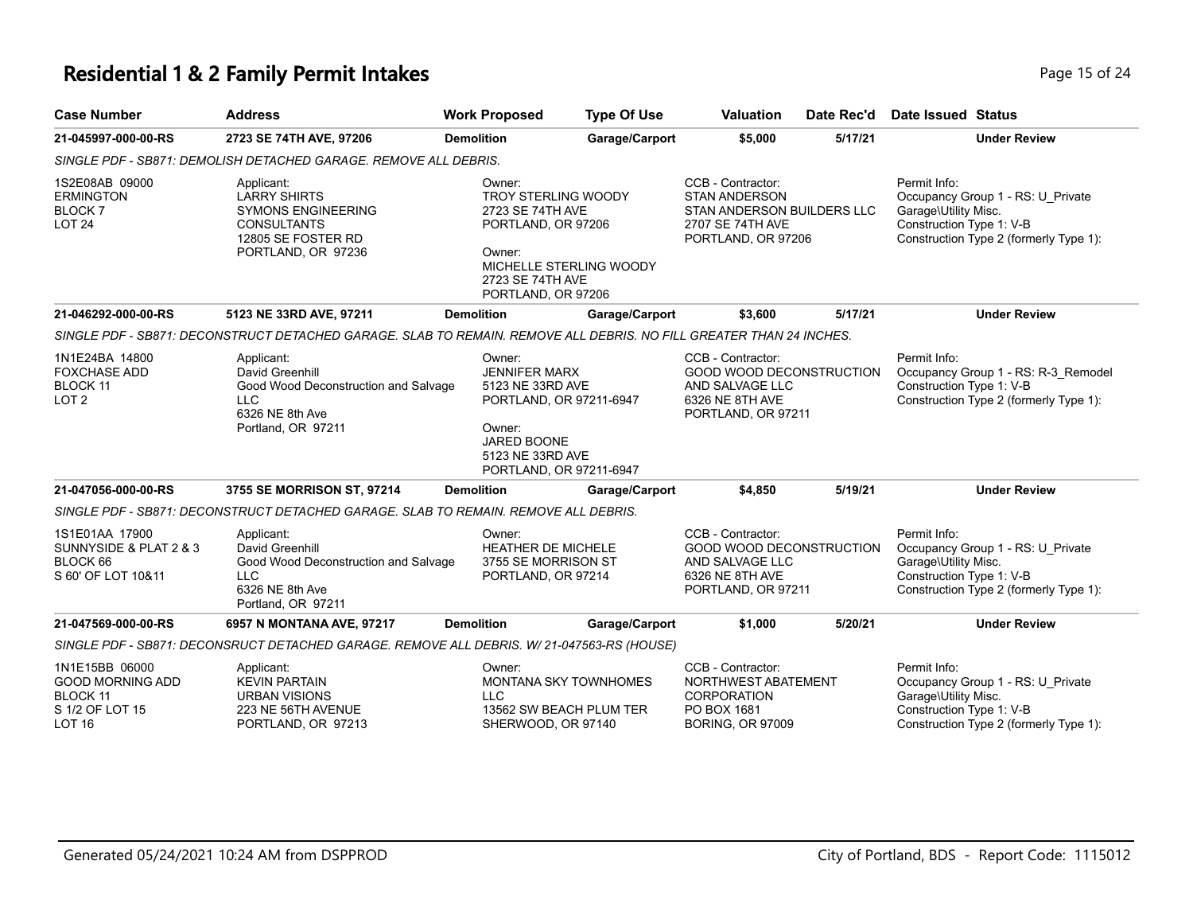# **Residential 1 & 2 Family Permit Intakes Page 15 of 24 Page 15 of 24**

| <b>Case Number</b>                                                                               | <b>Address</b>                                                                                                                   | <b>Work Proposed</b>                                                                                                                                  | <b>Type Of Use</b>                                      | <b>Valuation</b>                                                                                                  | Date Rec'd | Date Issued Status                                                                                                                              |
|--------------------------------------------------------------------------------------------------|----------------------------------------------------------------------------------------------------------------------------------|-------------------------------------------------------------------------------------------------------------------------------------------------------|---------------------------------------------------------|-------------------------------------------------------------------------------------------------------------------|------------|-------------------------------------------------------------------------------------------------------------------------------------------------|
| 21-045997-000-00-RS                                                                              | 2723 SE 74TH AVE, 97206                                                                                                          | <b>Demolition</b>                                                                                                                                     | Garage/Carport                                          | \$5,000                                                                                                           | 5/17/21    | <b>Under Review</b>                                                                                                                             |
|                                                                                                  | SINGLE PDF - SB871: DEMOLISH DETACHED GARAGE. REMOVE ALL DEBRIS.                                                                 |                                                                                                                                                       |                                                         |                                                                                                                   |            |                                                                                                                                                 |
| 1S2E08AB 09000<br><b>ERMINGTON</b><br><b>BLOCK7</b><br><b>LOT 24</b>                             | Applicant:<br><b>LARRY SHIRTS</b><br><b>SYMONS ENGINEERING</b><br><b>CONSULTANTS</b><br>12805 SE FOSTER RD<br>PORTLAND, OR 97236 | Owner:<br>TROY STERLING WOODY<br>2723 SE 74TH AVE<br>PORTLAND, OR 97206<br>Owner:<br>2723 SE 74TH AVE<br>PORTLAND, OR 97206                           | MICHELLE STERLING WOODY                                 | CCB - Contractor:<br><b>STAN ANDERSON</b><br>STAN ANDERSON BUILDERS LLC<br>2707 SE 74TH AVE<br>PORTLAND, OR 97206 |            | Permit Info:<br>Occupancy Group 1 - RS: U_Private<br>Garage\Utility Misc.<br>Construction Type 1: V-B<br>Construction Type 2 (formerly Type 1): |
| 21-046292-000-00-RS                                                                              | 5123 NE 33RD AVE, 97211                                                                                                          | <b>Demolition</b>                                                                                                                                     | Garage/Carport                                          | \$3,600                                                                                                           | 5/17/21    | <b>Under Review</b>                                                                                                                             |
|                                                                                                  | SINGLE PDF - SB871: DECONSTRUCT DETACHED GARAGE. SLAB TO REMAIN. REMOVE ALL DEBRIS. NO FILL GREATER THAN 24 INCHES.              |                                                                                                                                                       |                                                         |                                                                                                                   |            |                                                                                                                                                 |
| 1N1E24BA 14800<br><b>FOXCHASE ADD</b><br><b>BLOCK 11</b><br>LOT <sub>2</sub>                     | Applicant:<br>David Greenhill<br>Good Wood Deconstruction and Salvage<br><b>LLC</b><br>6326 NE 8th Ave<br>Portland, OR 97211     | Owner:<br><b>JENNIFER MARX</b><br>5123 NE 33RD AVE<br>PORTLAND, OR 97211-6947<br>Owner:<br>JARED BOONE<br>5123 NE 33RD AVE<br>PORTLAND, OR 97211-6947 |                                                         | CCB - Contractor:<br>GOOD WOOD DECONSTRUCTION<br>AND SALVAGE LLC<br>6326 NE 8TH AVE<br>PORTLAND, OR 97211         |            | Permit Info:<br>Occupancy Group 1 - RS: R-3 Remodel<br>Construction Type 1: V-B<br>Construction Type 2 (formerly Type 1):                       |
| 21-047056-000-00-RS                                                                              | 3755 SE MORRISON ST, 97214                                                                                                       | <b>Demolition</b>                                                                                                                                     | Garage/Carport                                          | \$4,850                                                                                                           | 5/19/21    | <b>Under Review</b>                                                                                                                             |
|                                                                                                  | SINGLE PDF - SB871: DECONSTRUCT DETACHED GARAGE. SLAB TO REMAIN. REMOVE ALL DEBRIS.                                              |                                                                                                                                                       |                                                         |                                                                                                                   |            |                                                                                                                                                 |
| 1S1E01AA 17900<br>SUNNYSIDE & PLAT 2 & 3<br>BLOCK 66<br>S 60' OF LOT 10&11                       | Applicant:<br>David Greenhill<br>Good Wood Deconstruction and Salvage<br><b>LLC</b><br>6326 NE 8th Ave<br>Portland, OR 97211     | Owner:<br><b>HEATHER DE MICHELE</b><br>3755 SE MORRISON ST<br>PORTLAND, OR 97214                                                                      |                                                         | CCB - Contractor:<br>GOOD WOOD DECONSTRUCTION<br>AND SALVAGE LLC<br>6326 NE 8TH AVE<br>PORTLAND, OR 97211         |            | Permit Info:<br>Occupancy Group 1 - RS: U Private<br>Garage\Utility Misc.<br>Construction Type 1: V-B<br>Construction Type 2 (formerly Type 1): |
| 21-047569-000-00-RS                                                                              | 6957 N MONTANA AVE, 97217                                                                                                        | <b>Demolition</b>                                                                                                                                     | Garage/Carport                                          | \$1,000                                                                                                           | 5/20/21    | <b>Under Review</b>                                                                                                                             |
|                                                                                                  | SINGLE PDF - SB871: DECONSRUCT DETACHED GARAGE. REMOVE ALL DEBRIS. W/ 21-047563-RS (HOUSE)                                       |                                                                                                                                                       |                                                         |                                                                                                                   |            |                                                                                                                                                 |
| 1N1E15BB 06000<br><b>GOOD MORNING ADD</b><br><b>BLOCK 11</b><br>S 1/2 OF LOT 15<br><b>LOT 16</b> | Applicant:<br><b>KEVIN PARTAIN</b><br><b>URBAN VISIONS</b><br>223 NE 56TH AVENUE<br>PORTLAND, OR 97213                           | Owner:<br><b>LLC</b><br>SHERWOOD, OR 97140                                                                                                            | <b>MONTANA SKY TOWNHOMES</b><br>13562 SW BEACH PLUM TER | CCB - Contractor:<br>NORTHWEST ABATEMENT<br><b>CORPORATION</b><br>PO BOX 1681<br><b>BORING, OR 97009</b>          |            | Permit Info:<br>Occupancy Group 1 - RS: U Private<br>Garage\Utility Misc.<br>Construction Type 1: V-B<br>Construction Type 2 (formerly Type 1): |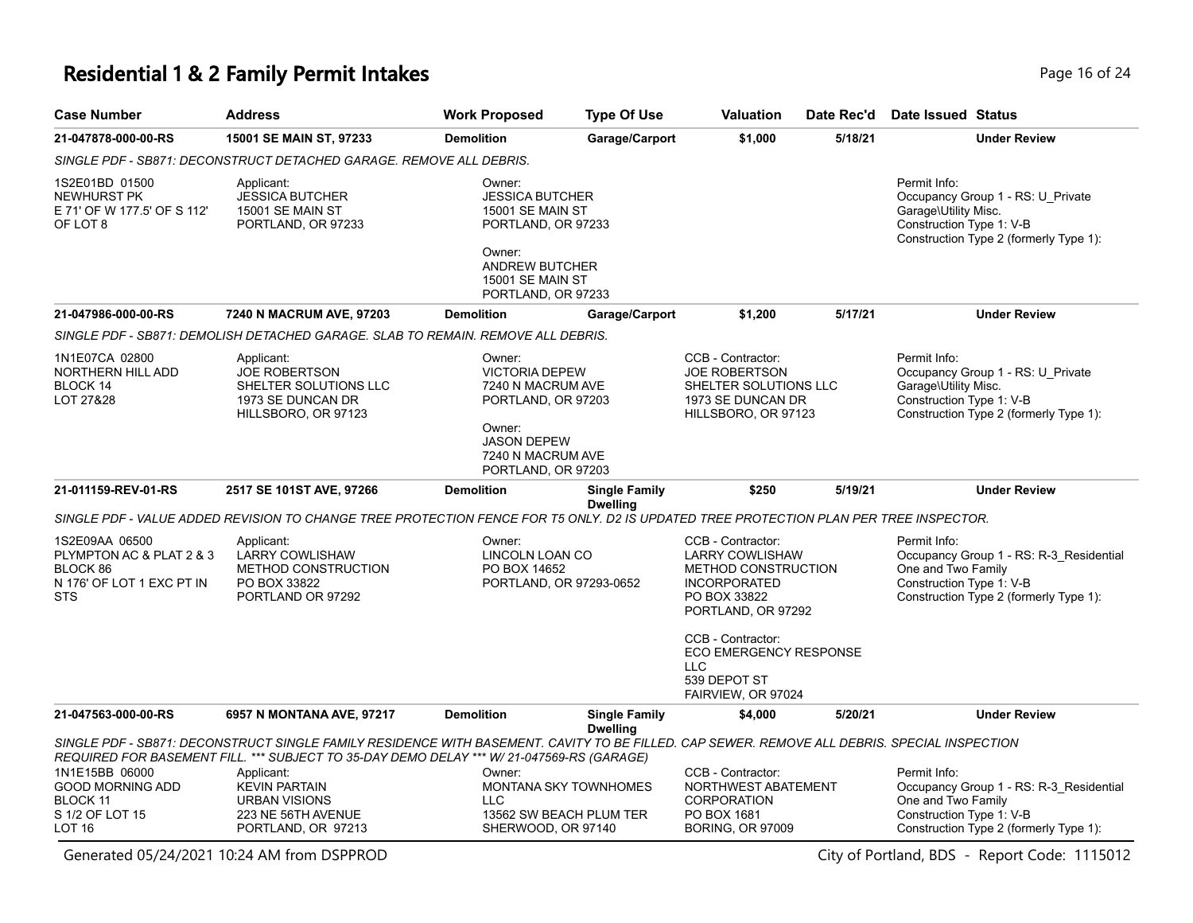# **Residential 1 & 2 Family Permit Intakes Page 16 of 24 Page 16 of 24**

| <b>Case Number</b>                                                                                | <b>Address</b>                                                                                                                                                                                                                            | <b>Work Proposed</b>                                                                                                                                           | <b>Type Of Use</b>                                      | <b>Valuation</b>                                                                                                                       | Date Rec'd | Date Issued Status                                                                                                                                  |
|---------------------------------------------------------------------------------------------------|-------------------------------------------------------------------------------------------------------------------------------------------------------------------------------------------------------------------------------------------|----------------------------------------------------------------------------------------------------------------------------------------------------------------|---------------------------------------------------------|----------------------------------------------------------------------------------------------------------------------------------------|------------|-----------------------------------------------------------------------------------------------------------------------------------------------------|
| 21-047878-000-00-RS                                                                               | 15001 SE MAIN ST, 97233                                                                                                                                                                                                                   | <b>Demolition</b>                                                                                                                                              | Garage/Carport                                          | \$1,000                                                                                                                                | 5/18/21    | <b>Under Review</b>                                                                                                                                 |
|                                                                                                   | SINGLE PDF - SB871: DECONSTRUCT DETACHED GARAGE. REMOVE ALL DEBRIS.                                                                                                                                                                       |                                                                                                                                                                |                                                         |                                                                                                                                        |            |                                                                                                                                                     |
| 1S2E01BD 01500<br><b>NEWHURST PK</b><br>E 71' OF W 177.5' OF S 112'<br>OF LOT 8                   | Applicant:<br><b>JESSICA BUTCHER</b><br>15001 SE MAIN ST<br>PORTLAND, OR 97233                                                                                                                                                            | Owner:<br><b>JESSICA BUTCHER</b><br>15001 SE MAIN ST<br>PORTLAND, OR 97233<br>Owner:<br><b>ANDREW BUTCHER</b><br><b>15001 SE MAIN ST</b><br>PORTLAND, OR 97233 |                                                         |                                                                                                                                        |            | Permit Info:<br>Occupancy Group 1 - RS: U Private<br>Garage\Utility Misc.<br>Construction Type 1: V-B<br>Construction Type 2 (formerly Type 1):     |
| 21-047986-000-00-RS                                                                               | 7240 N MACRUM AVE, 97203                                                                                                                                                                                                                  | <b>Demolition</b>                                                                                                                                              | Garage/Carport                                          | \$1,200                                                                                                                                | 5/17/21    | <b>Under Review</b>                                                                                                                                 |
|                                                                                                   | SINGLE PDF - SB871: DEMOLISH DETACHED GARAGE. SLAB TO REMAIN. REMOVE ALL DEBRIS.                                                                                                                                                          |                                                                                                                                                                |                                                         |                                                                                                                                        |            |                                                                                                                                                     |
| 1N1E07CA 02800<br><b>NORTHERN HILL ADD</b><br>BLOCK 14<br>LOT 27&28                               | Applicant:<br><b>JOE ROBERTSON</b><br>SHELTER SOLUTIONS LLC<br>1973 SE DUNCAN DR<br>HILLSBORO, OR 97123                                                                                                                                   | Owner:<br><b>VICTORIA DEPEW</b><br>7240 N MACRUM AVE<br>PORTLAND, OR 97203<br>Owner:                                                                           |                                                         | CCB - Contractor:<br><b>JOE ROBERTSON</b><br>SHELTER SOLUTIONS LLC<br>1973 SE DUNCAN DR<br>HILLSBORO, OR 97123                         |            | Permit Info:<br>Occupancy Group 1 - RS: U Private<br>Garage\Utility Misc.<br>Construction Type 1: V-B<br>Construction Type 2 (formerly Type 1):     |
|                                                                                                   |                                                                                                                                                                                                                                           | <b>JASON DEPEW</b><br>7240 N MACRUM AVE<br>PORTLAND, OR 97203                                                                                                  |                                                         |                                                                                                                                        |            |                                                                                                                                                     |
| 21-011159-REV-01-RS                                                                               | 2517 SE 101ST AVE, 97266                                                                                                                                                                                                                  | <b>Demolition</b>                                                                                                                                              | <b>Single Family</b><br><b>Dwelling</b>                 | \$250                                                                                                                                  | 5/19/21    | <b>Under Review</b>                                                                                                                                 |
|                                                                                                   | SINGLE PDF - VALUE ADDED REVISION TO CHANGE TREE PROTECTION FENCE FOR T5 ONLY. D2 IS UPDATED TREE PROTECTION PLAN PER TREE INSPECTOR.                                                                                                     |                                                                                                                                                                |                                                         |                                                                                                                                        |            |                                                                                                                                                     |
| 1S2E09AA 06500<br>PLYMPTON AC & PLAT 2 & 3<br>BLOCK 86<br>N 176' OF LOT 1 EXC PT IN<br><b>STS</b> | Applicant:<br><b>LARRY COWLISHAW</b><br><b>METHOD CONSTRUCTION</b><br>PO BOX 33822<br>PORTLAND OR 97292                                                                                                                                   | Owner:<br>LINCOLN LOAN CO<br>PO BOX 14652<br>PORTLAND, OR 97293-0652                                                                                           |                                                         | CCB - Contractor:<br><b>LARRY COWLISHAW</b><br><b>METHOD CONSTRUCTION</b><br><b>INCORPORATED</b><br>PO BOX 33822<br>PORTLAND, OR 97292 |            | Permit Info:<br>Occupancy Group 1 - RS: R-3_Residential<br>One and Two Family<br>Construction Type 1: V-B<br>Construction Type 2 (formerly Type 1): |
|                                                                                                   |                                                                                                                                                                                                                                           |                                                                                                                                                                |                                                         | CCB - Contractor:<br>ECO EMERGENCY RESPONSE<br><b>LLC</b><br>539 DEPOT ST<br>FAIRVIEW, OR 97024                                        |            |                                                                                                                                                     |
| 21-047563-000-00-RS                                                                               | 6957 N MONTANA AVE, 97217                                                                                                                                                                                                                 | <b>Demolition</b>                                                                                                                                              | <b>Single Family</b>                                    | \$4,000                                                                                                                                | 5/20/21    | <b>Under Review</b>                                                                                                                                 |
|                                                                                                   | SINGLE PDF - SB871: DECONSTRUCT SINGLE FAMILY RESIDENCE WITH BASEMENT. CAVITY TO BE FILLED. CAP SEWER. REMOVE ALL DEBRIS. SPECIAL INSPECTION<br>REQUIRED FOR BASEMENT FILL. *** SUBJECT TO 35-DAY DEMO DELAY *** W/ 21-047569-RS (GARAGE) |                                                                                                                                                                | <b>Dwelling</b>                                         |                                                                                                                                        |            |                                                                                                                                                     |
| 1N1E15BB 06000<br><b>GOOD MORNING ADD</b><br><b>BLOCK 11</b><br>S 1/2 OF LOT 15<br><b>LOT 16</b>  | Applicant:<br><b>KEVIN PARTAIN</b><br><b>URBAN VISIONS</b><br>223 NE 56TH AVENUE<br>PORTLAND, OR 97213                                                                                                                                    | Owner:<br><b>LLC</b><br>SHERWOOD, OR 97140                                                                                                                     | <b>MONTANA SKY TOWNHOMES</b><br>13562 SW BEACH PLUM TER | CCB - Contractor:<br>NORTHWEST ABATEMENT<br><b>CORPORATION</b><br>PO BOX 1681<br><b>BORING, OR 97009</b>                               |            | Permit Info:<br>Occupancy Group 1 - RS: R-3_Residential<br>One and Two Family<br>Construction Type 1: V-B<br>Construction Type 2 (formerly Type 1): |

Generated 05/24/2021 10:24 AM from DSPPROD City of Portland, BDS - Report Code: 1115012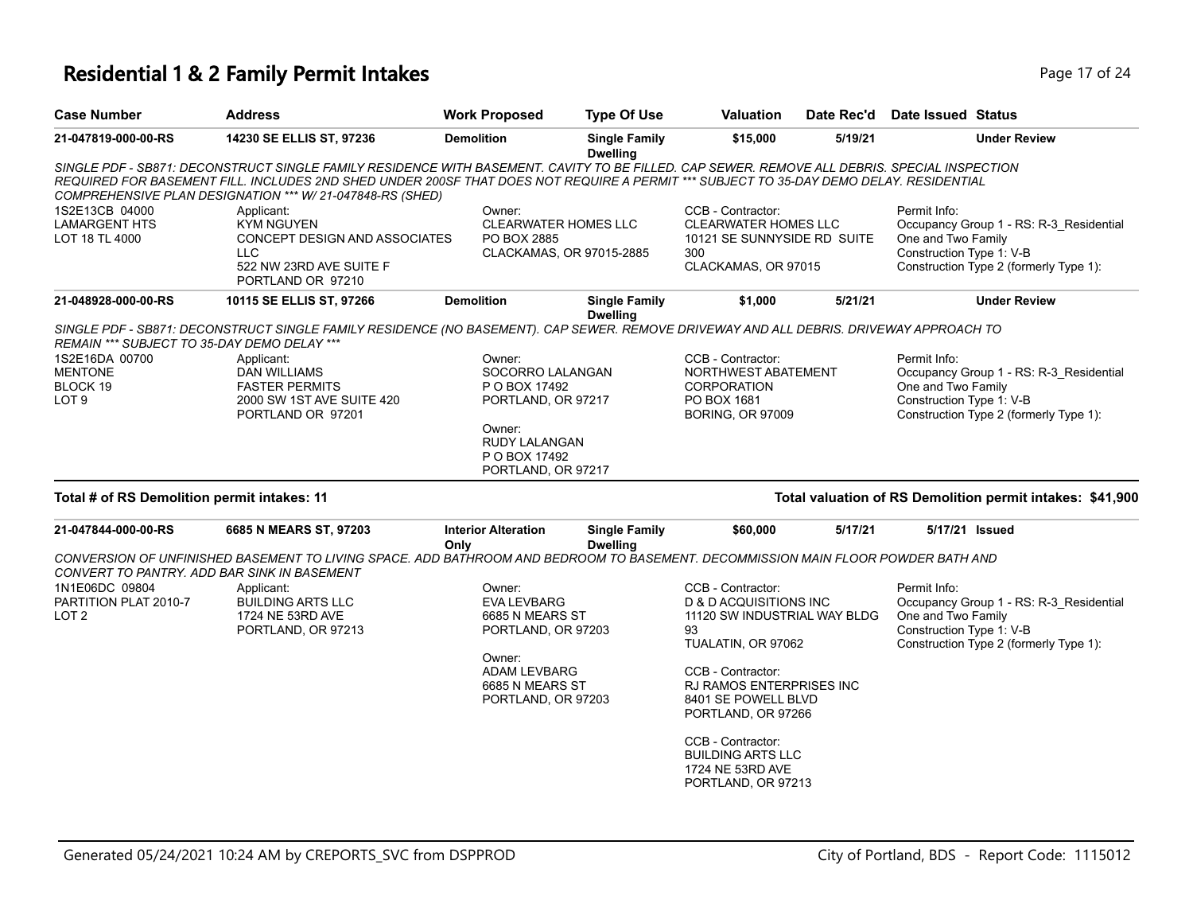#### **Residential 1 & 2 Family Permit Intakes Page 17 of 24 Page 17 of 24**

| <b>Case Number</b>                                                                                              | <b>Address</b>                                                                                                                                                                                                                                                                                                                                      | <b>Work Proposed</b>                                                                                                                       | <b>Type Of Use</b>                      | <b>Valuation</b>                                                                                              | Date Rec'd | Date Issued Status                                                                                                                                  |
|-----------------------------------------------------------------------------------------------------------------|-----------------------------------------------------------------------------------------------------------------------------------------------------------------------------------------------------------------------------------------------------------------------------------------------------------------------------------------------------|--------------------------------------------------------------------------------------------------------------------------------------------|-----------------------------------------|---------------------------------------------------------------------------------------------------------------|------------|-----------------------------------------------------------------------------------------------------------------------------------------------------|
| 21-047819-000-00-RS                                                                                             | 14230 SE ELLIS ST, 97236                                                                                                                                                                                                                                                                                                                            | <b>Demolition</b>                                                                                                                          | <b>Single Family</b><br><b>Dwelling</b> | \$15,000                                                                                                      | 5/19/21    | <b>Under Review</b>                                                                                                                                 |
|                                                                                                                 | SINGLE PDF - SB871: DECONSTRUCT SINGLE FAMILY RESIDENCE WITH BASEMENT. CAVITY TO BE FILLED. CAP SEWER. REMOVE ALL DEBRIS. SPECIAL INSPECTION<br>REQUIRED FOR BASEMENT FILL. INCLUDES 2ND SHED UNDER 200SF THAT DOES NOT REQUIRE A PERMIT *** SUBJECT TO 35-DAY DEMO DELAY. RESIDENTIAL<br>COMPREHENSIVE PLAN DESIGNATION *** W/ 21-047848-RS (SHED) |                                                                                                                                            |                                         |                                                                                                               |            |                                                                                                                                                     |
| 1S2E13CB 04000<br><b>LAMARGENT HTS</b><br>LOT 18 TL 4000                                                        | Applicant:<br><b>KYM NGUYEN</b><br><b>CONCEPT DESIGN AND ASSOCIATES</b><br><b>LLC</b><br>522 NW 23RD AVE SUITE F<br>PORTLAND OR 97210                                                                                                                                                                                                               | Owner:<br><b>CLEARWATER HOMES LLC</b><br>PO BOX 2885<br>CLACKAMAS, OR 97015-2885                                                           |                                         | CCB - Contractor:<br><b>CLEARWATER HOMES LLC</b><br>10121 SE SUNNYSIDE RD SUITE<br>300<br>CLACKAMAS, OR 97015 |            | Permit Info:<br>Occupancy Group 1 - RS: R-3 Residential<br>One and Two Family<br>Construction Type 1: V-B<br>Construction Type 2 (formerly Type 1): |
| 21-048928-000-00-RS                                                                                             | 10115 SE ELLIS ST, 97266                                                                                                                                                                                                                                                                                                                            | <b>Demolition</b>                                                                                                                          | <b>Single Family</b><br><b>Dwelling</b> | \$1,000                                                                                                       | 5/21/21    | <b>Under Review</b>                                                                                                                                 |
| REMAIN *** SUBJECT TO 35-DAY DEMO DELAY ***<br>1S2E16DA 00700<br><b>MENTONE</b><br>BLOCK 19<br>LOT <sub>9</sub> | SINGLE PDF - SB871: DECONSTRUCT SINGLE FAMILY RESIDENCE (NO BASEMENT). CAP SEWER. REMOVE DRIVEWAY AND ALL DEBRIS. DRIVEWAY APPROACH TO<br>Applicant:<br><b>DAN WILLIAMS</b><br><b>FASTER PERMITS</b><br>2000 SW 1ST AVE SUITE 420<br>PORTLAND OR 97201                                                                                              | Owner:<br>SOCORRO LALANGAN<br>P O BOX 17492<br>PORTLAND, OR 97217<br>Owner:<br><b>RUDY LALANGAN</b><br>P O BOX 17492<br>PORTLAND, OR 97217 |                                         | CCB - Contractor:<br>NORTHWEST ABATEMENT<br><b>CORPORATION</b><br>PO BOX 1681<br><b>BORING, OR 97009</b>      |            | Permit Info:<br>Occupancy Group 1 - RS: R-3_Residential<br>One and Two Family<br>Construction Type 1: V-B<br>Construction Type 2 (formerly Type 1): |
| Total # of RS Demolition permit intakes: 11                                                                     |                                                                                                                                                                                                                                                                                                                                                     |                                                                                                                                            |                                         |                                                                                                               |            | Total valuation of RS Demolition permit intakes: \$41,900                                                                                           |
| 21-047844-000-00-RS                                                                                             | 6685 N MEARS ST, 97203                                                                                                                                                                                                                                                                                                                              | <b>Interior Alteration</b><br>Only                                                                                                         | <b>Single Family</b><br><b>Dwelling</b> | \$60,000                                                                                                      | 5/17/21    | 5/17/21 Issued                                                                                                                                      |
|                                                                                                                 | CONVERSION OF UNFINISHED BASEMENT TO LIVING SPACE. ADD BATHROOM AND BEDROOM TO BASEMENT. DECOMMISSION MAIN FLOOR POWDER BATH AND<br>CONVERT TO PANTRY, ADD BAR SINK IN BASEMENT                                                                                                                                                                     |                                                                                                                                            |                                         |                                                                                                               |            |                                                                                                                                                     |
| 1N1E06DC 09804<br>PARTITION PLAT 2010-7<br>LOT <sub>2</sub>                                                     | Applicant:<br><b>BUILDING ARTS LLC</b><br>1724 NE 53RD AVE<br>PORTLAND, OR 97213                                                                                                                                                                                                                                                                    | Owner:<br><b>EVA LEVBARG</b><br>6685 N MEARS ST<br>PORTLAND, OR 97203                                                                      |                                         | CCB - Contractor:<br>D & D ACQUISITIONS INC<br>11120 SW INDUSTRIAL WAY BLDG<br>93<br>TUALATIN, OR 97062       |            | Permit Info:<br>Occupancy Group 1 - RS: R-3 Residential<br>One and Two Family<br>Construction Type 1: V-B<br>Construction Type 2 (formerly Type 1): |

Owner: ADAM LEVBARG 6685 N MEARS ST PORTLAND, OR 97203

CCB - Contractor:

CCB - Contractor: BUILDING ARTS LLC 1724 NE 53RD AVE PORTLAND, OR 97213

RJ RAMOS ENTERPRISES INC 8401 SE POWELL BLVD PORTLAND, OR 97266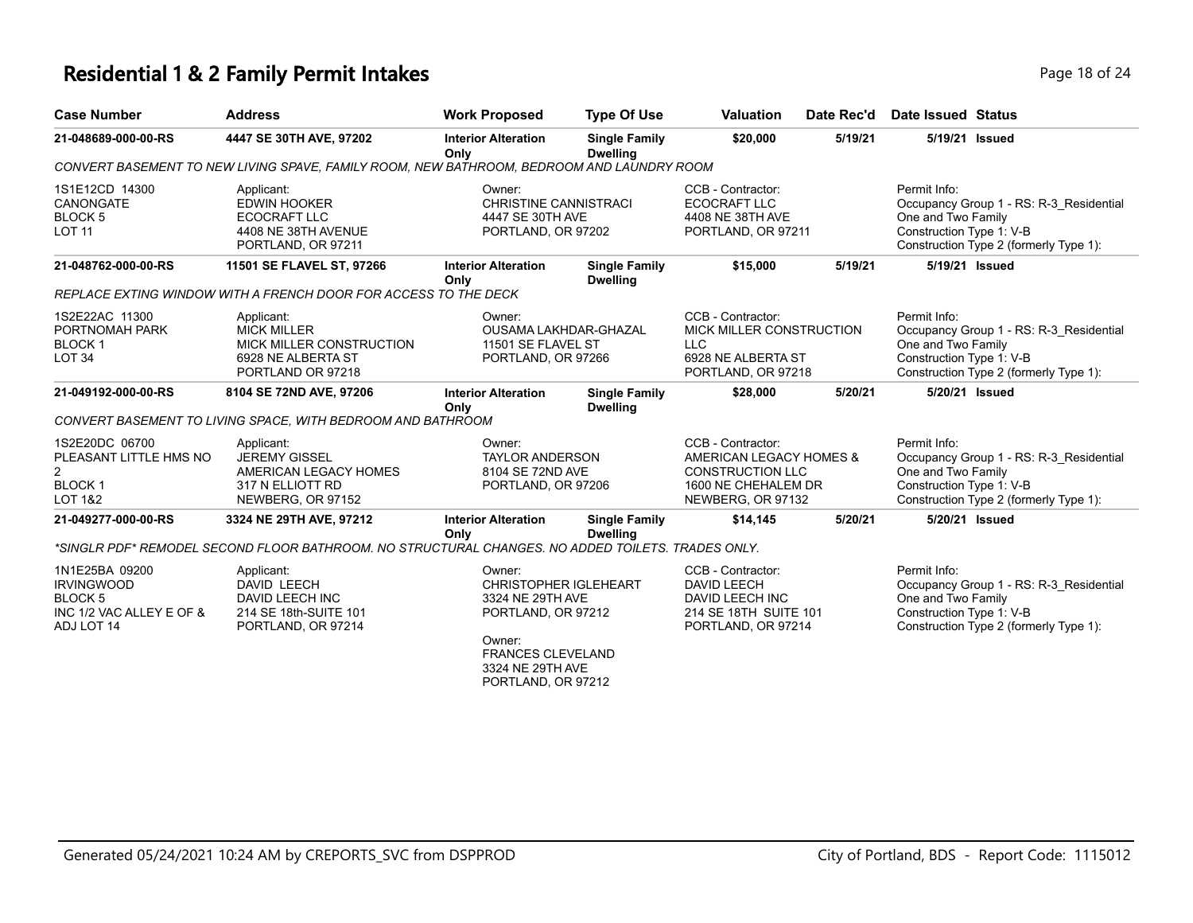#### **Residential 1 & 2 Family Permit Intakes Page 18 of 24 Page 18 of 24**

| <b>Case Number</b>                                                                                | <b>Address</b>                                                                                          | <b>Work Proposed</b>                                                                                                                                             | <b>Type Of Use</b>                      | <b>Valuation</b>                                                                                                    | Date Rec'd | Date Issued Status                                             |                                                                                   |
|---------------------------------------------------------------------------------------------------|---------------------------------------------------------------------------------------------------------|------------------------------------------------------------------------------------------------------------------------------------------------------------------|-----------------------------------------|---------------------------------------------------------------------------------------------------------------------|------------|----------------------------------------------------------------|-----------------------------------------------------------------------------------|
| 21-048689-000-00-RS                                                                               | 4447 SE 30TH AVE, 97202                                                                                 | <b>Interior Alteration</b><br>Only                                                                                                                               | <b>Single Family</b><br><b>Dwelling</b> | \$20,000                                                                                                            | 5/19/21    | 5/19/21 Issued                                                 |                                                                                   |
|                                                                                                   | CONVERT BASEMENT TO NEW LIVING SPAVE, FAMILY ROOM, NEW BATHROOM, BEDROOM AND LAUNDRY ROOM               |                                                                                                                                                                  |                                         |                                                                                                                     |            |                                                                |                                                                                   |
| 1S1E12CD 14300<br>CANONGATE<br>BLOCK <sub>5</sub><br><b>LOT 11</b>                                | Applicant:<br><b>EDWIN HOOKER</b><br>ECOCRAFT LLC<br>4408 NE 38TH AVENUE<br>PORTLAND, OR 97211          | Owner:<br><b>CHRISTINE CANNISTRACI</b><br>4447 SE 30TH AVE<br>PORTLAND, OR 97202                                                                                 |                                         | CCB - Contractor:<br>ECOCRAFT LLC<br>4408 NE 38TH AVE<br>PORTLAND, OR 97211                                         |            | Permit Info:<br>One and Two Family<br>Construction Type 1: V-B | Occupancy Group 1 - RS: R-3 Residential<br>Construction Type 2 (formerly Type 1): |
| 21-048762-000-00-RS                                                                               | 11501 SE FLAVEL ST, 97266                                                                               | <b>Interior Alteration</b><br>Only                                                                                                                               | <b>Single Family</b><br><b>Dwelling</b> | \$15,000                                                                                                            | 5/19/21    | 5/19/21 Issued                                                 |                                                                                   |
|                                                                                                   | REPLACE EXTING WINDOW WITH A FRENCH DOOR FOR ACCESS TO THE DECK                                         |                                                                                                                                                                  |                                         |                                                                                                                     |            |                                                                |                                                                                   |
| 1S2E22AC 11300<br>PORTNOMAH PARK<br><b>BLOCK1</b><br><b>LOT 34</b>                                | Applicant:<br><b>MICK MILLER</b><br>MICK MILLER CONSTRUCTION<br>6928 NE ALBERTA ST<br>PORTLAND OR 97218 | Owner:<br>OUSAMA LAKHDAR-GHAZAL<br>11501 SE FLAVEL ST<br>PORTLAND, OR 97266                                                                                      |                                         | CCB - Contractor:<br>MICK MILLER CONSTRUCTION<br><b>LLC</b><br>6928 NE ALBERTA ST<br>PORTLAND, OR 97218             |            | Permit Info:<br>One and Two Family<br>Construction Type 1: V-B | Occupancy Group 1 - RS: R-3 Residential<br>Construction Type 2 (formerly Type 1): |
| 21-049192-000-00-RS                                                                               | 8104 SE 72ND AVE, 97206                                                                                 | <b>Interior Alteration</b><br>Only                                                                                                                               | <b>Single Family</b><br><b>Dwelling</b> | \$28,000                                                                                                            | 5/20/21    | 5/20/21 Issued                                                 |                                                                                   |
|                                                                                                   | CONVERT BASEMENT TO LIVING SPACE, WITH BEDROOM AND BATHROOM                                             |                                                                                                                                                                  |                                         |                                                                                                                     |            |                                                                |                                                                                   |
| 1S2E20DC 06700<br>PLEASANT LITTLE HMS NO<br>$\overline{2}$<br><b>BLOCK1</b><br><b>LOT 1&amp;2</b> | Applicant:<br><b>JEREMY GISSEL</b><br>AMERICAN LEGACY HOMES<br>317 N ELLIOTT RD<br>NEWBERG, OR 97152    | Owner:<br><b>TAYLOR ANDERSON</b><br>8104 SE 72ND AVE<br>PORTLAND, OR 97206                                                                                       |                                         | CCB - Contractor:<br>AMERICAN LEGACY HOMES &<br><b>CONSTRUCTION LLC</b><br>1600 NE CHEHALEM DR<br>NEWBERG, OR 97132 |            | Permit Info:<br>One and Two Family<br>Construction Type 1: V-B | Occupancy Group 1 - RS: R-3 Residential<br>Construction Type 2 (formerly Type 1): |
| 21-049277-000-00-RS                                                                               | 3324 NE 29TH AVE, 97212                                                                                 | <b>Interior Alteration</b><br>Only                                                                                                                               | <b>Single Family</b><br><b>Dwelling</b> | \$14,145                                                                                                            | 5/20/21    | 5/20/21 Issued                                                 |                                                                                   |
|                                                                                                   | *SINGLR PDF* REMODEL SECOND FLOOR BATHROOM. NO STRUCTURAL CHANGES. NO ADDED TOILETS. TRADES ONLY.       |                                                                                                                                                                  |                                         |                                                                                                                     |            |                                                                |                                                                                   |
| 1N1E25BA 09200<br><b>IRVINGWOOD</b><br><b>BLOCK 5</b><br>INC 1/2 VAC ALLEY E OF &<br>ADJ LOT 14   | Applicant:<br><b>DAVID LEECH</b><br>DAVID LEECH INC<br>214 SE 18th-SUITE 101<br>PORTLAND, OR 97214      | Owner:<br><b>CHRISTOPHER IGLEHEART</b><br>3324 NE 29TH AVE<br>PORTLAND, OR 97212<br>Owner:<br><b>FRANCES CLEVELAND</b><br>3324 NE 29TH AVE<br>PORTLAND, OR 97212 |                                         | CCB - Contractor:<br><b>DAVID LEECH</b><br>DAVID LEECH INC<br>214 SE 18TH SUITE 101<br>PORTLAND, OR 97214           |            | Permit Info:<br>One and Two Family<br>Construction Type 1: V-B | Occupancy Group 1 - RS: R-3 Residential<br>Construction Type 2 (formerly Type 1): |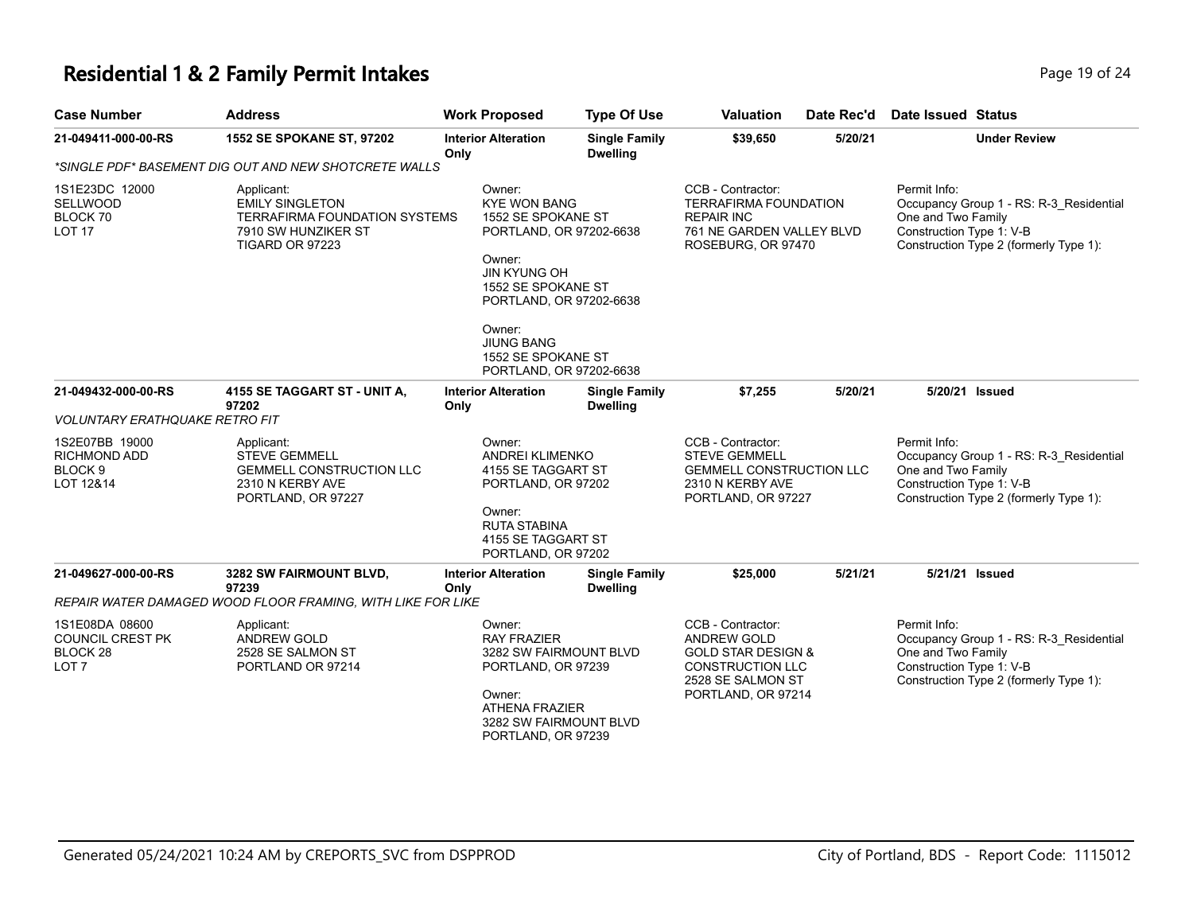# **Residential 1 & 2 Family Permit Intakes Page 19 of 24 Page 19 of 24**

| <b>Case Number</b>                                                        | <b>Address</b>                                                                                                         | <b>Work Proposed</b>                                                                                                                                             | <b>Type Of Use</b>                                                                                              | <b>Valuation</b>                                                                                                                               | Date Rec'd                                                         | Date Issued Status                                                                                                                                  |  |
|---------------------------------------------------------------------------|------------------------------------------------------------------------------------------------------------------------|------------------------------------------------------------------------------------------------------------------------------------------------------------------|-----------------------------------------------------------------------------------------------------------------|------------------------------------------------------------------------------------------------------------------------------------------------|--------------------------------------------------------------------|-----------------------------------------------------------------------------------------------------------------------------------------------------|--|
| 21-049411-000-00-RS                                                       | 1552 SE SPOKANE ST, 97202                                                                                              | <b>Interior Alteration</b><br>Only                                                                                                                               | <b>Single Family</b><br><b>Dwelling</b>                                                                         | \$39,650                                                                                                                                       | 5/20/21                                                            | <b>Under Review</b>                                                                                                                                 |  |
|                                                                           | *SINGLE PDF* BASEMENT DIG OUT AND NEW SHOTCRETE WALLS                                                                  |                                                                                                                                                                  |                                                                                                                 |                                                                                                                                                |                                                                    |                                                                                                                                                     |  |
| 1S1E23DC 12000<br><b>SELLWOOD</b><br>BLOCK 70<br>LOT <sub>17</sub>        | Applicant:<br><b>EMILY SINGLETON</b><br><b>TERRAFIRMA FOUNDATION SYSTEMS</b><br>7910 SW HUNZIKER ST<br>TIGARD OR 97223 | Owner:<br><b>KYE WON BANG</b><br>1552 SE SPOKANE ST<br>PORTLAND, OR 97202-6638<br>Owner:<br><b>JIN KYUNG OH</b><br>1552 SE SPOKANE ST<br>PORTLAND, OR 97202-6638 |                                                                                                                 | CCB - Contractor:<br><b>TERRAFIRMA FOUNDATION</b><br><b>REPAIR INC</b><br>761 NE GARDEN VALLEY BLVD<br>ROSEBURG, OR 97470                      |                                                                    | Permit Info:<br>Occupancy Group 1 - RS: R-3_Residential<br>One and Two Family<br>Construction Type 1: V-B<br>Construction Type 2 (formerly Type 1): |  |
|                                                                           |                                                                                                                        | Owner:<br><b>JIUNG BANG</b><br>1552 SE SPOKANE ST<br>PORTLAND, OR 97202-6638                                                                                     |                                                                                                                 |                                                                                                                                                |                                                                    |                                                                                                                                                     |  |
| 21-049432-000-00-RS                                                       | 4155 SE TAGGART ST - UNIT A,<br>97202                                                                                  | <b>Interior Alteration</b><br>Only                                                                                                                               | <b>Single Family</b><br><b>Dwelling</b>                                                                         | \$7,255                                                                                                                                        | 5/20/21                                                            | 5/20/21 Issued                                                                                                                                      |  |
| <b>VOLUNTARY ERATHQUAKE RETRO FIT</b>                                     |                                                                                                                        |                                                                                                                                                                  |                                                                                                                 |                                                                                                                                                |                                                                    |                                                                                                                                                     |  |
| 1S2E07BB 19000<br><b>RICHMOND ADD</b><br>BLOCK <sub>9</sub><br>LOT 12&14  | Applicant:<br><b>STEVE GEMMELL</b><br><b>GEMMELL CONSTRUCTION LLC</b><br>2310 N KERBY AVE<br>PORTLAND, OR 97227        | Owner:<br>Owner:<br>PORTLAND, OR 97202                                                                                                                           | <b>ANDREI KLIMENKO</b><br>4155 SE TAGGART ST<br>PORTLAND, OR 97202<br><b>RUTA STABINA</b><br>4155 SE TAGGART ST |                                                                                                                                                | GEMMELL CONSTRUCTION LLC<br>2310 N KERBY AVE<br>PORTLAND, OR 97227 | Permit Info:<br>Occupancy Group 1 - RS: R-3 Residential<br>One and Two Family<br>Construction Type 1: V-B<br>Construction Type 2 (formerly Type 1): |  |
| 21-049627-000-00-RS                                                       | 3282 SW FAIRMOUNT BLVD,<br>97239                                                                                       | <b>Interior Alteration</b><br>Only                                                                                                                               | <b>Single Family</b><br><b>Dwelling</b>                                                                         | \$25,000                                                                                                                                       | 5/21/21                                                            | 5/21/21 Issued                                                                                                                                      |  |
|                                                                           | REPAIR WATER DAMAGED WOOD FLOOR FRAMING, WITH LIKE FOR LIKE                                                            |                                                                                                                                                                  |                                                                                                                 |                                                                                                                                                |                                                                    |                                                                                                                                                     |  |
| 1S1E08DA 08600<br><b>COUNCIL CREST PK</b><br>BLOCK 28<br>LOT <sub>7</sub> | Applicant:<br><b>ANDREW GOLD</b><br>2528 SE SALMON ST<br>PORTLAND OR 97214                                             | Owner:<br><b>RAY FRAZIER</b><br>3282 SW FAIRMOUNT BLVD<br>PORTLAND, OR 97239<br>Owner:<br><b>ATHENA FRAZIER</b><br>3282 SW FAIRMOUNT BLVD<br>PORTLAND, OR 97239  |                                                                                                                 | CCB - Contractor:<br><b>ANDREW GOLD</b><br><b>GOLD STAR DESIGN &amp;</b><br><b>CONSTRUCTION LLC</b><br>2528 SE SALMON ST<br>PORTLAND, OR 97214 |                                                                    | Permit Info:<br>Occupancy Group 1 - RS: R-3_Residential<br>One and Two Family<br>Construction Type 1: V-B<br>Construction Type 2 (formerly Type 1): |  |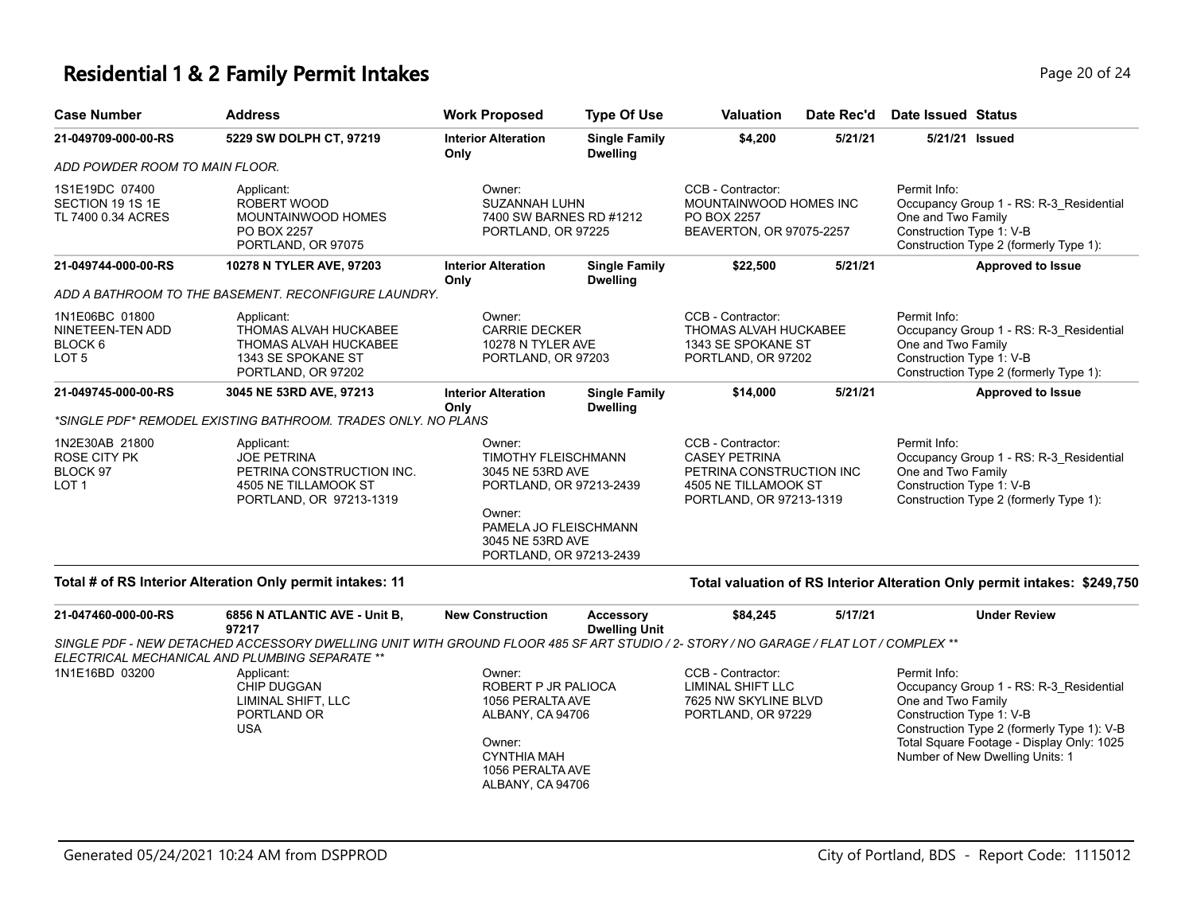#### **Residential 1 & 2 Family Permit Intakes Page 20 of 24 Page 20 of 24**

| <b>Case Number</b>                                                           | <b>Address</b>                                                                                                   | <b>Work Proposed</b>                                                                                                   | <b>Type Of Use</b>                      | <b>Valuation</b>                                                                                                         | Date Rec'd | Date Issued Status                                                                                                                                  |
|------------------------------------------------------------------------------|------------------------------------------------------------------------------------------------------------------|------------------------------------------------------------------------------------------------------------------------|-----------------------------------------|--------------------------------------------------------------------------------------------------------------------------|------------|-----------------------------------------------------------------------------------------------------------------------------------------------------|
| 21-049709-000-00-RS                                                          | 5229 SW DOLPH CT, 97219                                                                                          | <b>Interior Alteration</b><br>Only                                                                                     | <b>Single Family</b><br><b>Dwelling</b> | \$4,200                                                                                                                  | 5/21/21    | 5/21/21 Issued                                                                                                                                      |
| ADD POWDER ROOM TO MAIN FLOOR.                                               |                                                                                                                  |                                                                                                                        |                                         |                                                                                                                          |            |                                                                                                                                                     |
| 1S1E19DC 07400<br>SECTION 19 1S 1E<br>TL 7400 0.34 ACRES                     | Applicant:<br>ROBERT WOOD<br><b>MOUNTAINWOOD HOMES</b><br>PO BOX 2257<br>PORTLAND, OR 97075                      | Owner:<br>SUZANNAH LUHN<br>7400 SW BARNES RD #1212<br>PORTLAND, OR 97225                                               |                                         | CCB - Contractor:<br>MOUNTAINWOOD HOMES INC<br>PO BOX 2257<br>BEAVERTON, OR 97075-2257                                   |            | Permit Info:<br>Occupancy Group 1 - RS: R-3 Residential<br>One and Two Family<br>Construction Type 1: V-B<br>Construction Type 2 (formerly Type 1): |
| 21-049744-000-00-RS                                                          | 10278 N TYLER AVE, 97203                                                                                         | <b>Interior Alteration</b><br>Only                                                                                     | <b>Single Family</b><br><b>Dwelling</b> | \$22,500                                                                                                                 | 5/21/21    | <b>Approved to Issue</b>                                                                                                                            |
|                                                                              | ADD A BATHROOM TO THE BASEMENT. RECONFIGURE LAUNDRY.                                                             |                                                                                                                        |                                         |                                                                                                                          |            |                                                                                                                                                     |
| 1N1E06BC 01800<br>NINETEEN-TEN ADD<br>BLOCK <sub>6</sub><br>LOT <sub>5</sub> | Applicant:<br>THOMAS ALVAH HUCKABEE<br><b>THOMAS ALVAH HUCKABEE</b><br>1343 SE SPOKANE ST<br>PORTLAND, OR 97202  | Owner:<br><b>CARRIE DECKER</b><br>10278 N TYLER AVE<br>PORTLAND, OR 97203                                              |                                         | CCB - Contractor:<br>THOMAS ALVAH HUCKABEE<br>1343 SE SPOKANE ST<br>PORTLAND, OR 97202                                   |            | Permit Info:<br>Occupancy Group 1 - RS: R-3 Residential<br>One and Two Family<br>Construction Type 1: V-B<br>Construction Type 2 (formerly Type 1): |
| 21-049745-000-00-RS                                                          | 3045 NE 53RD AVE, 97213                                                                                          | <b>Interior Alteration</b><br>Only                                                                                     | <b>Single Family</b><br><b>Dwelling</b> | \$14,000                                                                                                                 | 5/21/21    | <b>Approved to Issue</b>                                                                                                                            |
|                                                                              | *SINGLE PDF* REMODEL EXISTING BATHROOM. TRADES ONLY. NO PLANS                                                    |                                                                                                                        |                                         |                                                                                                                          |            |                                                                                                                                                     |
| 1N2E30AB 21800<br><b>ROSE CITY PK</b><br>BLOCK 97<br>LOT <sub>1</sub>        | Applicant:<br><b>JOE PETRINA</b><br>PETRINA CONSTRUCTION INC.<br>4505 NE TILLAMOOK ST<br>PORTLAND, OR 97213-1319 | Owner:<br><b>TIMOTHY FLEISCHMANN</b><br>3045 NE 53RD AVE<br>PORTLAND, OR 97213-2439<br>Owner:<br>PAMELA JO FLEISCHMANN |                                         | CCB - Contractor:<br><b>CASEY PETRINA</b><br>PETRINA CONSTRUCTION INC<br>4505 NE TILLAMOOK ST<br>PORTLAND, OR 97213-1319 |            | Permit Info:<br>Occupancy Group 1 - RS: R-3 Residential<br>One and Two Family<br>Construction Type 1: V-B<br>Construction Type 2 (formerly Type 1): |
|                                                                              |                                                                                                                  | 3045 NE 53RD AVE<br>PORTLAND, OR 97213-2439                                                                            |                                         |                                                                                                                          |            |                                                                                                                                                     |

#### **Total # of RS Interior Alteration Only permit intakes: 11 Total valuation of RS Interior Alteration Only permit intakes: \$249,750**

| 21-047460-000-00-RS                            | 6856 N ATLANTIC AVE - Unit B,<br>97217                                                                                               | <b>New Construction</b>                                                                                                                       | Accessory<br><b>Dwelling Unit</b> | \$84,245                                                                             | 5/17/21 | <b>Under Review</b>                                                                                                                                                                                                                     |  |
|------------------------------------------------|--------------------------------------------------------------------------------------------------------------------------------------|-----------------------------------------------------------------------------------------------------------------------------------------------|-----------------------------------|--------------------------------------------------------------------------------------|---------|-----------------------------------------------------------------------------------------------------------------------------------------------------------------------------------------------------------------------------------------|--|
| ELECTRICAL MECHANICAL AND PLUMBING SEPARATE ** | SINGLE PDF - NEW DETACHED ACCESSORY DWELLING UNIT WITH GROUND FLOOR 485 SF ART STUDIO / 2- STORY / NO GARAGE / FLAT LOT / COMPLEX ** |                                                                                                                                               |                                   |                                                                                      |         |                                                                                                                                                                                                                                         |  |
| 1N1E16BD 03200                                 | Applicant:<br>CHIP DUGGAN<br>LIMINAL SHIFT, LLC<br>PORTLAND OR<br>USA                                                                | Owner:<br>ROBERT P JR PALIOCA<br>1056 PERALTA AVE<br>ALBANY, CA 94706<br>Owner:<br><b>CYNTHIA MAH</b><br>1056 PERALTA AVE<br>ALBANY, CA 94706 |                                   | CCB - Contractor:<br>LIMINAL SHIFT LLC<br>7625 NW SKYLINE BLVD<br>PORTLAND, OR 97229 |         | Permit Info:<br>Occupancy Group 1 - RS: R-3 Residential<br>One and Two Family<br>Construction Type 1: V-B<br>Construction Type 2 (formerly Type 1): V-B<br>Total Square Footage - Display Only: 1025<br>Number of New Dwelling Units: 1 |  |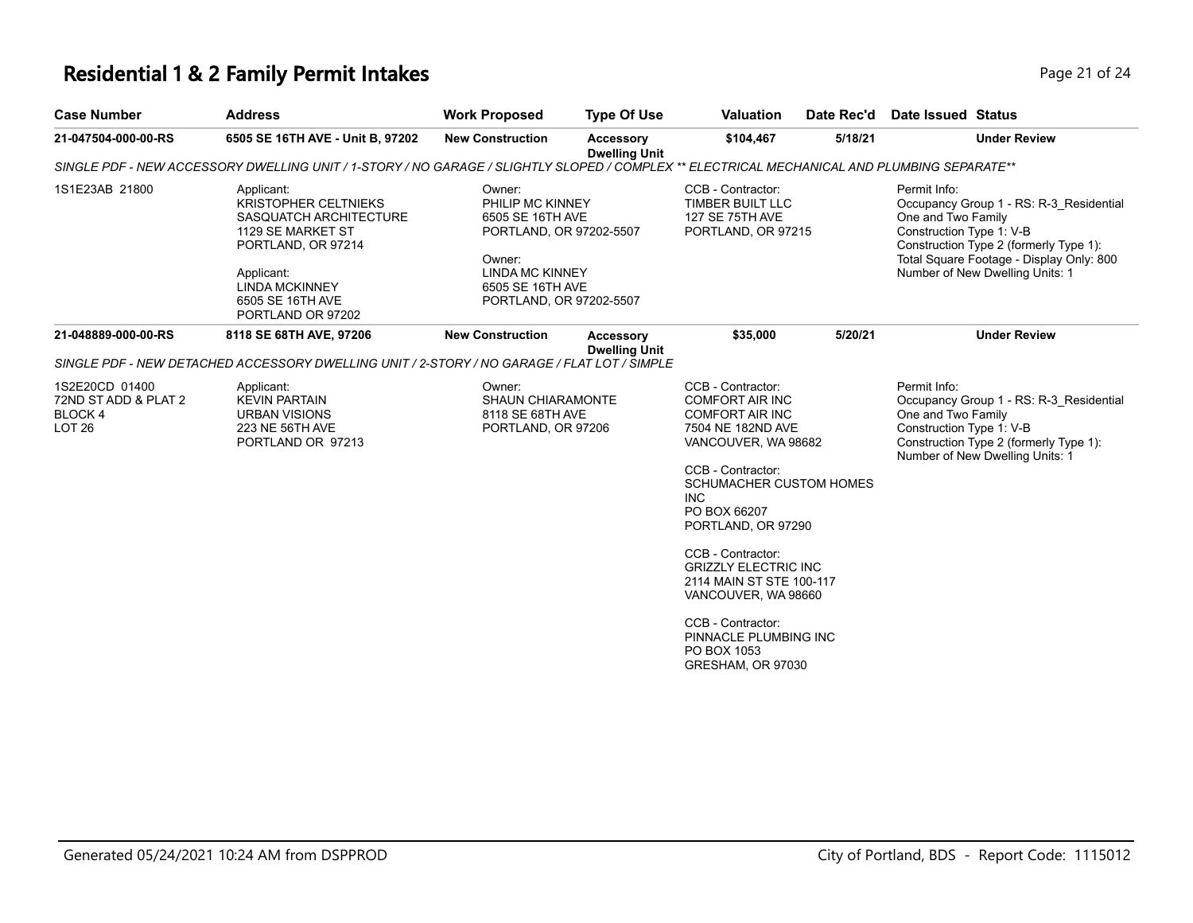# **Residential 1 & 2 Family Permit Intakes Page 21 of 24 Page 21 of 24**

| <b>Case Number</b>                                                           | <b>Address</b>                                                                                                                                                                                 | <b>Work Proposed</b>                                                                                                                                         | <b>Type Of Use</b>                       | <b>Valuation</b>                                                                                                                                                                                                                                                                                                                                                                                                      | Date Rec'd | Date Issued Status                                                                                                                                                                                                                 |  |
|------------------------------------------------------------------------------|------------------------------------------------------------------------------------------------------------------------------------------------------------------------------------------------|--------------------------------------------------------------------------------------------------------------------------------------------------------------|------------------------------------------|-----------------------------------------------------------------------------------------------------------------------------------------------------------------------------------------------------------------------------------------------------------------------------------------------------------------------------------------------------------------------------------------------------------------------|------------|------------------------------------------------------------------------------------------------------------------------------------------------------------------------------------------------------------------------------------|--|
| 21-047504-000-00-RS                                                          | 6505 SE 16TH AVE - Unit B, 97202                                                                                                                                                               | <b>New Construction</b>                                                                                                                                      | <b>Accessory</b><br><b>Dwelling Unit</b> | \$104,467                                                                                                                                                                                                                                                                                                                                                                                                             | 5/18/21    | <b>Under Review</b>                                                                                                                                                                                                                |  |
|                                                                              |                                                                                                                                                                                                | SINGLE PDF - NEW ACCESSORY DWELLING UNIT / 1-STORY / NO GARAGE / SLIGHTLY SLOPED / COMPLEX ** ELECTRICAL MECHANICAL AND PLUMBING SEPARATE**                  |                                          |                                                                                                                                                                                                                                                                                                                                                                                                                       |            |                                                                                                                                                                                                                                    |  |
| 1S1E23AB 21800                                                               | Applicant:<br><b>KRISTOPHER CELTNIEKS</b><br>SASQUATCH ARCHITECTURE<br>1129 SE MARKET ST<br>PORTLAND, OR 97214<br>Applicant:<br><b>LINDA MCKINNEY</b><br>6505 SE 16TH AVE<br>PORTLAND OR 97202 | Owner:<br>PHILIP MC KINNEY<br>6505 SE 16TH AVE<br>PORTLAND, OR 97202-5507<br>Owner:<br><b>LINDA MC KINNEY</b><br>6505 SE 16TH AVE<br>PORTLAND, OR 97202-5507 |                                          | CCB - Contractor:<br>TIMBER BUILT LLC<br><b>127 SE 75TH AVE</b><br>PORTLAND, OR 97215                                                                                                                                                                                                                                                                                                                                 |            | Permit Info:<br>Occupancy Group 1 - RS: R-3 Residential<br>One and Two Family<br>Construction Type 1: V-B<br>Construction Type 2 (formerly Type 1):<br>Total Square Footage - Display Only: 800<br>Number of New Dwelling Units: 1 |  |
| 21-048889-000-00-RS                                                          | 8118 SE 68TH AVE, 97206                                                                                                                                                                        | <b>New Construction</b>                                                                                                                                      | <b>Accessory</b><br><b>Dwelling Unit</b> | \$35,000                                                                                                                                                                                                                                                                                                                                                                                                              | 5/20/21    | <b>Under Review</b>                                                                                                                                                                                                                |  |
|                                                                              | SINGLE PDF - NEW DETACHED ACCESSORY DWELLING UNIT / 2-STORY / NO GARAGE / FLAT LOT / SIMPLE                                                                                                    |                                                                                                                                                              |                                          |                                                                                                                                                                                                                                                                                                                                                                                                                       |            |                                                                                                                                                                                                                                    |  |
| 1S2E20CD 01400<br>72ND ST ADD & PLAT 2<br><b>BLOCK4</b><br>LOT <sub>26</sub> | Applicant:<br><b>KEVIN PARTAIN</b><br><b>URBAN VISIONS</b><br>223 NE 56TH AVE<br>PORTLAND OR 97213                                                                                             | Owner:<br><b>SHAUN CHIARAMONTE</b><br>8118 SE 68TH AVE<br>PORTLAND, OR 97206                                                                                 |                                          | CCB - Contractor:<br><b>COMFORT AIR INC</b><br><b>COMFORT AIR INC</b><br>7504 NE 182ND AVE<br>VANCOUVER, WA 98682<br>CCB - Contractor:<br><b>SCHUMACHER CUSTOM HOMES</b><br><b>INC</b><br>PO BOX 66207<br>PORTLAND, OR 97290<br>CCB - Contractor:<br><b>GRIZZLY ELECTRIC INC</b><br>2114 MAIN ST STE 100-117<br>VANCOUVER, WA 98660<br>CCB - Contractor:<br>PINNACLE PLUMBING INC<br>PO BOX 1053<br>GRESHAM, OR 97030 |            | Permit Info:<br>Occupancy Group 1 - RS: R-3_Residential<br>One and Two Family<br>Construction Type 1: V-B<br>Construction Type 2 (formerly Type 1):<br>Number of New Dwelling Units: 1                                             |  |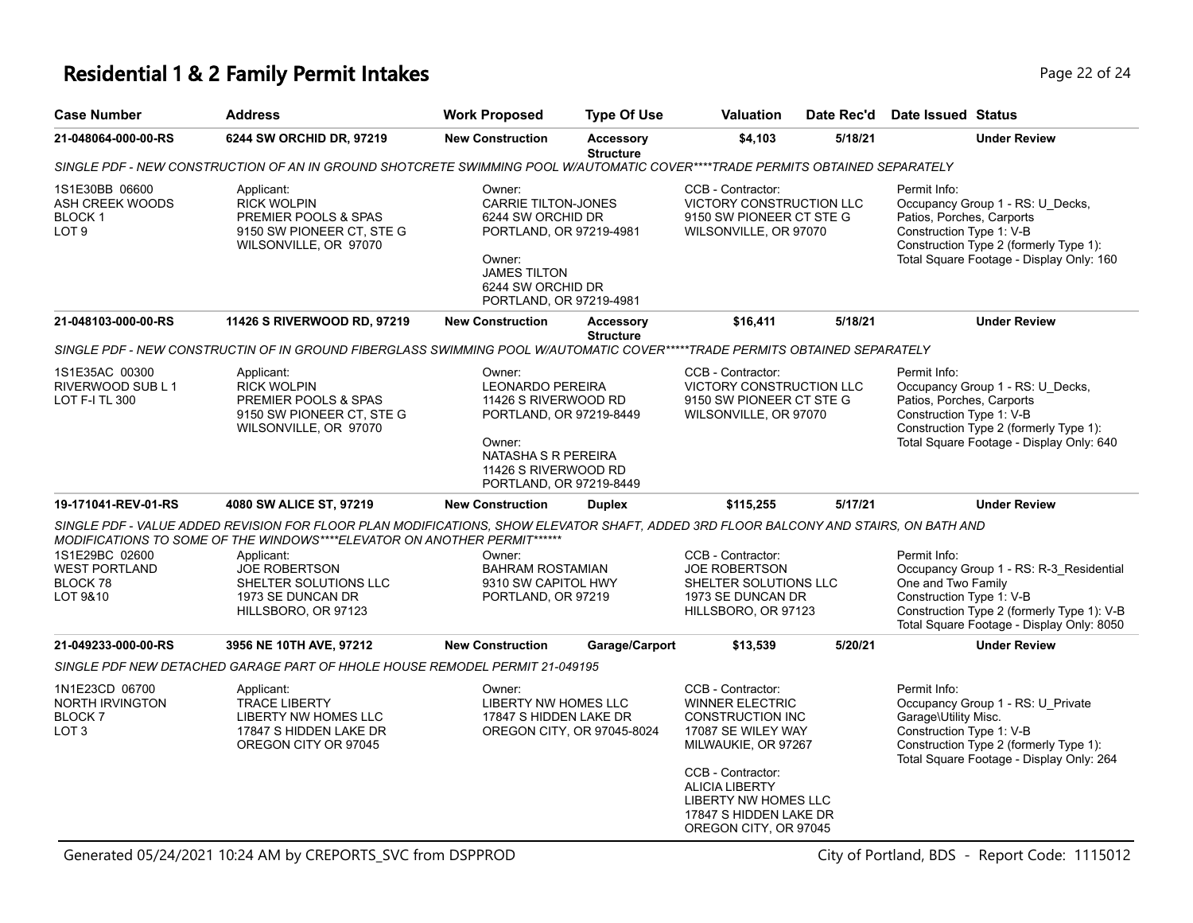#### **Residential 1 & 2 Family Permit Intakes Page 12 of 24 Page 22 of 24**

| <b>Case Number</b>                                                                                                           | <b>Address</b>                                                                                                                                                                      | <b>Work Proposed</b>                                                                                                                                                  | <b>Type Of Use</b>                   | <b>Valuation</b>                                                                                                                                                                                                                             | Date Rec'd | <b>Date Issued Status</b>                                                                                                                                                                            |  |  |  |
|------------------------------------------------------------------------------------------------------------------------------|-------------------------------------------------------------------------------------------------------------------------------------------------------------------------------------|-----------------------------------------------------------------------------------------------------------------------------------------------------------------------|--------------------------------------|----------------------------------------------------------------------------------------------------------------------------------------------------------------------------------------------------------------------------------------------|------------|------------------------------------------------------------------------------------------------------------------------------------------------------------------------------------------------------|--|--|--|
| 21-048064-000-00-RS                                                                                                          | 6244 SW ORCHID DR, 97219                                                                                                                                                            | <b>New Construction</b>                                                                                                                                               | <b>Accessory</b><br><b>Structure</b> | \$4,103                                                                                                                                                                                                                                      | 5/18/21    | <b>Under Review</b>                                                                                                                                                                                  |  |  |  |
| SINGLE PDF - NEW CONSTRUCTION OF AN IN GROUND SHOTCRETE SWIMMING POOL W/AUTOMATIC COVER****TRADE PERMITS OBTAINED SEPARATELY |                                                                                                                                                                                     |                                                                                                                                                                       |                                      |                                                                                                                                                                                                                                              |            |                                                                                                                                                                                                      |  |  |  |
| 1S1E30BB 06600<br>ASH CREEK WOODS<br>BLOCK 1<br>LOT <sub>9</sub>                                                             | Applicant:<br><b>RICK WOLPIN</b><br>PREMIER POOLS & SPAS<br>9150 SW PIONEER CT, STE G<br>WILSONVILLE, OR 97070                                                                      | Owner:<br><b>CARRIE TILTON-JONES</b><br>6244 SW ORCHID DR<br>PORTLAND, OR 97219-4981<br>Owner:<br><b>JAMES TILTON</b><br>6244 SW ORCHID DR<br>PORTLAND, OR 97219-4981 |                                      | CCB - Contractor:<br>VICTORY CONSTRUCTION LLC<br>9150 SW PIONEER CT STE G<br>WILSONVILLE, OR 97070                                                                                                                                           |            | Permit Info:<br>Occupancy Group 1 - RS: U_Decks,<br>Patios, Porches, Carports<br>Construction Type 1: V-B<br>Construction Type 2 (formerly Type 1):<br>Total Square Footage - Display Only: 160      |  |  |  |
| 21-048103-000-00-RS                                                                                                          | 11426 S RIVERWOOD RD, 97219                                                                                                                                                         | <b>New Construction</b>                                                                                                                                               | <b>Accessory</b><br><b>Structure</b> | \$16,411                                                                                                                                                                                                                                     | 5/18/21    | <b>Under Review</b>                                                                                                                                                                                  |  |  |  |
|                                                                                                                              | SINGLE PDF - NEW CONSTRUCTIN OF IN GROUND FIBERGLASS SWIMMING POOL W/AUTOMATIC COVER*****TRADE PERMITS OBTAINED SEPARATELY                                                          |                                                                                                                                                                       |                                      |                                                                                                                                                                                                                                              |            |                                                                                                                                                                                                      |  |  |  |
| 1S1E35AC 00300<br>RIVERWOOD SUB L 1<br><b>LOT F-I TL 300</b>                                                                 | Applicant:<br><b>RICK WOLPIN</b><br>PREMIER POOLS & SPAS<br>9150 SW PIONEER CT, STE G<br>WILSONVILLE, OR 97070                                                                      | Owner:<br>LEONARDO PEREIRA<br>11426 S RIVERWOOD RD<br>PORTLAND, OR 97219-8449<br>Owner:<br>NATASHA S R PEREIRA<br>11426 S RIVERWOOD RD<br>PORTLAND, OR 97219-8449     |                                      | CCB - Contractor:<br>VICTORY CONSTRUCTION LLC<br>9150 SW PIONEER CT STE G<br>WILSONVILLE, OR 97070                                                                                                                                           |            | Permit Info:<br>Occupancy Group 1 - RS: U_Decks,<br>Patios, Porches, Carports<br>Construction Type 1: V-B<br>Construction Type 2 (formerly Type 1):<br>Total Square Footage - Display Only: 640      |  |  |  |
| 19-171041-REV-01-RS                                                                                                          | 4080 SW ALICE ST, 97219                                                                                                                                                             | <b>New Construction</b>                                                                                                                                               | <b>Duplex</b>                        | \$115,255                                                                                                                                                                                                                                    | 5/17/21    | <b>Under Review</b>                                                                                                                                                                                  |  |  |  |
|                                                                                                                              | SINGLE PDF - VALUE ADDED REVISION FOR FLOOR PLAN MODIFICATIONS, SHOW ELEVATOR SHAFT, ADDED 3RD FLOOR BALCONY AND STAIRS, ON BATH AND                                                |                                                                                                                                                                       |                                      |                                                                                                                                                                                                                                              |            |                                                                                                                                                                                                      |  |  |  |
| 1S1E29BC 02600<br><b>WEST PORTLAND</b><br>BLOCK 78<br>LOT 9&10                                                               | MODIFICATIONS TO SOME OF THE WINDOWS****ELEVATOR ON ANOTHER PERMIT******<br>Applicant:<br><b>JOE ROBERTSON</b><br>SHELTER SOLUTIONS LLC<br>1973 SE DUNCAN DR<br>HILLSBORO, OR 97123 | Owner:<br><b>BAHRAM ROSTAMIAN</b><br>9310 SW CAPITOL HWY<br>PORTLAND, OR 97219                                                                                        |                                      | CCB - Contractor:<br><b>JOE ROBERTSON</b><br>SHELTER SOLUTIONS LLC<br>1973 SE DUNCAN DR<br>HILLSBORO, OR 97123                                                                                                                               |            | Permit Info:<br>Occupancy Group 1 - RS: R-3_Residential<br>One and Two Family<br>Construction Type 1: V-B<br>Construction Type 2 (formerly Type 1): V-B<br>Total Square Footage - Display Only: 8050 |  |  |  |
| 21-049233-000-00-RS                                                                                                          | 3956 NE 10TH AVE, 97212                                                                                                                                                             | <b>New Construction</b>                                                                                                                                               | Garage/Carport                       | \$13,539                                                                                                                                                                                                                                     | 5/20/21    | <b>Under Review</b>                                                                                                                                                                                  |  |  |  |
|                                                                                                                              | SINGLE PDF NEW DETACHED GARAGE PART OF HHOLE HOUSE REMODEL PERMIT 21-049195                                                                                                         |                                                                                                                                                                       |                                      |                                                                                                                                                                                                                                              |            |                                                                                                                                                                                                      |  |  |  |
| 1N1E23CD 06700<br><b>NORTH IRVINGTON</b><br>BLOCK <sub>7</sub><br>LOT <sub>3</sub>                                           | Applicant:<br><b>TRACE LIBERTY</b><br>LIBERTY NW HOMES LLC<br>17847 S HIDDEN LAKE DR<br>OREGON CITY OR 97045                                                                        | Owner:<br>LIBERTY NW HOMES LLC<br>17847 S HIDDEN LAKE DR                                                                                                              | OREGON CITY, OR 97045-8024           | CCB - Contractor:<br><b>WINNER ELECTRIC</b><br><b>CONSTRUCTION INC</b><br>17087 SE WILEY WAY<br>MILWAUKIE, OR 97267<br>CCB - Contractor:<br><b>ALICIA LIBERTY</b><br>LIBERTY NW HOMES LLC<br>17847 S HIDDEN LAKE DR<br>OREGON CITY, OR 97045 |            | Permit Info:<br>Occupancy Group 1 - RS: U Private<br>Garage\Utility Misc.<br>Construction Type 1: V-B<br>Construction Type 2 (formerly Type 1):<br>Total Square Footage - Display Only: 264          |  |  |  |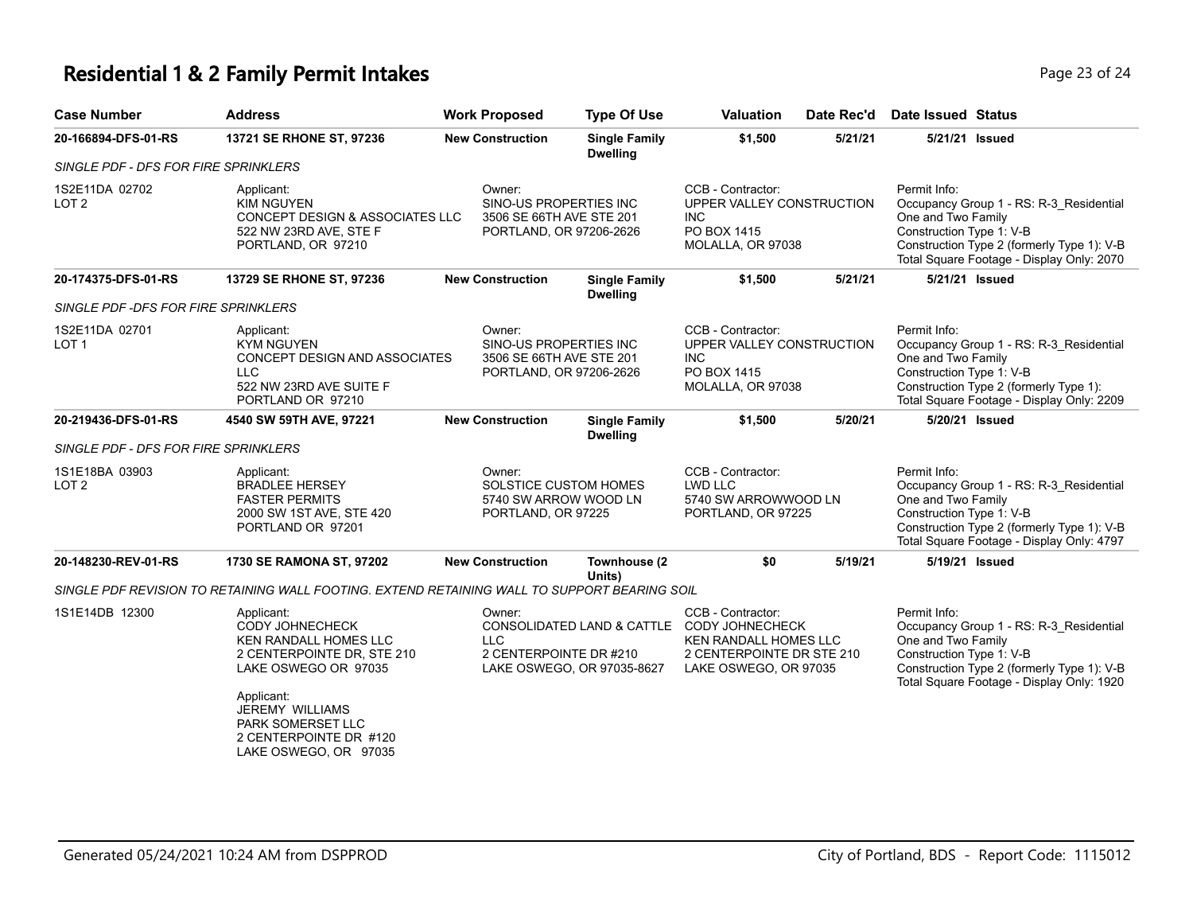#### **Residential 1 & 2 Family Permit Intakes Page 11 October 24 April 24 April 24** Page 23 of 24

| <b>Case Number</b>                   | <b>Address</b>                                                                                                                                                                                                                             | <b>Work Proposed</b>                                                                    | <b>Type Of Use</b>                                                   | <b>Valuation</b><br>Date Rec'd                                                                                                                        |                                            | Date Issued Status                                                                                                                                                                                   |
|--------------------------------------|--------------------------------------------------------------------------------------------------------------------------------------------------------------------------------------------------------------------------------------------|-----------------------------------------------------------------------------------------|----------------------------------------------------------------------|-------------------------------------------------------------------------------------------------------------------------------------------------------|--------------------------------------------|------------------------------------------------------------------------------------------------------------------------------------------------------------------------------------------------------|
| 20-166894-DFS-01-RS                  | 13721 SE RHONE ST, 97236                                                                                                                                                                                                                   | <b>New Construction</b>                                                                 | <b>Single Family</b><br><b>Dwelling</b>                              | \$1,500<br>5/21/21                                                                                                                                    |                                            | 5/21/21 Issued                                                                                                                                                                                       |
| SINGLE PDF - DFS FOR FIRE SPRINKLERS |                                                                                                                                                                                                                                            |                                                                                         |                                                                      |                                                                                                                                                       |                                            |                                                                                                                                                                                                      |
| 1S2E11DA 02702<br>LOT 2              | Applicant:<br><b>KIM NGUYEN</b><br>CONCEPT DESIGN & ASSOCIATES LLC<br>522 NW 23RD AVE, STE F<br>PORTLAND, OR 97210                                                                                                                         | Owner:<br>SINO-US PROPERTIES INC<br>3506 SE 66TH AVE STE 201<br>PORTLAND, OR 97206-2626 |                                                                      | CCB - Contractor:<br>UPPER VALLEY CONSTRUCTION<br><b>INC</b><br>PO BOX 1415<br>MOLALLA, OR 97038                                                      |                                            | Permit Info:<br>Occupancy Group 1 - RS: R-3_Residential<br>One and Two Family<br>Construction Type 1: V-B<br>Construction Type 2 (formerly Type 1): V-B<br>Total Square Footage - Display Only: 2070 |
| 20-174375-DFS-01-RS                  | 13729 SE RHONE ST, 97236                                                                                                                                                                                                                   | <b>New Construction</b>                                                                 | <b>Single Family</b><br><b>Dwelling</b>                              | \$1,500                                                                                                                                               | 5/21/21                                    | 5/21/21 Issued                                                                                                                                                                                       |
| SINGLE PDF -DFS FOR FIRE SPRINKLERS  |                                                                                                                                                                                                                                            |                                                                                         |                                                                      |                                                                                                                                                       |                                            |                                                                                                                                                                                                      |
| 1S2E11DA 02701<br>LOT <sub>1</sub>   | Applicant:<br><b>KYM NGUYEN</b><br>CONCEPT DESIGN AND ASSOCIATES<br><b>LLC</b><br>522 NW 23RD AVE SUITE F<br>PORTLAND OR 97210                                                                                                             | Owner:<br>SINO-US PROPERTIES INC<br>3506 SE 66TH AVE STE 201<br>PORTLAND, OR 97206-2626 |                                                                      | CCB - Contractor:<br>UPPER VALLEY CONSTRUCTION<br><b>INC</b><br>PO BOX 1415<br>MOLALLA, OR 97038                                                      |                                            | Permit Info:<br>Occupancy Group 1 - RS: R-3_Residential<br>One and Two Family<br>Construction Type 1: V-B<br>Construction Type 2 (formerly Type 1):<br>Total Square Footage - Display Only: 2209     |
| 20-219436-DFS-01-RS                  | 4540 SW 59TH AVE, 97221                                                                                                                                                                                                                    | <b>New Construction</b>                                                                 | <b>Single Family</b><br><b>Dwelling</b>                              | \$1,500                                                                                                                                               | 5/20/21                                    | 5/20/21 Issued                                                                                                                                                                                       |
| SINGLE PDF - DFS FOR FIRE SPRINKLERS |                                                                                                                                                                                                                                            |                                                                                         |                                                                      |                                                                                                                                                       |                                            |                                                                                                                                                                                                      |
| 1S1E18BA 03903<br>LOT <sub>2</sub>   | Applicant:<br><b>BRADLEE HERSEY</b><br><b>FASTER PERMITS</b><br>2000 SW 1ST AVE, STE 420<br>PORTLAND OR 97201                                                                                                                              | Owner:                                                                                  | SOLSTICE CUSTOM HOMES<br>5740 SW ARROW WOOD LN<br>PORTLAND, OR 97225 |                                                                                                                                                       | 5740 SW ARROWWOOD LN<br>PORTLAND, OR 97225 | Permit Info:<br>Occupancy Group 1 - RS: R-3_Residential<br>One and Two Family<br>Construction Type 1: V-B<br>Construction Type 2 (formerly Type 1): V-B<br>Total Square Footage - Display Only: 4797 |
| 20-148230-REV-01-RS                  | 1730 SE RAMONA ST, 97202                                                                                                                                                                                                                   | <b>New Construction</b>                                                                 | Townhouse (2<br>Units)                                               | \$0                                                                                                                                                   | 5/19/21                                    | 5/19/21 Issued                                                                                                                                                                                       |
|                                      | SINGLE PDF REVISION TO RETAINING WALL FOOTING. EXTEND RETAINING WALL TO SUPPORT BEARING SOIL                                                                                                                                               |                                                                                         |                                                                      |                                                                                                                                                       |                                            |                                                                                                                                                                                                      |
| 1S1E14DB 12300                       | Applicant:<br><b>CODY JOHNECHECK</b><br><b>KEN RANDALL HOMES LLC</b><br>2 CENTERPOINTE DR, STE 210<br>LAKE OSWEGO OR 97035<br>Applicant:<br><b>JEREMY WILLIAMS</b><br>PARK SOMERSET LLC<br>2 CENTERPOINTE DR #120<br>LAKE OSWEGO, OR 97035 | Owner:<br><b>LLC</b><br>2 CENTERPOINTE DR #210                                          | LAKE OSWEGO, OR 97035-8627                                           | CCB - Contractor:<br>CONSOLIDATED LAND & CATTLE CODY JOHNECHECK<br><b>KEN RANDALL HOMES LLC</b><br>2 CENTERPOINTE DR STE 210<br>LAKE OSWEGO, OR 97035 |                                            | Permit Info:<br>Occupancy Group 1 - RS: R-3_Residential<br>One and Two Family<br>Construction Type 1: V-B<br>Construction Type 2 (formerly Type 1): V-B<br>Total Square Footage - Display Only: 1920 |